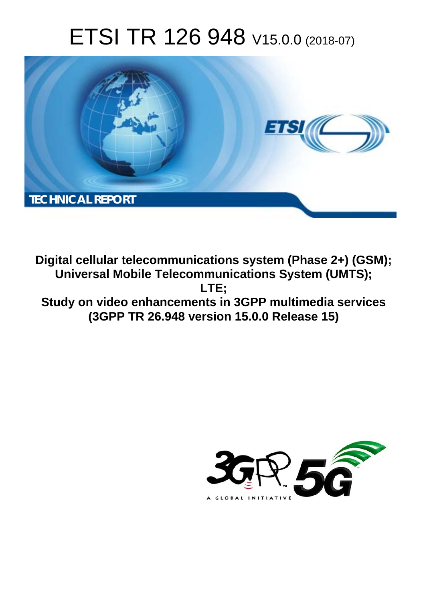# ETSI TR 126 948 V15.0.0 (2018-07)



**Digital cellular telecommunications system (Phase 2+) (GSM); Universal Mobile Telecommunications System (UMTS); LTE; Study on video enhancements in 3GPP multimedia services (3GPP TR 26.948 version 15.0.0 Release 15)** 

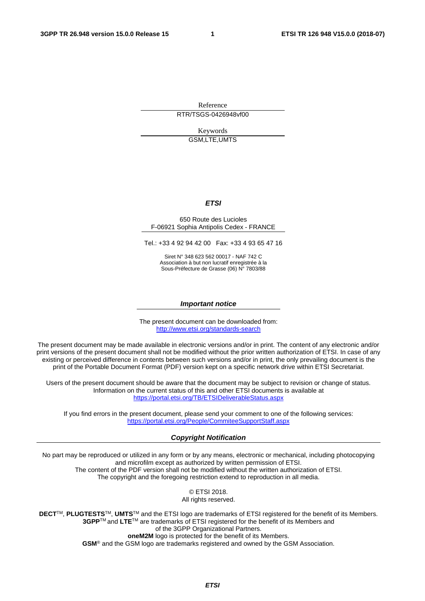Reference

RTR/TSGS-0426948vf00

Keywords GSM,LTE,UMTS

#### *ETSI*

#### 650 Route des Lucioles F-06921 Sophia Antipolis Cedex - FRANCE

Tel.: +33 4 92 94 42 00 Fax: +33 4 93 65 47 16

Siret N° 348 623 562 00017 - NAF 742 C Association à but non lucratif enregistrée à la Sous-Préfecture de Grasse (06) N° 7803/88

#### *Important notice*

The present document can be downloaded from: <http://www.etsi.org/standards-search>

The present document may be made available in electronic versions and/or in print. The content of any electronic and/or print versions of the present document shall not be modified without the prior written authorization of ETSI. In case of any existing or perceived difference in contents between such versions and/or in print, the only prevailing document is the print of the Portable Document Format (PDF) version kept on a specific network drive within ETSI Secretariat.

Users of the present document should be aware that the document may be subject to revision or change of status. Information on the current status of this and other ETSI documents is available at <https://portal.etsi.org/TB/ETSIDeliverableStatus.aspx>

If you find errors in the present document, please send your comment to one of the following services: <https://portal.etsi.org/People/CommiteeSupportStaff.aspx>

#### *Copyright Notification*

No part may be reproduced or utilized in any form or by any means, electronic or mechanical, including photocopying and microfilm except as authorized by written permission of ETSI. The content of the PDF version shall not be modified without the written authorization of ETSI. The copyright and the foregoing restriction extend to reproduction in all media.

> © ETSI 2018. All rights reserved.

**DECT**TM, **PLUGTESTS**TM, **UMTS**TM and the ETSI logo are trademarks of ETSI registered for the benefit of its Members. **3GPP**TM and **LTE**TM are trademarks of ETSI registered for the benefit of its Members and of the 3GPP Organizational Partners. **oneM2M** logo is protected for the benefit of its Members.

**GSM**® and the GSM logo are trademarks registered and owned by the GSM Association.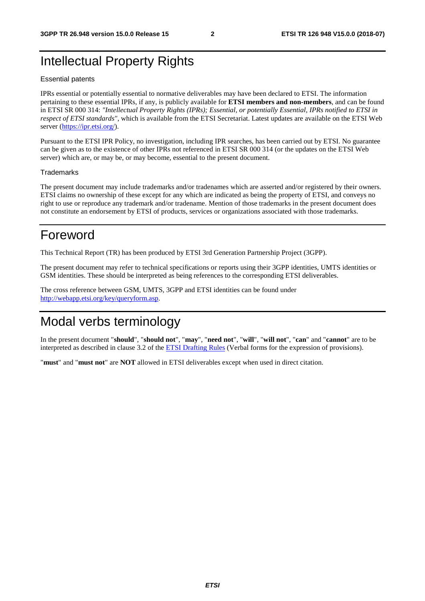## Intellectual Property Rights

#### Essential patents

IPRs essential or potentially essential to normative deliverables may have been declared to ETSI. The information pertaining to these essential IPRs, if any, is publicly available for **ETSI members and non-members**, and can be found in ETSI SR 000 314: *"Intellectual Property Rights (IPRs); Essential, or potentially Essential, IPRs notified to ETSI in respect of ETSI standards"*, which is available from the ETSI Secretariat. Latest updates are available on the ETSI Web server ([https://ipr.etsi.org/\)](https://ipr.etsi.org/).

Pursuant to the ETSI IPR Policy, no investigation, including IPR searches, has been carried out by ETSI. No guarantee can be given as to the existence of other IPRs not referenced in ETSI SR 000 314 (or the updates on the ETSI Web server) which are, or may be, or may become, essential to the present document.

#### **Trademarks**

The present document may include trademarks and/or tradenames which are asserted and/or registered by their owners. ETSI claims no ownership of these except for any which are indicated as being the property of ETSI, and conveys no right to use or reproduce any trademark and/or tradename. Mention of those trademarks in the present document does not constitute an endorsement by ETSI of products, services or organizations associated with those trademarks.

## Foreword

This Technical Report (TR) has been produced by ETSI 3rd Generation Partnership Project (3GPP).

The present document may refer to technical specifications or reports using their 3GPP identities, UMTS identities or GSM identities. These should be interpreted as being references to the corresponding ETSI deliverables.

The cross reference between GSM, UMTS, 3GPP and ETSI identities can be found under [http://webapp.etsi.org/key/queryform.asp.](http://webapp.etsi.org/key/queryform.asp)

## Modal verbs terminology

In the present document "**should**", "**should not**", "**may**", "**need not**", "**will**", "**will not**", "**can**" and "**cannot**" are to be interpreted as described in clause 3.2 of the [ETSI Drafting Rules](https://portal.etsi.org/Services/editHelp!/Howtostart/ETSIDraftingRules.aspx) (Verbal forms for the expression of provisions).

"**must**" and "**must not**" are **NOT** allowed in ETSI deliverables except when used in direct citation.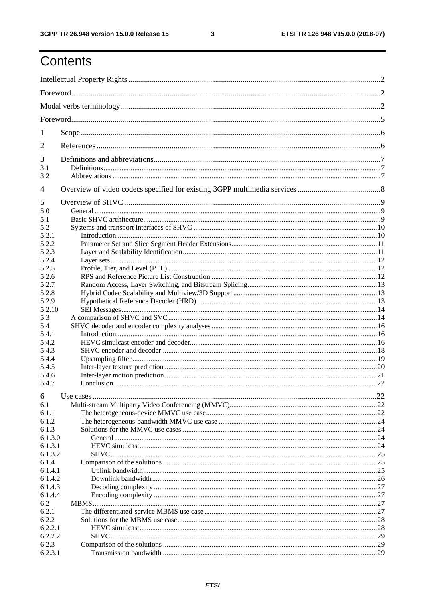$\mathbf{3}$ 

## Contents

| 1                |  |
|------------------|--|
| 2                |  |
| 3                |  |
| 3.1<br>3.2       |  |
| $\overline{4}$   |  |
| 5                |  |
| 5.0              |  |
| 5.1              |  |
| 5.2              |  |
| 5.2.1            |  |
| 5.2.2            |  |
| 5.2.3            |  |
| 5.2.4            |  |
| 5.2.5            |  |
| 5.2.6            |  |
| 5.2.7            |  |
| 5.2.8            |  |
| 5.2.9            |  |
| 5.2.10           |  |
| 5.3<br>5.4       |  |
| 5.4.1            |  |
| 5.4.2            |  |
| 5.4.3            |  |
| 5.4.4            |  |
| 5.4.5            |  |
| 5.4.6            |  |
| 5.4.7            |  |
| 6                |  |
| 6.1              |  |
| 6.1.1            |  |
| 6.1.2            |  |
| 6.1.3            |  |
| 6.1.3.0          |  |
| 6.1.3.1          |  |
| 6.1.3.2          |  |
| 6.1.4            |  |
| 6.1.4.1          |  |
| 6.1.4.2          |  |
| 6.1.4.3          |  |
| 6.1.4.4          |  |
| 6.2              |  |
| 6.2.1            |  |
| 6.2.2            |  |
| 6.2.2.1          |  |
| 6.2.2.2<br>6.2.3 |  |
| 6.2.3.1          |  |
|                  |  |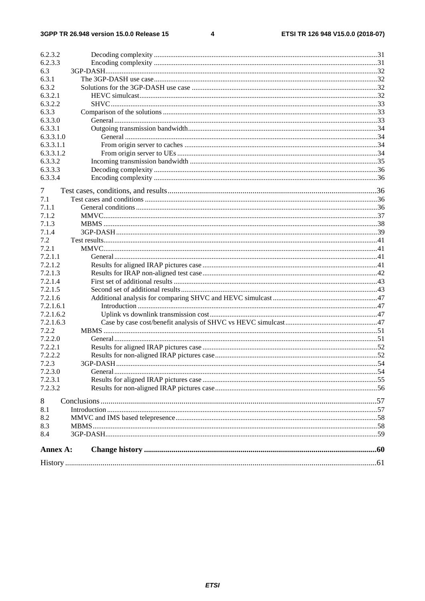#### $\overline{\mathbf{4}}$

| 6.2.3.3<br>6.3<br>6.3.1<br>6.3.2<br>6.3.2.1<br>6.3.2.2<br>6.3.3<br>6.3.3.0<br>6.3.3.1<br>6.3.3.1.0<br>6.3.3.1.1<br>6.3.3.1.2<br>6.3.3.2<br>6.3.3.3<br>6.3.3.4<br>7<br>7.1<br>7.1.1<br>7.1.2<br>7.1.3<br>7.1.4<br>7.2<br>7.2.1<br>7.2.1.1<br>7.2.1.2<br>7.2.1.3<br>7.2.1.4<br>7.2.1.5<br>7.2.1.6<br>7.2.1.6.1<br>7.2.1.6.2<br>7.2.1.6.3<br>7.2.2<br>7.2.2.0<br>7.2.2.1<br>7.2.2.2<br>7.2.3<br>7.2.3.0<br>7.2.3.1<br>7.2.3.2<br>8<br>8.1<br>8.2<br>8.3<br>8.4<br>Annex A: | 6.2.3.2 |  |
|-------------------------------------------------------------------------------------------------------------------------------------------------------------------------------------------------------------------------------------------------------------------------------------------------------------------------------------------------------------------------------------------------------------------------------------------------------------------------|---------|--|
|                                                                                                                                                                                                                                                                                                                                                                                                                                                                         |         |  |
|                                                                                                                                                                                                                                                                                                                                                                                                                                                                         |         |  |
|                                                                                                                                                                                                                                                                                                                                                                                                                                                                         |         |  |
|                                                                                                                                                                                                                                                                                                                                                                                                                                                                         |         |  |
|                                                                                                                                                                                                                                                                                                                                                                                                                                                                         |         |  |
|                                                                                                                                                                                                                                                                                                                                                                                                                                                                         |         |  |
|                                                                                                                                                                                                                                                                                                                                                                                                                                                                         |         |  |
|                                                                                                                                                                                                                                                                                                                                                                                                                                                                         |         |  |
|                                                                                                                                                                                                                                                                                                                                                                                                                                                                         |         |  |
|                                                                                                                                                                                                                                                                                                                                                                                                                                                                         |         |  |
|                                                                                                                                                                                                                                                                                                                                                                                                                                                                         |         |  |
|                                                                                                                                                                                                                                                                                                                                                                                                                                                                         |         |  |
|                                                                                                                                                                                                                                                                                                                                                                                                                                                                         |         |  |
|                                                                                                                                                                                                                                                                                                                                                                                                                                                                         |         |  |
|                                                                                                                                                                                                                                                                                                                                                                                                                                                                         |         |  |
|                                                                                                                                                                                                                                                                                                                                                                                                                                                                         |         |  |
|                                                                                                                                                                                                                                                                                                                                                                                                                                                                         |         |  |
|                                                                                                                                                                                                                                                                                                                                                                                                                                                                         |         |  |
|                                                                                                                                                                                                                                                                                                                                                                                                                                                                         |         |  |
|                                                                                                                                                                                                                                                                                                                                                                                                                                                                         |         |  |
|                                                                                                                                                                                                                                                                                                                                                                                                                                                                         |         |  |
|                                                                                                                                                                                                                                                                                                                                                                                                                                                                         |         |  |
|                                                                                                                                                                                                                                                                                                                                                                                                                                                                         |         |  |
|                                                                                                                                                                                                                                                                                                                                                                                                                                                                         |         |  |
|                                                                                                                                                                                                                                                                                                                                                                                                                                                                         |         |  |
|                                                                                                                                                                                                                                                                                                                                                                                                                                                                         |         |  |
|                                                                                                                                                                                                                                                                                                                                                                                                                                                                         |         |  |
|                                                                                                                                                                                                                                                                                                                                                                                                                                                                         |         |  |
|                                                                                                                                                                                                                                                                                                                                                                                                                                                                         |         |  |
|                                                                                                                                                                                                                                                                                                                                                                                                                                                                         |         |  |
|                                                                                                                                                                                                                                                                                                                                                                                                                                                                         |         |  |
|                                                                                                                                                                                                                                                                                                                                                                                                                                                                         |         |  |
|                                                                                                                                                                                                                                                                                                                                                                                                                                                                         |         |  |
|                                                                                                                                                                                                                                                                                                                                                                                                                                                                         |         |  |
|                                                                                                                                                                                                                                                                                                                                                                                                                                                                         |         |  |
|                                                                                                                                                                                                                                                                                                                                                                                                                                                                         |         |  |
|                                                                                                                                                                                                                                                                                                                                                                                                                                                                         |         |  |
|                                                                                                                                                                                                                                                                                                                                                                                                                                                                         |         |  |
|                                                                                                                                                                                                                                                                                                                                                                                                                                                                         |         |  |
|                                                                                                                                                                                                                                                                                                                                                                                                                                                                         |         |  |
|                                                                                                                                                                                                                                                                                                                                                                                                                                                                         |         |  |
|                                                                                                                                                                                                                                                                                                                                                                                                                                                                         |         |  |
|                                                                                                                                                                                                                                                                                                                                                                                                                                                                         |         |  |
|                                                                                                                                                                                                                                                                                                                                                                                                                                                                         |         |  |
|                                                                                                                                                                                                                                                                                                                                                                                                                                                                         |         |  |
|                                                                                                                                                                                                                                                                                                                                                                                                                                                                         |         |  |
|                                                                                                                                                                                                                                                                                                                                                                                                                                                                         |         |  |
|                                                                                                                                                                                                                                                                                                                                                                                                                                                                         |         |  |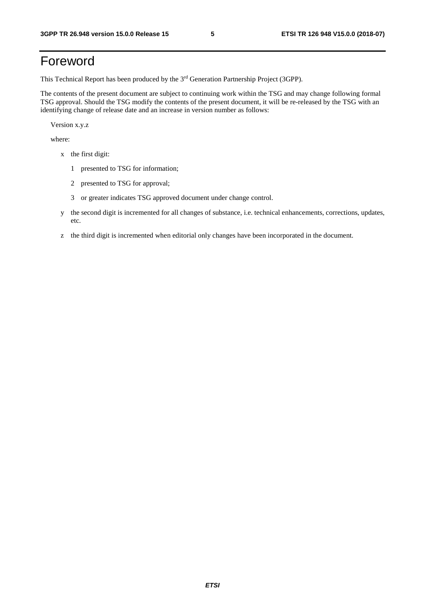## Foreword

This Technical Report has been produced by the 3rd Generation Partnership Project (3GPP).

The contents of the present document are subject to continuing work within the TSG and may change following formal TSG approval. Should the TSG modify the contents of the present document, it will be re-released by the TSG with an identifying change of release date and an increase in version number as follows:

Version x.y.z

where:

- x the first digit:
	- 1 presented to TSG for information;
	- 2 presented to TSG for approval;
	- 3 or greater indicates TSG approved document under change control.
- y the second digit is incremented for all changes of substance, i.e. technical enhancements, corrections, updates, etc.
- z the third digit is incremented when editorial only changes have been incorporated in the document.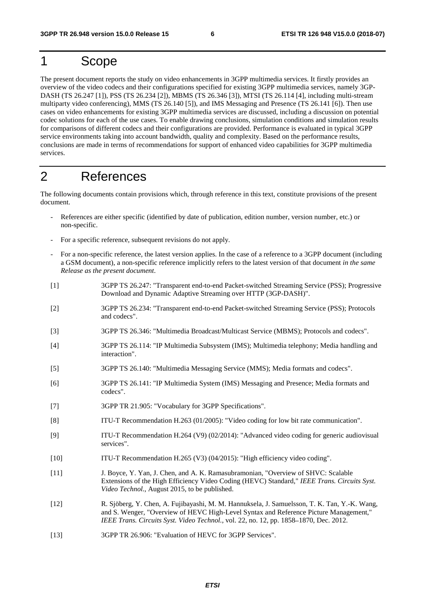## 1 Scope

The present document reports the study on video enhancements in 3GPP multimedia services. It firstly provides an overview of the video codecs and their configurations specified for existing 3GPP multimedia services, namely 3GP-DASH (TS 26.247 [1]), PSS (TS 26.234 [2]), MBMS (TS 26.346 [3]), MTSI (TS 26.114 [4], including multi-stream multiparty video conferencing), MMS (TS 26.140 [5]), and IMS Messaging and Presence (TS 26.141 [6]). Then use cases on video enhancements for existing 3GPP multimedia services are discussed, including a discussion on potential codec solutions for each of the use cases. To enable drawing conclusions, simulation conditions and simulation results for comparisons of different codecs and their configurations are provided. Performance is evaluated in typical 3GPP service environments taking into account bandwidth, quality and complexity. Based on the performance results, conclusions are made in terms of recommendations for support of enhanced video capabilities for 3GPP multimedia services.

## 2 References

The following documents contain provisions which, through reference in this text, constitute provisions of the present document.

- References are either specific (identified by date of publication, edition number, version number, etc.) or non-specific.
- For a specific reference, subsequent revisions do not apply.
- For a non-specific reference, the latest version applies. In the case of a reference to a 3GPP document (including a GSM document), a non-specific reference implicitly refers to the latest version of that document *in the same Release as the present document*.
- [1] 3GPP TS 26.247: "Transparent end-to-end Packet-switched Streaming Service (PSS); Progressive Download and Dynamic Adaptive Streaming over HTTP (3GP-DASH)".
- [2] 3GPP TS 26.234: "Transparent end-to-end Packet-switched Streaming Service (PSS); Protocols and codecs".
- [3] 3GPP TS 26.346: "Multimedia Broadcast/Multicast Service (MBMS); Protocols and codecs".
- [4] 3GPP TS 26.114: "IP Multimedia Subsystem (IMS); Multimedia telephony; Media handling and interaction".
- [5] 3GPP TS 26.140: "Multimedia Messaging Service (MMS); Media formats and codecs".
- [6] 3GPP TS 26.141: "IP Multimedia System (IMS) Messaging and Presence; Media formats and codecs".
- [7] 3GPP TR 21.905: "Vocabulary for 3GPP Specifications".
- [8] ITU-T Recommendation H.263 (01/2005): "Video coding for low bit rate communication".
- [9] ITU-T Recommendation H.264 (V9) (02/2014): "Advanced video coding for generic audiovisual services".
- [10] ITU-T Recommendation H.265 (V3) (04/2015): "High efficiency video coding".
- [11] J. Boyce, Y. Yan, J. Chen, and A. K. Ramasubramonian, "Overview of SHVC: Scalable Extensions of the High Efficiency Video Coding (HEVC) Standard," *IEEE Trans. Circuits Syst. Video Technol.*, August 2015, to be published.
- [12] R. Sjöberg, Y. Chen, A. Fujibayashi, M. M. Hannuksela, J. Samuelsson, T. K. Tan, Y.-K. Wang, and S. Wenger, "Overview of HEVC High-Level Syntax and Reference Picture Management," *IEEE Trans. Circuits Syst. Video Technol.*, vol. 22, no. 12, pp. 1858–1870, Dec. 2012.<br>3GPP TR 26.906: "Evaluation of HEVC for 3GPP Services".
- [13] 3GPP TR 26.906: "Evaluation of HEVC for 3GPP Services".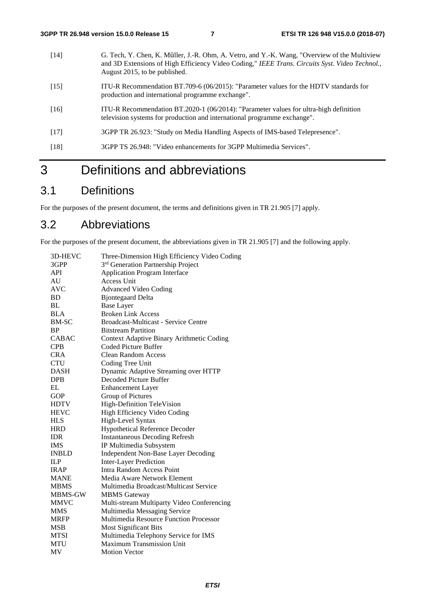- [14] G. Tech, Y. Chen, K. Müller, J.-R. Ohm, A. Vetro, and Y.-K. Wang, "Overview of the Multiview and 3D Extensions of High Efficiency Video Coding," *IEEE Trans. Circuits Syst. Video Technol.*, August 2015, to be published.
- [15] ITU-R Recommendation BT.709-6 (06/2015): "Parameter values for the HDTV standards for production and international programme exchange".
- [16] ITU-R Recommendation BT.2020-1 (06/2014): "Parameter values for ultra-high definition television systems for production and international programme exchange".
- [17] 3GPP TR 26.923: "Study on Media Handling Aspects of IMS-based Telepresence".
- [18] 3GPP TS 26.948: "Video enhancements for 3GPP Multimedia Services".

## 3 Definitions and abbreviations

## 3.1 Definitions

For the purposes of the present document, the terms and definitions given in TR 21.905 [7] apply.

## 3.2 Abbreviations

For the purposes of the present document, the abbreviations given in TR 21.905 [7] and the following apply.

| 3D-HEVC      | Three-Dimension High Efficiency Video Coding   |
|--------------|------------------------------------------------|
| 3GPP         | 3 <sup>rd</sup> Generation Partnership Project |
| API          | <b>Application Program Interface</b>           |
| AU           | Access Unit                                    |
| <b>AVC</b>   | <b>Advanced Video Coding</b>                   |
| <b>BD</b>    | <b>Bjontegaard Delta</b>                       |
| BL           | <b>Base Layer</b>                              |
| <b>BLA</b>   | <b>Broken Link Access</b>                      |
| <b>BM-SC</b> | Broadcast-Multicast - Service Centre           |
| <b>BP</b>    | <b>Bitstream Partition</b>                     |
| <b>CABAC</b> | Context Adaptive Binary Arithmetic Coding      |
| <b>CPB</b>   | Coded Picture Buffer                           |
| <b>CRA</b>   | <b>Clean Random Access</b>                     |
| <b>CTU</b>   | Coding Tree Unit                               |
| <b>DASH</b>  | Dynamic Adaptive Streaming over HTTP           |
| <b>DPB</b>   | Decoded Picture Buffer                         |
| EL           | <b>Enhancement Layer</b>                       |
| <b>GOP</b>   | Group of Pictures                              |
| <b>HDTV</b>  | <b>High-Definition TeleVision</b>              |
| <b>HEVC</b>  | High Efficiency Video Coding                   |
| <b>HLS</b>   | High-Level Syntax                              |
| <b>HRD</b>   | <b>Hypothetical Reference Decoder</b>          |
| <b>IDR</b>   | <b>Instantaneous Decoding Refresh</b>          |
| <b>IMS</b>   | IP Multimedia Subsystem                        |
| <b>INBLD</b> | <b>Independent Non-Base Layer Decoding</b>     |
| ILP          | <b>Inter-Layer Prediction</b>                  |
| <b>IRAP</b>  | <b>Intra Random Access Point</b>               |
| <b>MANE</b>  | Media Aware Network Element                    |
| <b>MBMS</b>  | Multimedia Broadcast/Multicast Service         |
| MBMS-GW      | <b>MBMS</b> Gateway                            |
| <b>MMVC</b>  | Multi-stream Multiparty Video Conferencing     |
| <b>MMS</b>   | Multimedia Messaging Service                   |
| <b>MRFP</b>  | Multimedia Resource Function Processor         |
| <b>MSB</b>   | <b>Most Significant Bits</b>                   |
| <b>MTSI</b>  | Multimedia Telephony Service for IMS           |
| <b>MTU</b>   | <b>Maximum Transmission Unit</b>               |
| MV           | <b>Motion Vector</b>                           |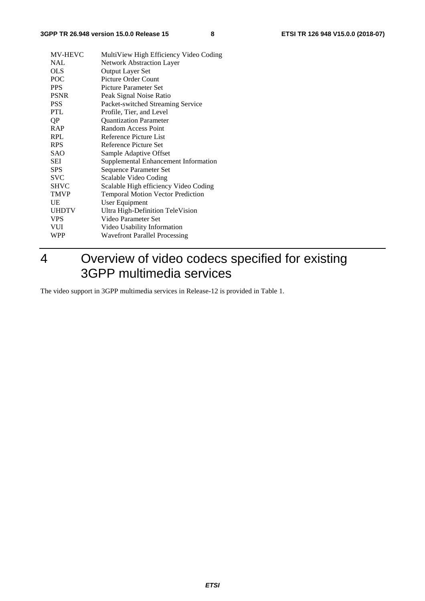| <b>NAL</b><br><b>Network Abstraction Layer</b><br><b>OLS</b><br>Output Layer Set<br>POC<br><b>Picture Order Count</b><br><b>PPS</b><br><b>Picture Parameter Set</b><br><b>PSNR</b><br>Peak Signal Noise Ratio<br>Packet-switched Streaming Service<br><b>PSS</b><br><b>PTL</b><br>Profile, Tier, and Level<br><b>Quantization Parameter</b><br>QP<br><b>RAP</b><br>Random Access Point<br><b>RPL</b><br>Reference Picture List<br><b>RPS</b><br>Reference Picture Set<br><b>SAO</b><br>Sample Adaptive Offset<br>SEI<br>Supplemental Enhancement Information<br><b>SPS</b><br>Sequence Parameter Set<br><b>SVC</b><br>Scalable Video Coding<br><b>SHVC</b><br>Scalable High efficiency Video Coding<br><b>TMVP</b><br><b>Temporal Motion Vector Prediction</b><br>UE<br>User Equipment<br><b>UHDTV</b><br>Ultra High-Definition TeleVision<br><b>VPS</b><br>Video Parameter Set<br><b>VUI</b><br>Video Usability Information<br>WPP<br><b>Wavefront Parallel Processing</b> | <b>MV-HEVC</b> | MultiView High Efficiency Video Coding |
|-----------------------------------------------------------------------------------------------------------------------------------------------------------------------------------------------------------------------------------------------------------------------------------------------------------------------------------------------------------------------------------------------------------------------------------------------------------------------------------------------------------------------------------------------------------------------------------------------------------------------------------------------------------------------------------------------------------------------------------------------------------------------------------------------------------------------------------------------------------------------------------------------------------------------------------------------------------------------------|----------------|----------------------------------------|
|                                                                                                                                                                                                                                                                                                                                                                                                                                                                                                                                                                                                                                                                                                                                                                                                                                                                                                                                                                             |                |                                        |
|                                                                                                                                                                                                                                                                                                                                                                                                                                                                                                                                                                                                                                                                                                                                                                                                                                                                                                                                                                             |                |                                        |
|                                                                                                                                                                                                                                                                                                                                                                                                                                                                                                                                                                                                                                                                                                                                                                                                                                                                                                                                                                             |                |                                        |
|                                                                                                                                                                                                                                                                                                                                                                                                                                                                                                                                                                                                                                                                                                                                                                                                                                                                                                                                                                             |                |                                        |
|                                                                                                                                                                                                                                                                                                                                                                                                                                                                                                                                                                                                                                                                                                                                                                                                                                                                                                                                                                             |                |                                        |
|                                                                                                                                                                                                                                                                                                                                                                                                                                                                                                                                                                                                                                                                                                                                                                                                                                                                                                                                                                             |                |                                        |
|                                                                                                                                                                                                                                                                                                                                                                                                                                                                                                                                                                                                                                                                                                                                                                                                                                                                                                                                                                             |                |                                        |
|                                                                                                                                                                                                                                                                                                                                                                                                                                                                                                                                                                                                                                                                                                                                                                                                                                                                                                                                                                             |                |                                        |
|                                                                                                                                                                                                                                                                                                                                                                                                                                                                                                                                                                                                                                                                                                                                                                                                                                                                                                                                                                             |                |                                        |
|                                                                                                                                                                                                                                                                                                                                                                                                                                                                                                                                                                                                                                                                                                                                                                                                                                                                                                                                                                             |                |                                        |
|                                                                                                                                                                                                                                                                                                                                                                                                                                                                                                                                                                                                                                                                                                                                                                                                                                                                                                                                                                             |                |                                        |
|                                                                                                                                                                                                                                                                                                                                                                                                                                                                                                                                                                                                                                                                                                                                                                                                                                                                                                                                                                             |                |                                        |
|                                                                                                                                                                                                                                                                                                                                                                                                                                                                                                                                                                                                                                                                                                                                                                                                                                                                                                                                                                             |                |                                        |
|                                                                                                                                                                                                                                                                                                                                                                                                                                                                                                                                                                                                                                                                                                                                                                                                                                                                                                                                                                             |                |                                        |
|                                                                                                                                                                                                                                                                                                                                                                                                                                                                                                                                                                                                                                                                                                                                                                                                                                                                                                                                                                             |                |                                        |
|                                                                                                                                                                                                                                                                                                                                                                                                                                                                                                                                                                                                                                                                                                                                                                                                                                                                                                                                                                             |                |                                        |
|                                                                                                                                                                                                                                                                                                                                                                                                                                                                                                                                                                                                                                                                                                                                                                                                                                                                                                                                                                             |                |                                        |
|                                                                                                                                                                                                                                                                                                                                                                                                                                                                                                                                                                                                                                                                                                                                                                                                                                                                                                                                                                             |                |                                        |
|                                                                                                                                                                                                                                                                                                                                                                                                                                                                                                                                                                                                                                                                                                                                                                                                                                                                                                                                                                             |                |                                        |
|                                                                                                                                                                                                                                                                                                                                                                                                                                                                                                                                                                                                                                                                                                                                                                                                                                                                                                                                                                             |                |                                        |
|                                                                                                                                                                                                                                                                                                                                                                                                                                                                                                                                                                                                                                                                                                                                                                                                                                                                                                                                                                             |                |                                        |
|                                                                                                                                                                                                                                                                                                                                                                                                                                                                                                                                                                                                                                                                                                                                                                                                                                                                                                                                                                             |                |                                        |

## 4 Overview of video codecs specified for existing 3GPP multimedia services

The video support in 3GPP multimedia services in Release-12 is provided in Table 1.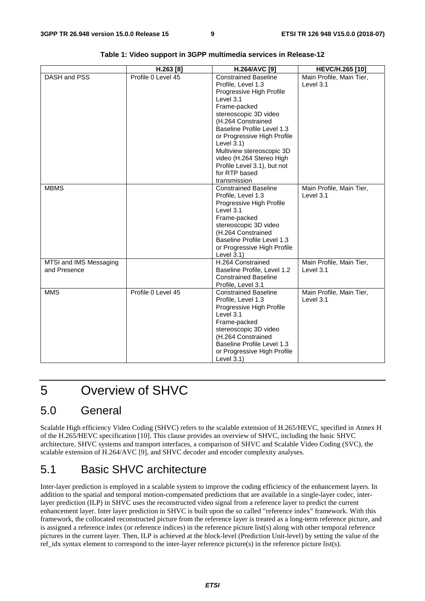|                                        | H.263 [8]          | H.264/AVC [9]                                                                                                                                                                                                                                                                                                                                                           | HEVC/H.265 [10]                       |
|----------------------------------------|--------------------|-------------------------------------------------------------------------------------------------------------------------------------------------------------------------------------------------------------------------------------------------------------------------------------------------------------------------------------------------------------------------|---------------------------------------|
| DASH and PSS                           | Profile 0 Level 45 | <b>Constrained Baseline</b><br>Profile. Level 1.3<br>Progressive High Profile<br>Level 3.1<br>Frame-packed<br>stereoscopic 3D video<br>(H.264 Constrained<br><b>Baseline Profile Level 1.3</b><br>or Progressive High Profile<br>Level $3.1$ )<br>Multiview stereoscopic 3D<br>video (H.264 Stereo High<br>Profile Level 3.1), but not<br>for RTP based<br>transmission | Main Profile, Main Tier,<br>Level 3.1 |
| <b>MBMS</b>                            |                    | <b>Constrained Baseline</b><br>Profile, Level 1.3<br>Progressive High Profile<br>Level 3.1<br>Frame-packed<br>stereoscopic 3D video<br>(H.264 Constrained<br>Baseline Profile Level 1.3<br>or Progressive High Profile<br>Level $3.1$ )                                                                                                                                 | Main Profile, Main Tier,<br>Level 3.1 |
| MTSI and IMS Messaging<br>and Presence |                    | H.264 Constrained<br>Baseline Profile, Level 1.2<br><b>Constrained Baseline</b><br>Profile, Level 3.1                                                                                                                                                                                                                                                                   | Main Profile, Main Tier,<br>Level 3.1 |
| <b>MMS</b>                             | Profile 0 Level 45 | <b>Constrained Baseline</b><br>Profile, Level 1.3<br>Progressive High Profile<br>Level 3.1<br>Frame-packed<br>stereoscopic 3D video<br>(H.264 Constrained<br><b>Baseline Profile Level 1.3</b><br>or Progressive High Profile<br>Level $3.1$ )                                                                                                                          | Main Profile, Main Tier,<br>Level 3.1 |

**Table 1: Video support in 3GPP multimedia services in Release-12** 

## 5 Overview of SHVC

## 5.0 General

Scalable High efficiency Video Coding (SHVC) refers to the scalable extension of H.265/HEVC, specified in Annex H of the H.265/HEVC specification [10]. This clause provides an overview of SHVC, including the basic SHVC architecture, SHVC systems and transport interfaces, a comparison of SHVC and Scalable Video Coding (SVC), the scalable extension of H.264/AVC [9], and SHVC decoder and encoder complexity analyses.

## 5.1 Basic SHVC architecture

Inter-layer prediction is employed in a scalable system to improve the coding efficiency of the enhancement layers. In addition to the spatial and temporal motion-compensated predictions that are available in a single-layer codec, interlayer prediction (ILP) in SHVC uses the reconstructed video signal from a reference layer to predict the current enhancement layer. Inter layer prediction in SHVC is built upon the so called "reference index" framework. With this framework, the collocated reconstructed picture from the reference layer is treated as a long-term reference picture, and is assigned a reference index (or reference indices) in the reference picture list(s) along with other temporal reference pictures in the current layer. Then, ILP is achieved at the block-level (Prediction Unit-level) by setting the value of the ref\_idx syntax element to correspond to the inter-layer reference picture(s) in the reference picture list(s).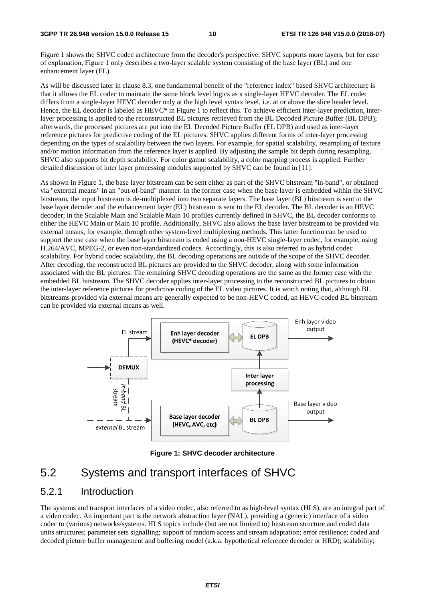Figure 1 shows the SHVC codec architecture from the decoder's perspective. SHVC supports more layers, but for ease of explanation, Figure 1 only describes a two-layer scalable system consisting of the base layer (BL) and one enhancement layer (EL).

As will be discussed later in clause 8.3, one fundamental benefit of the "reference index" based SHVC architecture is that it allows the EL codec to maintain the same block level logics as a single-layer HEVC decoder. The EL codec differs from a single-layer HEVC decoder only at the high level syntax level, i.e. at or above the slice header level. Hence, the EL decoder is labeled as HEVC\* in Figure 1 to reflect this. To achieve efficient inter-layer prediction, interlayer processing is applied to the reconstructed BL pictures retrieved from the BL Decoded Picture Buffer (BL DPB); afterwards, the processed pictures are put into the EL Decoded Picture Buffer (EL DPB) and used as inter-layer reference pictures for predictive coding of the EL pictures. SHVC applies different forms of inter-layer processing depending on the types of scalability between the two layers. For example, for spatial scalability, resampling of texture and/or motion information from the reference layer is applied. By adjusting the sample bit depth during resampling, SHVC also supports bit depth scalability. For color gamut scalability, a color mapping process is applied. Further detailed discussion of inter layer processing modules supported by SHVC can be found in [11].

As shown in Figure 1, the base layer bitstream can be sent either as part of the SHVC bitstream "in-band", or obtained via "external means" in an "out-of-band" manner. In the former case when the base layer is embedded within the SHVC bitstream, the input bitstream is de-multiplexed into two separate layers. The base layer (BL) bitstream is sent to the base layer decoder and the enhancement layer (EL) bitstream is sent to the EL decoder. The BL decoder is an HEVC decoder; in the Scalable Main and Scalable Main 10 profiles currently defined in SHVC, the BL decoder conforms to either the HEVC Main or Main 10 profile. Additionally, SHVC also allows the base layer bitstream to be provided via external means, for example, through other system-level multiplexing methods. This latter function can be used to support the use case when the base layer bitstream is coded using a non-HEVC single-layer codec, for example, using H.264/AVC, MPEG-2, or even non-standardized codecs. Accordingly, this is also referred to as hybrid codec scalability. For hybrid codec scalability, the BL decoding operations are outside of the scope of the SHVC decoder. After decoding, the reconstructed BL pictures are provided to the SHVC decoder, along with some information associated with the BL pictures. The remaining SHVC decoding operations are the same as the former case with the embedded BL bitstream. The SHVC decoder applies inter-layer processing to the reconstructed BL pictures to obtain the inter-layer reference pictures for predictive coding of the EL video pictures. It is worth noting that, although BL bitstreams provided via external means are generally expected to be non-HEVC coded, an HEVC-coded BL bitstream can be provided via external means as well.



**Figure 1: SHVC decoder architecture** 

## 5.2 Systems and transport interfaces of SHVC

### 5.2.1 Introduction

The systems and transport interfaces of a video codec, also referred to as high-level syntax (HLS), are an integral part of a video codec. An important part is the network abstraction layer (NAL), providing a (generic) interface of a video codec to (various) networks/systems. HLS topics include (but are not limited to) bitstream structure and coded data units structures; parameter sets signalling; support of random access and stream adaptation; error resilience; coded and decoded picture buffer management and buffering model (a.k.a. hypothetical reference decoder or HRD); scalability;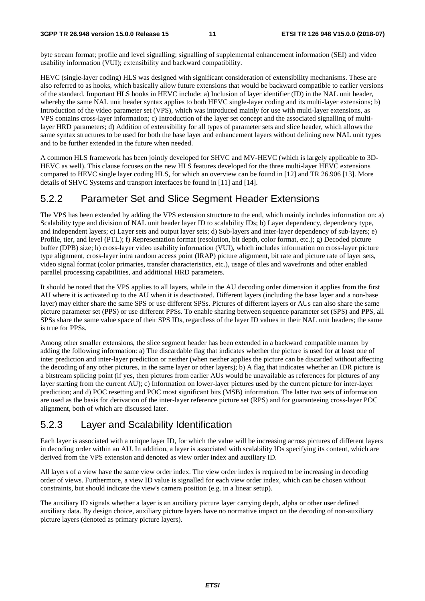byte stream format; profile and level signalling; signalling of supplemental enhancement information (SEI) and video usability information (VUI); extensibility and backward compatibility.

HEVC (single-layer coding) HLS was designed with significant consideration of extensibility mechanisms. These are also referred to as hooks, which basically allow future extensions that would be backward compatible to earlier versions of the standard. Important HLS hooks in HEVC include: a) Inclusion of layer identifier (ID) in the NAL unit header, whereby the same NAL unit header syntax applies to both HEVC single-layer coding and its multi-layer extensions; b) Introduction of the video parameter set (VPS), which was introduced mainly for use with multi-layer extensions, as VPS contains cross-layer information; c) Introduction of the layer set concept and the associated signalling of multilayer HRD parameters; d) Addition of extensibility for all types of parameter sets and slice header, which allows the same syntax structures to be used for both the base layer and enhancement layers without defining new NAL unit types and to be further extended in the future when needed.

A common HLS framework has been jointly developed for SHVC and MV-HEVC (which is largely applicable to 3D-HEVC as well). This clause focuses on the new HLS features developed for the three multi-layer HEVC extensions compared to HEVC single layer coding HLS, for which an overview can be found in [12] and TR 26.906 [13]. More details of SHVC Systems and transport interfaces be found in [11] and [14].

## 5.2.2 Parameter Set and Slice Segment Header Extensions

The VPS has been extended by adding the VPS extension structure to the end, which mainly includes information on: a) Scalability type and division of NAL unit header layer ID to scalability IDs; b) Layer dependency, dependency type, and independent layers; c) Layer sets and output layer sets; d) Sub-layers and inter-layer dependency of sub-layers; e) Profile, tier, and level (PTL); f) Representation format (resolution, bit depth, color format, etc.); g) Decoded picture buffer (DPB) size; h) cross-layer video usability information (VUI), which includes information on cross-layer picture type alignment, cross-layer intra random access point (IRAP) picture alignment, bit rate and picture rate of layer sets, video signal format (color primaries, transfer characteristics, etc.), usage of tiles and wavefronts and other enabled parallel processing capabilities, and additional HRD parameters.

It should be noted that the VPS applies to all layers, while in the AU decoding order dimension it applies from the first AU where it is activated up to the AU when it is deactivated. Different layers (including the base layer and a non-base layer) may either share the same SPS or use different SPSs. Pictures of different layers or AUs can also share the same picture parameter set (PPS) or use different PPSs. To enable sharing between sequence parameter set (SPS) and PPS, all SPSs share the same value space of their SPS IDs, regardless of the layer ID values in their NAL unit headers; the same is true for PPSs.

Among other smaller extensions, the slice segment header has been extended in a backward compatible manner by adding the following information: a) The discardable flag that indicates whether the picture is used for at least one of inter prediction and inter-layer prediction or neither (when neither applies the picture can be discarded without affecting the decoding of any other pictures, in the same layer or other layers); b) A flag that indicates whether an IDR picture is a bitstream splicing point (if yes, then pictures from earlier AUs would be unavailable as references for pictures of any layer starting from the current AU); c) Information on lower-layer pictures used by the current picture for inter-layer prediction; and d) POC resetting and POC most significant bits (MSB) information. The latter two sets of information are used as the basis for derivation of the inter-layer reference picture set (RPS) and for guaranteeing cross-layer POC alignment, both of which are discussed later.

## 5.2.3 Layer and Scalability Identification

Each layer is associated with a unique layer ID, for which the value will be increasing across pictures of different layers in decoding order within an AU. In addition, a layer is associated with scalability IDs specifying its content, which are derived from the VPS extension and denoted as view order index and auxiliary ID.

All layers of a view have the same view order index. The view order index is required to be increasing in decoding order of views. Furthermore, a view ID value is signalled for each view order index, which can be chosen without constraints, but should indicate the view's camera position (e.g. in a linear setup).

The auxiliary ID signals whether a layer is an auxiliary picture layer carrying depth, alpha or other user defined auxiliary data. By design choice, auxiliary picture layers have no normative impact on the decoding of non-auxiliary picture layers (denoted as primary picture layers).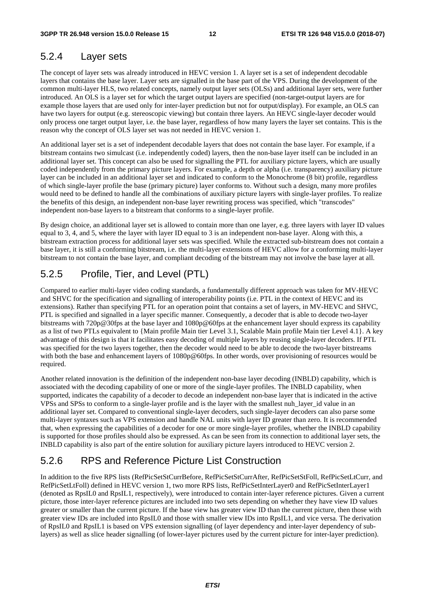### 5.2.4 Layer sets

The concept of layer sets was already introduced in HEVC version 1. A layer set is a set of independent decodable layers that contains the base layer. Layer sets are signalled in the base part of the VPS. During the development of the common multi-layer HLS, two related concepts, namely output layer sets (OLSs) and additional layer sets, were further introduced. An OLS is a layer set for which the target output layers are specified (non-target-output layers are for example those layers that are used only for inter-layer prediction but not for output/display). For example, an OLS can have two layers for output (e.g. stereoscopic viewing) but contain three layers. An HEVC single-layer decoder would only process one target output layer, i.e. the base layer, regardless of how many layers the layer set contains. This is the reason why the concept of OLS layer set was not needed in HEVC version 1.

An additional layer set is a set of independent decodable layers that does not contain the base layer. For example, if a bitstream contains two simulcast (i.e. independently coded) layers, then the non-base layer itself can be included in an additional layer set. This concept can also be used for signalling the PTL for auxiliary picture layers, which are usually coded independently from the primary picture layers. For example, a depth or alpha (i.e. transparency) auxiliary picture layer can be included in an additional layer set and indicated to conform to the Monochrome (8 bit) profile, regardless of which single-layer profile the base (primary picture) layer conforms to. Without such a design, many more profiles would need to be defined to handle all the combinations of auxiliary picture layers with single-layer profiles. To realize the benefits of this design, an independent non-base layer rewriting process was specified, which "transcodes" independent non-base layers to a bitstream that conforms to a single-layer profile.

By design choice, an additional layer set is allowed to contain more than one layer, e.g. three layers with layer ID values equal to 3, 4, and 5, where the layer with layer ID equal to 3 is an independent non-base layer. Along with this, a bitstream extraction process for additional layer sets was specified. While the extracted sub-bitstream does not contain a base layer, it is still a conforming bitstream, i.e. the multi-layer extensions of HEVC allow for a conforming multi-layer bitstream to not contain the base layer, and compliant decoding of the bitstream may not involve the base layer at all.

## 5.2.5 Profile, Tier, and Level (PTL)

Compared to earlier multi-layer video coding standards, a fundamentally different approach was taken for MV-HEVC and SHVC for the specification and signalling of interoperability points (i.e. PTL in the context of HEVC and its extensions). Rather than specifying PTL for an operation point that contains a set of layers, in MV-HEVC and SHVC, PTL is specified and signalled in a layer specific manner. Consequently, a decoder that is able to decode two-layer bitstreams with 720p@30fps at the base layer and 1080p@60fps at the enhancement layer should express its capability as a list of two PTLs equivalent to {Main profile Main tier Level 3.1, Scalable Main profile Main tier Level 4.1}. A key advantage of this design is that it facilitates easy decoding of multiple layers by reusing single-layer decoders. If PTL was specified for the two layers together, then the decoder would need to be able to decode the two-layer bitstreams with both the base and enhancement layers of  $1080p@60fps$ . In other words, over provisioning of resources would be required.

Another related innovation is the definition of the independent non-base layer decoding (INBLD) capability, which is associated with the decoding capability of one or more of the single-layer profiles. The INBLD capability, when supported, indicates the capability of a decoder to decode an independent non-base layer that is indicated in the active VPSs and SPSs to conform to a single-layer profile and is the layer with the smallest nuh\_layer\_id value in an additional layer set. Compared to conventional single-layer decoders, such single-layer decoders can also parse some multi-layer syntaxes such as VPS extension and handle NAL units with layer ID greater than zero. It is recommended that, when expressing the capabilities of a decoder for one or more single-layer profiles, whether the INBLD capability is supported for those profiles should also be expressed. As can be seen from its connection to additional layer sets, the INBLD capability is also part of the entire solution for auxiliary picture layers introduced to HEVC version 2.

## 5.2.6 RPS and Reference Picture List Construction

In addition to the five RPS lists (RefPicSetStCurrBefore, RefPicSetStCurrAfter, RefPicSetStFoll, RefPicSetLtCurr, and RefPicSetLtFoll) defined in HEVC version 1, two more RPS lists, RefPicSetInterLayer0 and RefPicSetInterLayer1 (denoted as RpsIL0 and RpsIL1, respectively), were introduced to contain inter-layer reference pictures. Given a current picture, those inter-layer reference pictures are included into two sets depending on whether they have view ID values greater or smaller than the current picture. If the base view has greater view ID than the current picture, then those with greater view IDs are included into RpsIL0 and those with smaller view IDs into RpsIL1, and vice versa. The derivation of RpsIL0 and RpsIL1 is based on VPS extension signalling (of layer dependency and inter-layer dependency of sublayers) as well as slice header signalling (of lower-layer pictures used by the current picture for inter-layer prediction).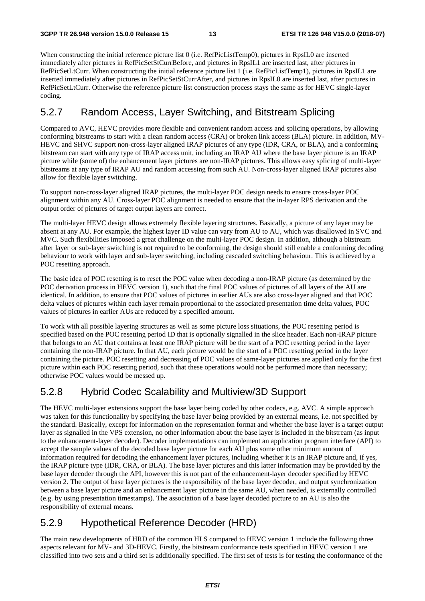When constructing the initial reference picture list 0 (i.e. RefPicListTemp0), pictures in RpsIL0 are inserted immediately after pictures in RefPicSetStCurrBefore, and pictures in RpsIL1 are inserted last, after pictures in RefPicSetLtCurr. When constructing the initial reference picture list 1 (i.e. RefPicListTemp1), pictures in RpsIL1 are inserted immediately after pictures in RefPicSetStCurrAfter, and pictures in RpsIL0 are inserted last, after pictures in RefPicSetLtCurr. Otherwise the reference picture list construction process stays the same as for HEVC single-layer coding.

## 5.2.7 Random Access, Layer Switching, and Bitstream Splicing

Compared to AVC, HEVC provides more flexible and convenient random access and splicing operations, by allowing conforming bitstreams to start with a clean random access (CRA) or broken link access (BLA) picture. In addition, MV-HEVC and SHVC support non-cross-layer aligned IRAP pictures of any type (IDR, CRA, or BLA), and a conforming bitstream can start with any type of IRAP access unit, including an IRAP AU where the base layer picture is an IRAP picture while (some of) the enhancement layer pictures are non-IRAP pictures. This allows easy splicing of multi-layer bitstreams at any type of IRAP AU and random accessing from such AU. Non-cross-layer aligned IRAP pictures also allow for flexible layer switching.

To support non-cross-layer aligned IRAP pictures, the multi-layer POC design needs to ensure cross-layer POC alignment within any AU. Cross-layer POC alignment is needed to ensure that the in-layer RPS derivation and the output order of pictures of target output layers are correct.

The multi-layer HEVC design allows extremely flexible layering structures. Basically, a picture of any layer may be absent at any AU. For example, the highest layer ID value can vary from AU to AU, which was disallowed in SVC and MVC. Such flexibilities imposed a great challenge on the multi-layer POC design. In addition, although a bitstream after layer or sub-layer switching is not required to be conforming, the design should still enable a conforming decoding behaviour to work with layer and sub-layer switching, including cascaded switching behaviour. This is achieved by a POC resetting approach.

The basic idea of POC resetting is to reset the POC value when decoding a non-IRAP picture (as determined by the POC derivation process in HEVC version 1), such that the final POC values of pictures of all layers of the AU are identical. In addition, to ensure that POC values of pictures in earlier AUs are also cross-layer aligned and that POC delta values of pictures within each layer remain proportional to the associated presentation time delta values, POC values of pictures in earlier AUs are reduced by a specified amount.

To work with all possible layering structures as well as some picture loss situations, the POC resetting period is specified based on the POC resetting period ID that is optionally signalled in the slice header. Each non-IRAP picture that belongs to an AU that contains at least one IRAP picture will be the start of a POC resetting period in the layer containing the non-IRAP picture. In that AU, each picture would be the start of a POC resetting period in the layer containing the picture. POC resetting and decreasing of POC values of same-layer pictures are applied only for the first picture within each POC resetting period, such that these operations would not be performed more than necessary; otherwise POC values would be messed up.

## 5.2.8 Hybrid Codec Scalability and Multiview/3D Support

The HEVC multi-layer extensions support the base layer being coded by other codecs, e.g. AVC. A simple approach was taken for this functionality by specifying the base layer being provided by an external means, i.e. not specified by the standard. Basically, except for information on the representation format and whether the base layer is a target output layer as signalled in the VPS extension, no other information about the base layer is included in the bitstream (as input to the enhancement-layer decoder). Decoder implementations can implement an application program interface (API) to accept the sample values of the decoded base layer picture for each AU plus some other minimum amount of information required for decoding the enhancement layer pictures, including whether it is an IRAP picture and, if yes, the IRAP picture type (IDR, CRA, or BLA). The base layer pictures and this latter information may be provided by the base layer decoder through the API, however this is not part of the enhancement-layer decoder specified by HEVC version 2. The output of base layer pictures is the responsibility of the base layer decoder, and output synchronization between a base layer picture and an enhancement layer picture in the same AU, when needed, is externally controlled (e.g. by using presentation timestamps). The association of a base layer decoded picture to an AU is also the responsibility of external means.

## 5.2.9 Hypothetical Reference Decoder (HRD)

The main new developments of HRD of the common HLS compared to HEVC version 1 include the following three aspects relevant for MV- and 3D-HEVC. Firstly, the bitstream conformance tests specified in HEVC version 1 are classified into two sets and a third set is additionally specified. The first set of tests is for testing the conformance of the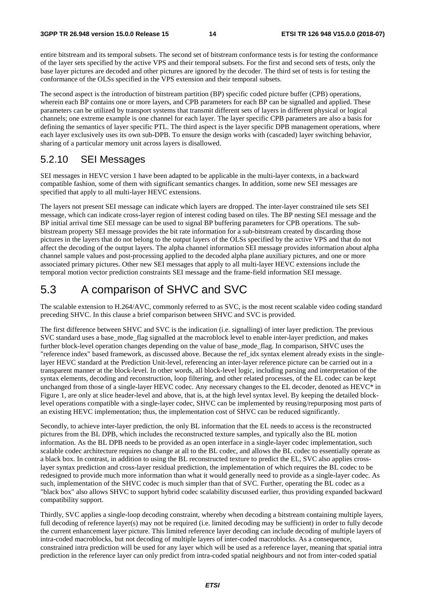entire bitstream and its temporal subsets. The second set of bitstream conformance tests is for testing the conformance of the layer sets specified by the active VPS and their temporal subsets. For the first and second sets of tests, only the base layer pictures are decoded and other pictures are ignored by the decoder. The third set of tests is for testing the conformance of the OLSs specified in the VPS extension and their temporal subsets.

The second aspect is the introduction of bitstream partition (BP) specific coded picture buffer (CPB) operations, wherein each BP contains one or more layers, and CPB parameters for each BP can be signalled and applied. These parameters can be utilized by transport systems that transmit different sets of layers in different physical or logical channels; one extreme example is one channel for each layer. The layer specific CPB parameters are also a basis for defining the semantics of layer specific PTL. The third aspect is the layer specific DPB management operations, where each layer exclusively uses its own sub-DPB. To ensure the design works with (cascaded) layer switching behavior, sharing of a particular memory unit across layers is disallowed.

## 5.2.10 SEI Messages

SEI messages in HEVC version 1 have been adapted to be applicable in the multi-layer contexts, in a backward compatible fashion, some of them with significant semantics changes. In addition, some new SEI messages are specified that apply to all multi-layer HEVC extensions.

The layers not present SEI message can indicate which layers are dropped. The inter-layer constrained tile sets SEI message, which can indicate cross-layer region of interest coding based on tiles. The BP nesting SEI message and the BP initial arrival time SEI message can be used to signal BP buffering parameters for CPB operations. The subbitstream property SEI message provides the bit rate information for a sub-bitstream created by discarding those pictures in the layers that do not belong to the output layers of the OLSs specified by the active VPS and that do not affect the decoding of the output layers. The alpha channel information SEI message provides information about alpha channel sample values and post-processing applied to the decoded alpha plane auxiliary pictures, and one or more associated primary pictures. Other new SEI messages that apply to all multi-layer HEVC extensions include the temporal motion vector prediction constraints SEI message and the frame-field information SEI message.

## 5.3 A comparison of SHVC and SVC

The scalable extension to H.264/AVC, commonly referred to as SVC, is the most recent scalable video coding standard preceding SHVC. In this clause a brief comparison between SHVC and SVC is provided.

The first difference between SHVC and SVC is the indication (i.e. signalling) of inter layer prediction. The previous SVC standard uses a base mode flag signalled at the macroblock level to enable inter-layer prediction, and makes further block-level operation changes depending on the value of base\_mode\_flag. In comparison, SHVC uses the "reference index" based framework, as discussed above. Because the ref\_idx syntax element already exists in the singlelayer HEVC standard at the Prediction Unit-level, referencing an inter-layer reference picture can be carried out in a transparent manner at the block-level. In other words, all block-level logic, including parsing and interpretation of the syntax elements, decoding and reconstruction, loop filtering, and other related processes, of the EL codec can be kept unchanged from those of a single-layer HEVC codec. Any necessary changes to the EL decoder, denoted as HEVC\* in Figure 1, are only at slice header-level and above, that is, at the high level syntax level. By keeping the detailed blocklevel operations compatible with a single-layer codec, SHVC can be implemented by reusing/repurposing most parts of an existing HEVC implementation; thus, the implementation cost of SHVC can be reduced significantly.

Secondly, to achieve inter-layer prediction, the only BL information that the EL needs to access is the reconstructed pictures from the BL DPB, which includes the reconstructed texture samples, and typically also the BL motion information. As the BL DPB needs to be provided as an open interface in a single-layer codec implementation, such scalable codec architecture requires no change at all to the BL codec, and allows the BL codec to essentially operate as a black box. In contrast, in addition to using the BL reconstructed texture to predict the EL, SVC also applies crosslayer syntax prediction and cross-layer residual prediction, the implementation of which requires the BL codec to be redesigned to provide much more information than what it would generally need to provide as a single-layer codec. As such, implementation of the SHVC codec is much simpler than that of SVC. Further, operating the BL codec as a "black box" also allows SHVC to support hybrid codec scalability discussed earlier, thus providing expanded backward compatibility support.

Thirdly, SVC applies a single-loop decoding constraint, whereby when decoding a bitstream containing multiple layers, full decoding of reference layer(s) may not be required (i.e. limited decoding may be sufficient) in order to fully decode the current enhancement layer picture. This limited reference layer decoding can include decoding of multiple layers of intra-coded macroblocks, but not decoding of multiple layers of inter-coded macroblocks. As a consequence, constrained intra prediction will be used for any layer which will be used as a reference layer, meaning that spatial intra prediction in the reference layer can only predict from intra-coded spatial neighbours and not from inter-coded spatial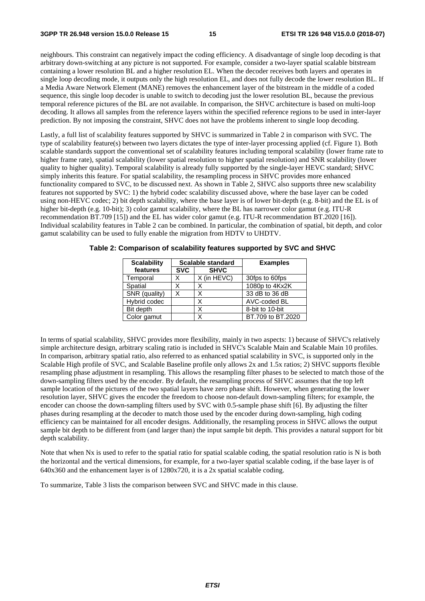neighbours. This constraint can negatively impact the coding efficiency. A disadvantage of single loop decoding is that arbitrary down-switching at any picture is not supported. For example, consider a two-layer spatial scalable bitstream containing a lower resolution BL and a higher resolution EL. When the decoder receives both layers and operates in single loop decoding mode, it outputs only the high resolution EL, and does not fully decode the lower resolution BL. If a Media Aware Network Element (MANE) removes the enhancement layer of the bitstream in the middle of a coded sequence, this single loop decoder is unable to switch to decoding just the lower resolution BL, because the previous temporal reference pictures of the BL are not available. In comparison, the SHVC architecture is based on multi-loop decoding. It allows all samples from the reference layers within the specified reference regions to be used in inter-layer prediction. By not imposing the constraint, SHVC does not have the problems inherent to single loop decoding.

Lastly, a full list of scalability features supported by SHVC is summarized in Table 2 in comparison with SVC. The type of scalability feature(s) between two layers dictates the type of inter-layer processing applied (cf. Figure 1). Both scalable standards support the conventional set of scalability features including temporal scalability (lower frame rate to higher frame rate), spatial scalability (lower spatial resolution to higher spatial resolution) and SNR scalability (lower quality to higher quality). Temporal scalability is already fully supported by the single-layer HEVC standard; SHVC simply inherits this feature. For spatial scalability, the resampling process in SHVC provides more enhanced functionality compared to SVC, to be discussed next. As shown in Table 2, SHVC also supports three new scalability features not supported by SVC: 1) the hybrid codec scalability discussed above, where the base layer can be coded using non-HEVC codec; 2) bit depth scalability, where the base layer is of lower bit-depth (e.g. 8-bit) and the EL is of higher bit-depth (e.g. 10-bit); 3) color gamut scalability, where the BL has narrower color gamut (e.g. ITU-R recommendation BT.709 [15]) and the EL has wider color gamut (e.g. ITU-R recommendation BT.2020 [16]). Individual scalability features in Table 2 can be combined. In particular, the combination of spatial, bit depth, and color gamut scalability can be used to fully enable the migration from HDTV to UHDTV.

| <b>Scalability</b> |            | Scalable standard | <b>Examples</b>   |
|--------------------|------------|-------------------|-------------------|
| features           | <b>SVC</b> | <b>SHVC</b>       |                   |
| Temporal           | X          | X (in HEVC)       | 30fps to 60fps    |
| Spatial            | X          | X                 | 1080p to 4Kx2K    |
| SNR (quality)      | X          |                   | 33 dB to 36 dB    |
| Hybrid codec       |            | X                 | AVC-coded BL      |
| Bit depth          |            | x                 | 8-bit to 10-bit   |
| Color gamut        |            | x                 | BT.709 to BT.2020 |

**Table 2: Comparison of scalability features supported by SVC and SHVC** 

In terms of spatial scalability, SHVC provides more flexibility, mainly in two aspects: 1) because of SHVC's relatively simple architecture design, arbitrary scaling ratio is included in SHVC's Scalable Main and Scalable Main 10 profiles. In comparison, arbitrary spatial ratio, also referred to as enhanced spatial scalability in SVC, is supported only in the Scalable High profile of SVC, and Scalable Baseline profile only allows 2x and 1.5x ratios; 2) SHVC supports flexible resampling phase adjustment in resampling. This allows the resampling filter phases to be selected to match those of the down-sampling filters used by the encoder. By default, the resampling process of SHVC assumes that the top left sample location of the pictures of the two spatial layers have zero phase shift. However, when generating the lower resolution layer, SHVC gives the encoder the freedom to choose non-default down-sampling filters; for example, the encoder can choose the down-sampling filters used by SVC with 0.5-sample phase shift [6]. By adjusting the filter phases during resampling at the decoder to match those used by the encoder during down-sampling, high coding efficiency can be maintained for all encoder designs. Additionally, the resampling process in SHVC allows the output sample bit depth to be different from (and larger than) the input sample bit depth. This provides a natural support for bit depth scalability.

Note that when Nx is used to refer to the spatial ratio for spatial scalable coding, the spatial resolution ratio is N is both the horizontal and the vertical dimensions, for example, for a two-layer spatial scalable coding, if the base layer is of  $640x360$  and the enhancement layer is of  $1280x720$ , it is a 2x spatial scalable coding.

To summarize, Table 3 lists the comparison between SVC and SHVC made in this clause.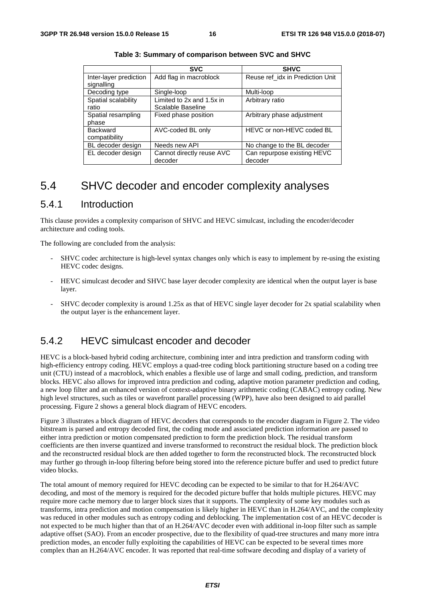|                                      | <b>SVC</b>                                     | <b>SHVC</b>                            |
|--------------------------------------|------------------------------------------------|----------------------------------------|
| Inter-layer prediction<br>signalling | Add flag in macroblock                         | Reuse ref_idx in Prediction Unit       |
| Decoding type                        | Single-loop                                    | Multi-loop                             |
| Spatial scalability<br>ratio         | Limited to 2x and 1.5x in<br>Scalable Baseline | Arbitrary ratio                        |
| Spatial resampling<br>phase          | Fixed phase position                           | Arbitrary phase adjustment             |
| <b>Backward</b><br>compatibility     | AVC-coded BL only                              | HEVC or non-HEVC coded BL              |
| BL decoder design                    | Needs new API                                  | No change to the BL decoder            |
| EL decoder design                    | Cannot directly reuse AVC<br>decoder           | Can repurpose existing HEVC<br>decoder |

## 5.4 SHVC decoder and encoder complexity analyses

### 5.4.1 Introduction

This clause provides a complexity comparison of SHVC and HEVC simulcast, including the encoder/decoder architecture and coding tools.

The following are concluded from the analysis:

- SHVC codec architecture is high-level syntax changes only which is easy to implement by re-using the existing HEVC codec designs.
- HEVC simulcast decoder and SHVC base layer decoder complexity are identical when the output layer is base layer.
- SHVC decoder complexity is around 1.25x as that of HEVC single layer decoder for 2x spatial scalability when the output layer is the enhancement layer.

### 5.4.2 HEVC simulcast encoder and decoder

HEVC is a block-based hybrid coding architecture, combining inter and intra prediction and transform coding with high-efficiency entropy coding. HEVC employs a quad-tree coding block partitioning structure based on a coding tree unit (CTU) instead of a macroblock, which enables a flexible use of large and small coding, prediction, and transform blocks. HEVC also allows for improved intra prediction and coding, adaptive motion parameter prediction and coding, a new loop filter and an enhanced version of context-adaptive binary arithmetic coding (CABAC) entropy coding. New high level structures, such as tiles or wavefront parallel processing (WPP), have also been designed to aid parallel processing. Figure 2 shows a general block diagram of HEVC encoders.

Figure 3 illustrates a block diagram of HEVC decoders that corresponds to the encoder diagram in Figure 2. The video bitstream is parsed and entropy decoded first, the coding mode and associated prediction information are passed to either intra prediction or motion compensated prediction to form the prediction block. The residual transform coefficients are then inverse quantized and inverse transformed to reconstruct the residual block. The prediction block and the reconstructed residual block are then added together to form the reconstructed block. The reconstructed block may further go through in-loop filtering before being stored into the reference picture buffer and used to predict future video blocks.

The total amount of memory required for HEVC decoding can be expected to be similar to that for H.264/AVC decoding, and most of the memory is required for the decoded picture buffer that holds multiple pictures. HEVC may require more cache memory due to larger block sizes that it supports. The complexity of some key modules such as transforms, intra prediction and motion compensation is likely higher in HEVC than in H.264/AVC, and the complexity was reduced in other modules such as entropy coding and deblocking. The implementation cost of an HEVC decoder is not expected to be much higher than that of an H.264/AVC decoder even with additional in-loop filter such as sample adaptive offset (SAO). From an encoder prospective, due to the flexibility of quad-tree structures and many more intra prediction modes, an encoder fully exploiting the capabilities of HEVC can be expected to be several times more complex than an H.264/AVC encoder. It was reported that real-time software decoding and display of a variety of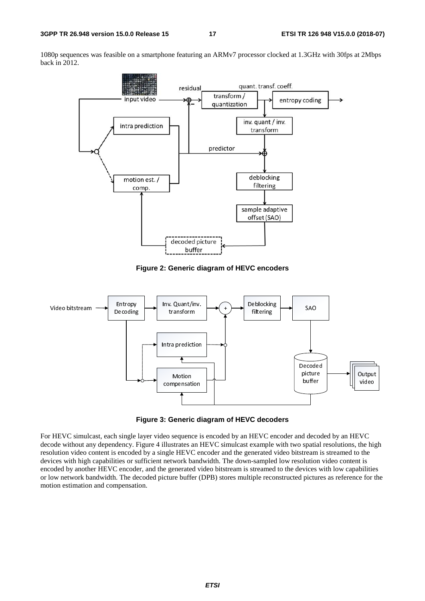1080p sequences was feasible on a smartphone featuring an ARMv7 processor clocked at 1.3GHz with 30fps at 2Mbps back in 2012.



**Figure 2: Generic diagram of HEVC encoders** 





For HEVC simulcast, each single layer video sequence is encoded by an HEVC encoder and decoded by an HEVC decode without any dependency. Figure 4 illustrates an HEVC simulcast example with two spatial resolutions, the high resolution video content is encoded by a single HEVC encoder and the generated video bitstream is streamed to the devices with high capabilities or sufficient network bandwidth. The down-sampled low resolution video content is encoded by another HEVC encoder, and the generated video bitstream is streamed to the devices with low capabilities or low network bandwidth. The decoded picture buffer (DPB) stores multiple reconstructed pictures as reference for the motion estimation and compensation.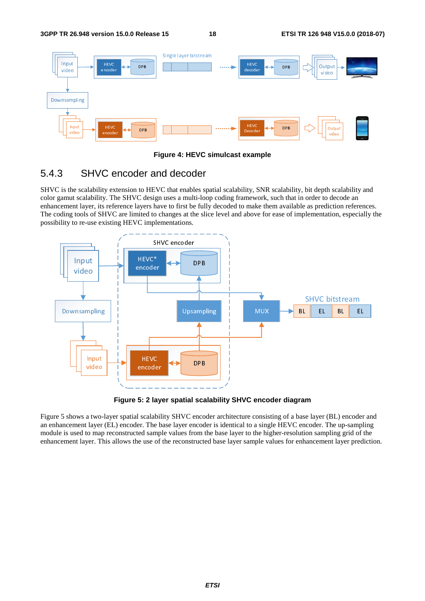

**Figure 4: HEVC simulcast example** 

## 5.4.3 SHVC encoder and decoder

SHVC is the scalability extension to HEVC that enables spatial scalability, SNR scalability, bit depth scalability and color gamut scalability. The SHVC design uses a multi-loop coding framework, such that in order to decode an enhancement layer, its reference layers have to first be fully decoded to make them available as prediction references. The coding tools of SHVC are limited to changes at the slice level and above for ease of implementation, especially the possibility to re-use existing HEVC implementations.



**Figure 5: 2 layer spatial scalability SHVC encoder diagram** 

Figure 5 shows a two-layer spatial scalability SHVC encoder architecture consisting of a base layer (BL) encoder and an enhancement layer (EL) encoder. The base layer encoder is identical to a single HEVC encoder. The up-sampling module is used to map reconstructed sample values from the base layer to the higher-resolution sampling grid of the enhancement layer. This allows the use of the reconstructed base layer sample values for enhancement layer prediction.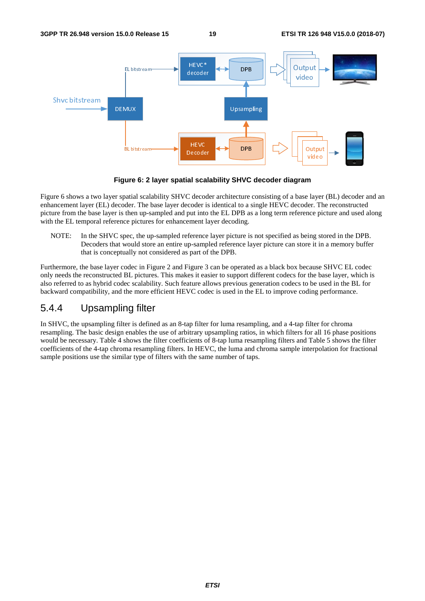



Figure 6 shows a two layer spatial scalability SHVC decoder architecture consisting of a base layer (BL) decoder and an enhancement layer (EL) decoder. The base layer decoder is identical to a single HEVC decoder. The reconstructed picture from the base layer is then up-sampled and put into the EL DPB as a long term reference picture and used along with the EL temporal reference pictures for enhancement layer decoding.

NOTE: In the SHVC spec, the up-sampled reference layer picture is not specified as being stored in the DPB. Decoders that would store an entire up-sampled reference layer picture can store it in a memory buffer that is conceptually not considered as part of the DPB.

Furthermore, the base layer codec in Figure 2 and Figure 3 can be operated as a black box because SHVC EL codec only needs the reconstructed BL pictures. This makes it easier to support different codecs for the base layer, which is also referred to as hybrid codec scalability. Such feature allows previous generation codecs to be used in the BL for backward compatibility, and the more efficient HEVC codec is used in the EL to improve coding performance.

## 5.4.4 Upsampling filter

In SHVC, the upsampling filter is defined as an 8-tap filter for luma resampling, and a 4-tap filter for chroma resampling. The basic design enables the use of arbitrary upsampling ratios, in which filters for all 16 phase positions would be necessary. Table 4 shows the filter coefficients of 8-tap luma resampling filters and Table 5 shows the filter coefficients of the 4-tap chroma resampling filters. In HEVC, the luma and chroma sample interpolation for fractional sample positions use the similar type of filters with the same number of taps.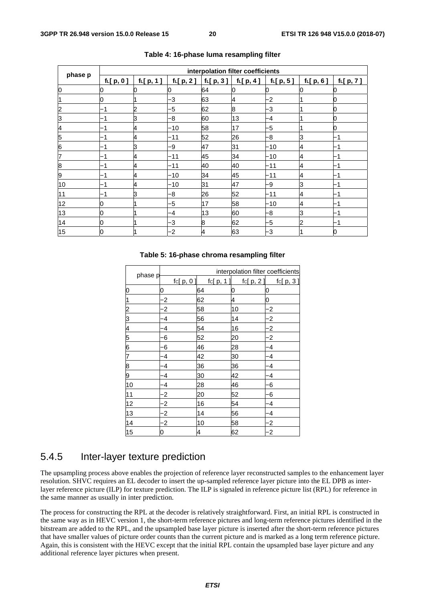|         |             |             |             |                      | interpolation filter coefficients |                           |             |             |
|---------|-------------|-------------|-------------|----------------------|-----------------------------------|---------------------------|-------------|-------------|
| phase p | $f_L[p, 0]$ | $f_L[p, 1]$ | $f_L[p, 2]$ | $f_{\text{L}}[p, 3]$ | $f_L[p, 4]$                       | f <sub>L</sub> [ $p, 5$ ] | $f_L[p, 6]$ | $f_L[p, 7]$ |
| 0       | О           |             |             | 64                   |                                   |                           |             |             |
|         | Ю           |             | -3          | 63                   | 4                                 | -2                        |             |             |
|         | -1          | n           | -5          | 62                   | 8                                 | -3                        |             |             |
| З       | -1          | ß           | -8          | 60                   | 13                                | -4                        |             |             |
| 4       | -1          | 4           | -10         | 58                   | 17                                | -5                        |             |             |
| 5       |             | 4           | -11         | 52                   | 26                                | -8                        | 3           |             |
| 6       |             | ß           | -9          | 47                   | 31                                | $-10$                     | 4           |             |
| 7       |             | 4           | -11         | 45                   | 34                                | -10                       | 4           |             |
| 8       | -1          | и           | $-11$       | 40                   | 40                                | -11                       | 4           |             |
| 9       | -1          | 4           | $-10$       | 34                   | 45                                | $-11$                     | 4           | 1           |
| 10      | ٠           | 4           | -10         | 31                   | 47                                | -9                        | З           |             |
| 11      |             | ß           | -8          | 26                   | 52                                | -11                       | 4           |             |
| 12      | Ю           |             | -5          | 17                   | 58                                | $-10$                     | 4           |             |
| 13      | Ю           |             | -4          | 13                   | 60                                | -8                        | З           |             |
| 14      | 0           |             | -3          | 8                    | 62                                | -5                        | 2           |             |
| 15      | Ю           |             | $-2$        |                      | 63                                | -3                        |             |             |

#### **Table 4: 16-phase luma resampling filter**

|    |         |         |            |    |           |    | interpolation filter coefficients |                         |            |
|----|---------|---------|------------|----|-----------|----|-----------------------------------|-------------------------|------------|
|    | phase p |         | fc[ p, 0 ] |    | fc[ p, 1] |    | fc[ p, 2 ]                        |                         | fc[ p, 3 ] |
| 0  |         | 0       |            | 64 |           | 0  |                                   | 0                       |            |
| 1  |         | $\cdot$ |            | 62 |           | 4  |                                   | 0                       |            |
| 2  |         | $\cdot$ |            | 58 |           | 10 |                                   | -2                      |            |
| З  |         | 4       |            | 56 |           | 14 |                                   | $\cdot$                 |            |
| 4  |         | 4       |            | 54 |           | 16 |                                   | $\cdot$                 |            |
| 5  |         | 6       |            | 52 |           | 20 |                                   | $\overline{\mathbf{2}}$ |            |
| 6  |         | -6      |            | 46 |           | 28 |                                   | 4                       |            |
| 7  |         | -4      |            | 42 |           | 30 |                                   | -4                      |            |
| 8  |         | -4      |            | 36 |           | 36 |                                   | -4                      |            |
| 9  |         | -4      |            | 30 |           | 42 |                                   | -4                      |            |
| 10 |         | -4      |            | 28 |           | 46 |                                   | -6                      |            |
| 11 |         | $\cdot$ |            | 20 |           | 52 |                                   | -6                      |            |
| 12 |         | $\cdot$ |            | 16 |           | 54 |                                   | -4                      |            |
| 13 |         | $\cdot$ |            | 14 |           | 56 |                                   | -4                      |            |
| 14 |         | $\cdot$ |            | 10 |           | 58 |                                   | $\cdot$                 |            |
| 15 |         | 0       |            | 4  |           | 62 |                                   | $\overline{\mathbf{2}}$ |            |

#### **Table 5: 16-phase chroma resampling filter**

## 5.4.5 Inter-layer texture prediction

The upsampling process above enables the projection of reference layer reconstructed samples to the enhancement layer resolution. SHVC requires an EL decoder to insert the up-sampled reference layer picture into the EL DPB as interlayer reference picture (ILP) for texture prediction. The ILP is signaled in reference picture list (RPL) for reference in the same manner as usually in inter prediction.

The process for constructing the RPL at the decoder is relatively straightforward. First, an initial RPL is constructed in the same way as in HEVC version 1, the short-term reference pictures and long-term reference pictures identified in the bitstream are added to the RPL, and the upsampled base layer picture is inserted after the short-term reference pictures that have smaller values of picture order counts than the current picture and is marked as a long term reference picture. Again, this is consistent with the HEVC except that the initial RPL contain the upsampled base layer picture and any additional reference layer pictures when present.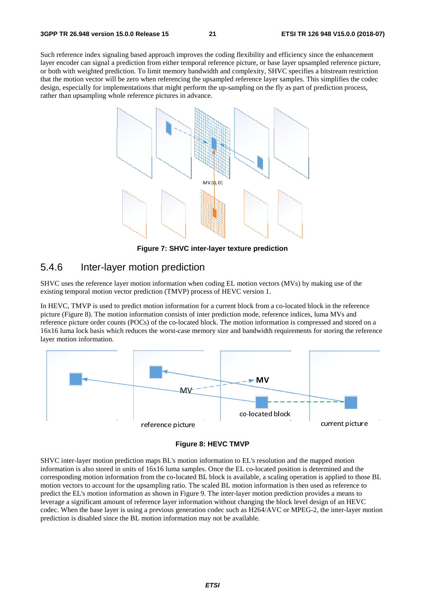Such reference index signaling based approach improves the coding flexibility and efficiency since the enhancement layer encoder can signal a prediction from either temporal reference picture, or base layer upsampled reference picture, or both with weighted prediction. To limit memory bandwidth and complexity, SHVC specifies a bitstream restriction that the motion vector will be zero when referencing the upsampled reference layer samples. This simplifies the codec design, especially for implementations that might perform the up-sampling on the fly as part of prediction process, rather than upsampling whole reference pictures in advance.



**Figure 7: SHVC inter-layer texture prediction** 

### 5.4.6 Inter-layer motion prediction

SHVC uses the reference layer motion information when coding EL motion vectors (MVs) by making use of the existing temporal motion vector prediction (TMVP) process of HEVC version 1.

In HEVC, TMVP is used to predict motion information for a current block from a co-located block in the reference picture (Figure 8). The motion information consists of inter prediction mode, reference indices, luma MVs and reference picture order counts (POCs) of the co-located block. The motion information is compressed and stored on a 16x16 luma lock basis which reduces the worst-case memory size and bandwidth requirements for storing the reference layer motion information.



**Figure 8: HEVC TMVP** 

SHVC inter-layer motion prediction maps BL's motion information to EL's resolution and the mapped motion information is also stored in units of 16x16 luma samples. Once the EL co-located position is determined and the corresponding motion information from the co-located BL block is available, a scaling operation is applied to those BL motion vectors to account for the upsampling ratio. The scaled BL motion information is then used as reference to predict the EL's motion information as shown in Figure 9. The inter-layer motion prediction provides a means to leverage a significant amount of reference layer information without changing the block level design of an HEVC codec. When the base layer is using a previous generation codec such as H264/AVC or MPEG-2, the inter-layer motion prediction is disabled since the BL motion information may not be available.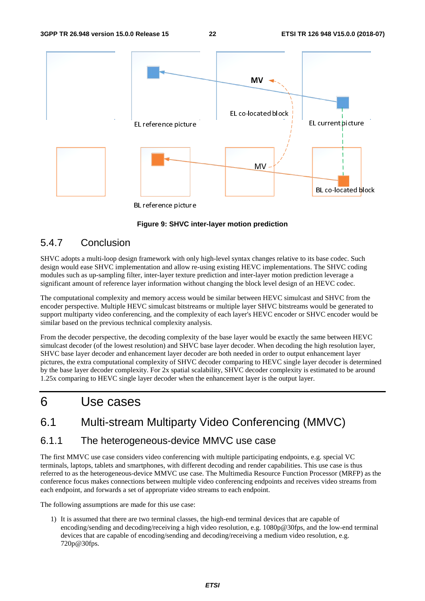

BL reference picture

#### **Figure 9: SHVC inter-layer motion prediction**

### 5.4.7 Conclusion

SHVC adopts a multi-loop design framework with only high-level syntax changes relative to its base codec. Such design would ease SHVC implementation and allow re-using existing HEVC implementations. The SHVC coding modules such as up-sampling filter, inter-layer texture prediction and inter-layer motion prediction leverage a significant amount of reference layer information without changing the block level design of an HEVC codec.

The computational complexity and memory access would be similar between HEVC simulcast and SHVC from the encoder perspective. Multiple HEVC simulcast bitstreams or multiple layer SHVC bitstreams would be generated to support multiparty video conferencing, and the complexity of each layer's HEVC encoder or SHVC encoder would be similar based on the previous technical complexity analysis.

From the decoder perspective, the decoding complexity of the base layer would be exactly the same between HEVC simulcast decoder (of the lowest resolution) and SHVC base layer decoder. When decoding the high resolution layer, SHVC base layer decoder and enhancement layer decoder are both needed in order to output enhancement layer pictures, the extra computational complexity of SHVC decoder comparing to HEVC single layer decoder is determined by the base layer decoder complexity. For 2x spatial scalability, SHVC decoder complexity is estimated to be around 1.25x comparing to HEVC single layer decoder when the enhancement layer is the output layer.

## 6 Use cases

6.1 Multi-stream Multiparty Video Conferencing (MMVC)

### 6.1.1 The heterogeneous-device MMVC use case

The first MMVC use case considers video conferencing with multiple participating endpoints, e.g. special VC terminals, laptops, tablets and smartphones, with different decoding and render capabilities. This use case is thus referred to as the heterogeneous-device MMVC use case. The Multimedia Resource Function Processor (MRFP) as the conference focus makes connections between multiple video conferencing endpoints and receives video streams from each endpoint, and forwards a set of appropriate video streams to each endpoint.

The following assumptions are made for this use case:

1) It is assumed that there are two terminal classes, the high-end terminal devices that are capable of encoding/sending and decoding/receiving a high video resolution, e.g. 1080p@30fps, and the low-end terminal devices that are capable of encoding/sending and decoding/receiving a medium video resolution, e.g. 720p@30fps.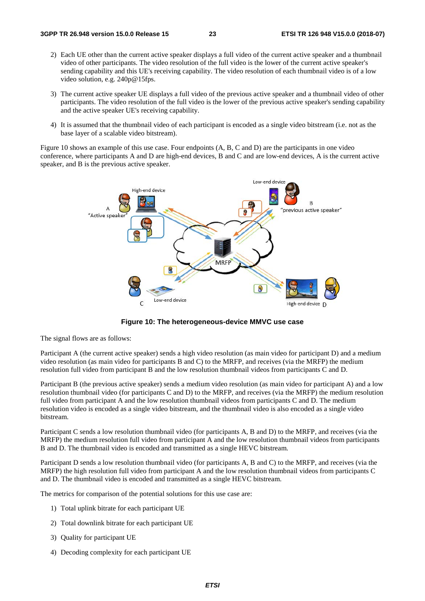- 2) Each UE other than the current active speaker displays a full video of the current active speaker and a thumbnail video of other participants. The video resolution of the full video is the lower of the current active speaker's sending capability and this UE's receiving capability. The video resolution of each thumbnail video is of a low video solution, e.g. 240p@15fps.
- 3) The current active speaker UE displays a full video of the previous active speaker and a thumbnail video of other participants. The video resolution of the full video is the lower of the previous active speaker's sending capability and the active speaker UE's receiving capability.
- 4) It is assumed that the thumbnail video of each participant is encoded as a single video bitstream (i.e. not as the base layer of a scalable video bitstream).

Figure 10 shows an example of this use case. Four endpoints (A, B, C and D) are the participants in one video conference, where participants A and D are high-end devices, B and C and are low-end devices, A is the current active speaker, and B is the previous active speaker.



**Figure 10: The heterogeneous-device MMVC use case** 

The signal flows are as follows:

Participant A (the current active speaker) sends a high video resolution (as main video for participant D) and a medium video resolution (as main video for participants B and C) to the MRFP, and receives (via the MRFP) the medium resolution full video from participant B and the low resolution thumbnail videos from participants C and D.

Participant B (the previous active speaker) sends a medium video resolution (as main video for participant A) and a low resolution thumbnail video (for participants C and D) to the MRFP, and receives (via the MRFP) the medium resolution full video from participant A and the low resolution thumbnail videos from participants C and D. The medium resolution video is encoded as a single video bitstream, and the thumbnail video is also encoded as a single video bitstream.

Participant C sends a low resolution thumbnail video (for participants A, B and D) to the MRFP, and receives (via the MRFP) the medium resolution full video from participant A and the low resolution thumbnail videos from participants B and D. The thumbnail video is encoded and transmitted as a single HEVC bitstream.

Participant D sends a low resolution thumbnail video (for participants A, B and C) to the MRFP, and receives (via the MRFP) the high resolution full video from participant A and the low resolution thumbnail videos from participants C and D. The thumbnail video is encoded and transmitted as a single HEVC bitstream.

The metrics for comparison of the potential solutions for this use case are:

- 1) Total uplink bitrate for each participant UE
- 2) Total downlink bitrate for each participant UE
- 3) Quality for participant UE
- 4) Decoding complexity for each participant UE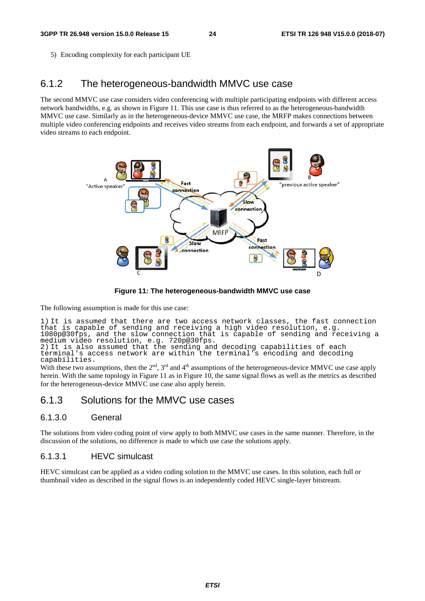5) Encoding complexity for each participant UE

## 6.1.2 The heterogeneous-bandwidth MMVC use case

The second MMVC use case considers video conferencing with multiple participating endpoints with different access network bandwidths, e.g. as shown in Figure 11. This use case is thus referred to as the heterogeneous-bandwidth MMVC use case. Similarly as in the heterogeneous-device MMVC use case, the MRFP makes connections between multiple video conferencing endpoints and receives video streams from each endpoint, and forwards a set of appropriate video streams to each endpoint.



**Figure 11: The heterogeneous-bandwidth MMVC use case** 

The following assumption is made for this use case:

1) It is assumed that there are two access network classes, the fast connection that is capable of sending and receiving a high video resolution, e.g. 1080p@30fps, and the slow connection that is capable of sending and receiving a medium video resolution, e.g. 720p@30fps. 2) It is also assumed that the sending and decoding capabilities of each terminal's access network are within the terminal's encoding and decoding capabilities.

With these two assumptions, then the  $2<sup>nd</sup>$ ,  $3<sup>rd</sup>$  and  $4<sup>th</sup>$  assumptions of the heterogeneous-device MMVC use case apply herein. With the same topology in Figure 11 as in Figure 10, the same signal flows as well as the metrics as described for the heterogeneous-device MMVC use case also apply herein.

### 6.1.3 Solutions for the MMVC use cases

#### 6.1.3.0 General

The solutions from video coding point of view apply to both MMVC use cases in the same manner. Therefore, in the discussion of the solutions, no difference is made to which use case the solutions apply.

#### 6.1.3.1 HEVC simulcast

HEVC simulcast can be applied as a video coding solution to the MMVC use cases. In this solution, each full or thumbnail video as described in the signal flows is an independently coded HEVC single-layer bitstream.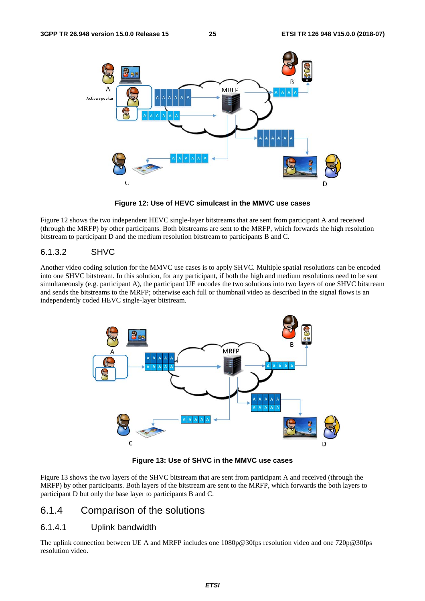

**Figure 12: Use of HEVC simulcast in the MMVC use cases** 

Figure 12 shows the two independent HEVC single-layer bitstreams that are sent from participant A and received (through the MRFP) by other participants. Both bitstreams are sent to the MRFP, which forwards the high resolution bitstream to participant D and the medium resolution bitstream to participants B and C.

#### 6.1.3.2 SHVC

Another video coding solution for the MMVC use cases is to apply SHVC. Multiple spatial resolutions can be encoded into one SHVC bitstream. In this solution, for any participant, if both the high and medium resolutions need to be sent simultaneously (e.g. participant A), the participant UE encodes the two solutions into two layers of one SHVC bitstream and sends the bitstreams to the MRFP; otherwise each full or thumbnail video as described in the signal flows is an independently coded HEVC single-layer bitstream.



**Figure 13: Use of SHVC in the MMVC use cases** 

Figure 13 shows the two layers of the SHVC bitstream that are sent from participant A and received (through the MRFP) by other participants. Both layers of the bitstream are sent to the MRFP, which forwards the both layers to participant D but only the base layer to participants B and C.

## 6.1.4 Comparison of the solutions

#### 6.1.4.1 Uplink bandwidth

The uplink connection between UE A and MRFP includes one 1080p@30fps resolution video and one 720p@30fps resolution video.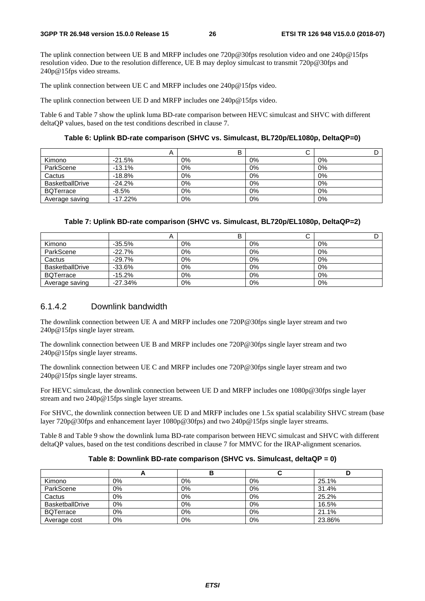The uplink connection between UE B and MRFP includes one 720p@30fps resolution video and one 240p@15fps resolution video. Due to the resolution difference, UE B may deploy simulcast to transmit 720p@30fps and 240p@15fps video streams.

The uplink connection between UE C and MRFP includes one 240p@15fps video.

The uplink connection between UE D and MRFP includes one 240p@15fps video.

Table 6 and Table 7 show the uplink luma BD-rate comparison between HEVC simulcast and SHVC with different deltaQP values, based on the test conditions described in clause 7.

**Table 6: Uplink BD-rate comparison (SHVC vs. Simulcast, BL720p/EL1080p, DeltaQP=0)** 

|                        | n          |    | ັ  |    |
|------------------------|------------|----|----|----|
| Kimono                 | $-21.5%$   | 0% | 0% | 0% |
| ParkScene              | $-13.1%$   | 0% | 0% | 0% |
| Cactus                 | $-18.8%$   | 0% | 0% | 0% |
| <b>BasketballDrive</b> | $-24.2%$   | 0% | 0% | 0% |
| <b>BQTerrace</b>       | $-8.5%$    | 0% | 0% | 0% |
| Average saving         | $-17.22\%$ | 0% | 0% | 0% |

| Table 7: Uplink BD-rate comparison (SHVC vs. Simulcast, BL720p/EL1080p, DeltaQP=2) |
|------------------------------------------------------------------------------------|
|------------------------------------------------------------------------------------|

|                        | Ħ         |       | ີ  |       |
|------------------------|-----------|-------|----|-------|
| Kimono                 | $-35.5%$  | 0%    | 0% | 0%    |
| ParkScene              | $-22.7%$  | 0%    | 0% | 0%    |
| Cactus                 | $-29.7%$  | 0%    | 0% | 0%    |
| <b>BasketballDrive</b> | $-33.6%$  | 0%    | 0% | $0\%$ |
| <b>BQTerrace</b>       | $-15.2%$  | $0\%$ | 0% | 0%    |
| Average saving         | $-27.34%$ | $0\%$ | 0% | 0%    |

#### 6.1.4.2 Downlink bandwidth

The downlink connection between UE A and MRFP includes one 720P@30fps single layer stream and two 240p@15fps single layer stream.

The downlink connection between UE B and MRFP includes one 720P@30fps single layer stream and two 240p@15fps single layer streams.

The downlink connection between UE C and MRFP includes one 720P@30fps single layer stream and two 240p@15fps single layer streams.

For HEVC simulcast, the downlink connection between UE D and MRFP includes one 1080p@30fps single layer stream and two 240p@15fps single layer streams.

For SHVC, the downlink connection between UE D and MRFP includes one 1.5x spatial scalability SHVC stream (base layer 720p@30fps and enhancement layer 1080p@30fps) and two 240p@15fps single layer streams.

Table 8 and Table 9 show the downlink luma BD-rate comparison between HEVC simulcast and SHVC with different deltaQP values, based on the test conditions described in clause 7 for MMVC for the IRAP-alignment scenarios.

#### **Table 8: Downlink BD-rate comparison (SHVC vs. Simulcast, deltaQP = 0)**

|                        | n     |       | w  |        |
|------------------------|-------|-------|----|--------|
| Kimono                 | 0%    | 0%    | 0% | 25.1%  |
| ParkScene              | 0%    | $0\%$ | 0% | 31.4%  |
| Cactus                 | $0\%$ | 0%    | 0% | 25.2%  |
| <b>BasketballDrive</b> | 0%    | 0%    | 0% | 16.5%  |
| <b>BQTerrace</b>       | $0\%$ | 0%    | 0% | 21.1%  |
| Average cost           | 0%    | 0%    | 0% | 23.86% |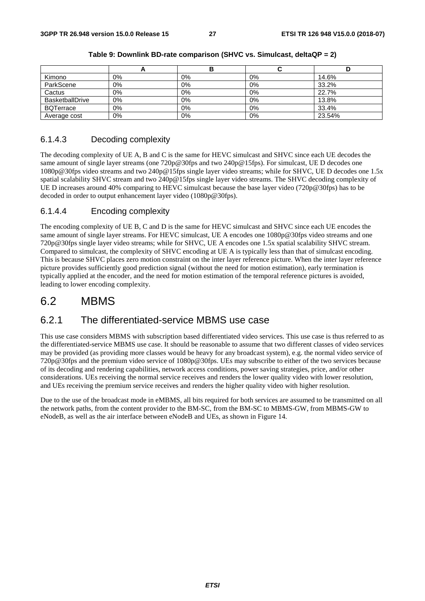|                        | n     |       | ີ     |        |
|------------------------|-------|-------|-------|--------|
| Kimono                 | 0%    | 0%    | $0\%$ | 14.6%  |
| ParkScene              | 0%    | 0%    | 0%    | 33.2%  |
| Cactus                 | $0\%$ | 0%    | 0%    | 22.7%  |
| <b>BasketballDrive</b> | 0%    | 0%    | $0\%$ | 13.8%  |
| <b>BQTerrace</b>       | 0%    | 0%    | 0%    | 33.4%  |
| Average cost           | $0\%$ | $0\%$ | 0%    | 23.54% |

#### 6.1.4.3 Decoding complexity

The decoding complexity of UE A, B and C is the same for HEVC simulcast and SHVC since each UE decodes the same amount of single layer streams (one 720p@30fps and two 240p@15fps). For simulcast, UE D decodes one 1080p@30fps video streams and two 240p@15fps single layer video streams; while for SHVC, UE D decodes one 1.5x spatial scalability SHVC stream and two 240p@15fps single layer video streams. The SHVC decoding complexity of UE D increases around 40% comparing to HEVC simulcast because the base layer video (720p@30fps) has to be decoded in order to output enhancement layer video (1080p@30fps).

#### 6.1.4.4 Encoding complexity

The encoding complexity of UE B, C and D is the same for HEVC simulcast and SHVC since each UE encodes the same amount of single layer streams. For HEVC simulcast, UE A encodes one 1080p@30fps video streams and one 720p@30fps single layer video streams; while for SHVC, UE A encodes one 1.5x spatial scalability SHVC stream. Compared to simulcast, the complexity of SHVC encoding at UE A is typically less than that of simulcast encoding. This is because SHVC places zero motion constraint on the inter layer reference picture. When the inter layer reference picture provides sufficiently good prediction signal (without the need for motion estimation), early termination is typically applied at the encoder, and the need for motion estimation of the temporal reference pictures is avoided, leading to lower encoding complexity.

## 6.2 MBMS

## 6.2.1 The differentiated-service MBMS use case

This use case considers MBMS with subscription based differentiated video services. This use case is thus referred to as the differentiated-service MBMS use case. It should be reasonable to assume that two different classes of video services may be provided (as providing more classes would be heavy for any broadcast system), e.g. the normal video service of 720p@30fps and the premium video service of 1080p@30fps. UEs may subscribe to either of the two services because of its decoding and rendering capabilities, network access conditions, power saving strategies, price, and/or other considerations. UEs receiving the normal service receives and renders the lower quality video with lower resolution, and UEs receiving the premium service receives and renders the higher quality video with higher resolution.

Due to the use of the broadcast mode in eMBMS, all bits required for both services are assumed to be transmitted on all the network paths, from the content provider to the BM-SC, from the BM-SC to MBMS-GW, from MBMS-GW to eNodeB, as well as the air interface between eNodeB and UEs, as shown in Figure 14.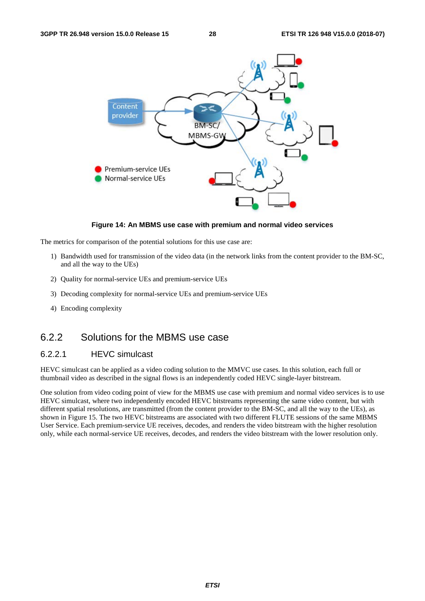

#### **Figure 14: An MBMS use case with premium and normal video services**

The metrics for comparison of the potential solutions for this use case are:

- 1) Bandwidth used for transmission of the video data (in the network links from the content provider to the BM-SC, and all the way to the UEs)
- 2) Quality for normal-service UEs and premium-service UEs
- 3) Decoding complexity for normal-service UEs and premium-service UEs
- 4) Encoding complexity

## 6.2.2 Solutions for the MBMS use case

#### 6.2.2.1 HEVC simulcast

HEVC simulcast can be applied as a video coding solution to the MMVC use cases. In this solution, each full or thumbnail video as described in the signal flows is an independently coded HEVC single-layer bitstream.

One solution from video coding point of view for the MBMS use case with premium and normal video services is to use HEVC simulcast, where two independently encoded HEVC bitstreams representing the same video content, but with different spatial resolutions, are transmitted (from the content provider to the BM-SC, and all the way to the UEs), as shown in Figure 15. The two HEVC bitstreams are associated with two different FLUTE sessions of the same MBMS User Service. Each premium-service UE receives, decodes, and renders the video bitstream with the higher resolution only, while each normal-service UE receives, decodes, and renders the video bitstream with the lower resolution only.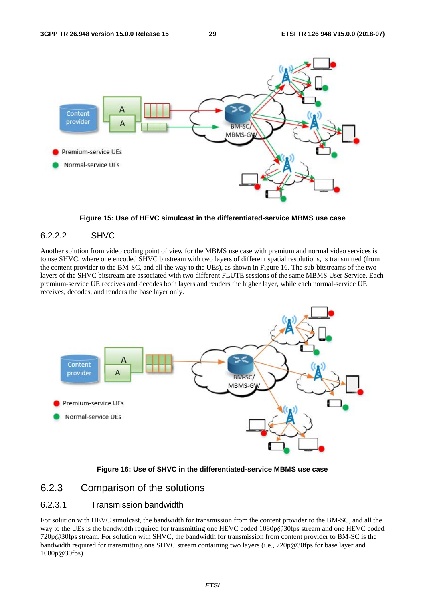

**Figure 15: Use of HEVC simulcast in the differentiated-service MBMS use case** 

#### 6.2.2.2 SHVC

Another solution from video coding point of view for the MBMS use case with premium and normal video services is to use SHVC, where one encoded SHVC bitstream with two layers of different spatial resolutions, is transmitted (from the content provider to the BM-SC, and all the way to the UEs), as shown in Figure 16. The sub-bitstreams of the two layers of the SHVC bitstream are associated with two different FLUTE sessions of the same MBMS User Service. Each premium-service UE receives and decodes both layers and renders the higher layer, while each normal-service UE receives, decodes, and renders the base layer only.



#### **Figure 16: Use of SHVC in the differentiated-service MBMS use case**

### 6.2.3 Comparison of the solutions

#### 6.2.3.1 Transmission bandwidth

For solution with HEVC simulcast, the bandwidth for transmission from the content provider to the BM-SC, and all the way to the UEs is the bandwidth required for transmitting one HEVC coded 1080p@30fps stream and one HEVC coded 720p@30fps stream. For solution with SHVC, the bandwidth for transmission from content provider to BM-SC is the bandwidth required for transmitting one SHVC stream containing two layers (i.e., 720p@30fps for base layer and 1080p@30fps).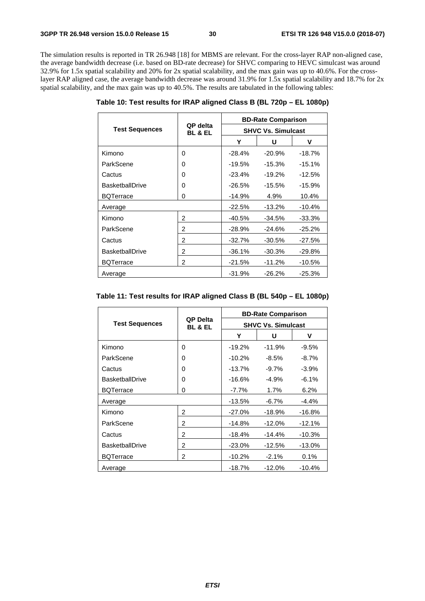The simulation results is reported in TR 26.948 [18] for MBMS are relevant. For the cross-layer RAP non-aligned case, the average bandwidth decrease (i.e. based on BD-rate decrease) for SHVC comparing to HEVC simulcast was around 32.9% for 1.5x spatial scalability and 20% for 2x spatial scalability, and the max gain was up to 40.6%. For the crosslayer RAP aligned case, the average bandwidth decrease was around 31.9% for 1.5x spatial scalability and 18.7% for 2x spatial scalability, and the max gain was up to 40.5%. The results are tabulated in the following tables:

|                        | QP delta<br><b>BL &amp; EL</b> | <b>BD-Rate Comparison</b> |          |          |
|------------------------|--------------------------------|---------------------------|----------|----------|
| <b>Test Sequences</b>  |                                | <b>SHVC Vs. Simulcast</b> |          |          |
|                        |                                | Y                         | U        | v        |
| Kimono                 | 0                              | $-28.4%$                  | $-20.9%$ | $-18.7%$ |
| ParkScene              | 0                              | $-19.5%$                  | $-15.3%$ | $-15.1%$ |
| Cactus                 | 0                              | $-23.4\%$                 | $-19.2%$ | $-12.5%$ |
| <b>BasketballDrive</b> | 0                              | $-26.5\%$                 | $-15.5%$ | $-15.9%$ |
| <b>BQTerrace</b>       | 0                              | $-14.9%$                  | 4.9%     | 10.4%    |
| Average                |                                | $-22.5%$                  | $-13.2%$ | $-10.4%$ |
| Kimono                 | $\overline{2}$                 | -40.5%                    | $-34.5%$ | $-33.3%$ |
| ParkScene              | $\overline{2}$                 | $-28.9%$                  | $-24.6%$ | $-25.2%$ |
| Cactus                 | $\overline{2}$                 | $-32.7%$                  | $-30.5%$ | $-27.5%$ |
| <b>BasketballDrive</b> | $\overline{2}$                 | $-36.1%$                  | $-30.3%$ | $-29.8%$ |
| <b>BQTerrace</b>       | 2                              | $-21.5%$                  | $-11.2%$ | -10.5%   |
| Average                |                                | -31.9%                    | $-26.2%$ | $-25.3%$ |

**Table 10: Test results for IRAP aligned Class B (BL 720p – EL 1080p)** 

| Table 11: Test results for IRAP aligned Class B (BL 540p - EL 1080p) |  |  |
|----------------------------------------------------------------------|--|--|
|----------------------------------------------------------------------|--|--|

|                        | QP Delta<br><b>BL &amp; EL</b> | <b>BD-Rate Comparison</b> |           |          |
|------------------------|--------------------------------|---------------------------|-----------|----------|
| <b>Test Sequences</b>  |                                | <b>SHVC Vs. Simulcast</b> |           |          |
|                        |                                | Υ                         | U         | v        |
| Kimono                 | 0                              | $-19.2%$                  | $-11.9%$  | $-9.5%$  |
| ParkScene              | 0                              | $-10.2%$                  | $-8.5\%$  | $-8.7%$  |
| Cactus                 | 0                              | $-13.7%$                  | $-9.7\%$  | $-3.9%$  |
| <b>BasketballDrive</b> | 0                              | $-16.6%$                  | $-4.9\%$  | $-6.1%$  |
| <b>BQTerrace</b>       | 0                              | $-7.7\%$                  | 1.7%      | 6.2%     |
| Average                |                                | $-13.5%$                  | $-6.7\%$  | $-4.4%$  |
| Kimono                 | 2                              | $-27.0%$                  | $-18.9%$  | $-16.8%$ |
| ParkScene              | 2                              | $-14.8%$                  | $-12.0%$  | $-12.1%$ |
| Cactus                 | 2                              | $-18.4%$                  | $-14.4%$  | $-10.3%$ |
| <b>BasketballDrive</b> | 2                              | $-23.0%$                  | $-12.5%$  | $-13.0%$ |
| <b>BQTerrace</b>       | 2                              | $-10.2%$                  | $-2.1%$   | 0.1%     |
| Average                |                                | $-18.7%$                  | $-12.0\%$ | $-10.4%$ |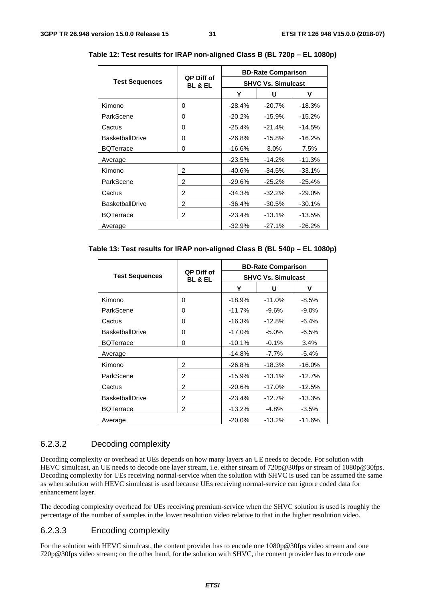|                        | QP Diff of<br><b>BL &amp; EL</b> | <b>BD-Rate Comparison</b> |          |           |
|------------------------|----------------------------------|---------------------------|----------|-----------|
| <b>Test Sequences</b>  |                                  | <b>SHVC Vs. Simulcast</b> |          |           |
|                        |                                  | Y                         | U        | ۷         |
| Kimono                 | 0                                | $-28.4%$                  | $-20.7%$ | $-18.3%$  |
| ParkScene              | 0                                | $-20.2%$                  | $-15.9%$ | $-15.2%$  |
| Cactus                 | 0                                | $-25.4%$                  | $-21.4%$ | $-14.5%$  |
| <b>BasketballDrive</b> | 0                                | $-26.8%$                  | $-15.8%$ | $-16.2%$  |
| <b>BQTerrace</b>       | 0                                | $-16.6%$                  | 3.0%     | 7.5%      |
| Average                |                                  | $-23.5%$                  | $-14.2%$ | $-11.3%$  |
| Kimono                 | 2                                | $-40.6%$                  | $-34.5%$ | $-33.1%$  |
| ParkScene              | 2                                | $-29.6%$                  | $-25.2%$ | $-25.4%$  |
| Cactus                 | 2                                | $-34.3%$                  | $-32.2%$ | $-29.0\%$ |
| <b>BasketballDrive</b> | 2                                | $-36.4%$                  | $-30.5%$ | $-30.1%$  |
| <b>BQTerrace</b>       | 2                                | $-23.4%$                  | $-13.1%$ | -13.5%    |
| Average                |                                  | $-32.9%$                  | $-27.1%$ | $-26.2%$  |

**Table 12: Test results for IRAP non-aligned Class B (BL 720p – EL 1080p)** 

#### **Table 13: Test results for IRAP non-aligned Class B (BL 540p – EL 1080p)**

|                        | QP Diff of<br><b>BL &amp; EL</b> | <b>BD-Rate Comparison</b> |           |           |  |
|------------------------|----------------------------------|---------------------------|-----------|-----------|--|
| <b>Test Sequences</b>  |                                  | <b>SHVC Vs. Simulcast</b> |           |           |  |
|                        |                                  | Υ                         | U         | v         |  |
| Kimono                 | 0                                | $-18.9%$                  | $-11.0%$  | $-8.5%$   |  |
| ParkScene              | 0                                | $-11.7%$                  | $-9.6\%$  | $-9.0\%$  |  |
| Cactus                 | 0                                | $-16.3%$                  | $-12.8%$  | $-6.4%$   |  |
| <b>BasketballDrive</b> | 0                                | $-17.0%$                  | $-5.0\%$  | $-6.5%$   |  |
| <b>BQTerrace</b>       | 0                                | $-10.1%$                  | $-0.1%$   | 3.4%      |  |
| Average                |                                  | $-14.8%$                  | -7.7%     | $-5.4%$   |  |
| Kimono                 | 2                                | $-26.8%$                  | $-18.3%$  | $-16.0\%$ |  |
| ParkScene              | 2                                | $-15.9%$                  | $-13.1%$  | $-12.7%$  |  |
| Cactus                 | 2                                | $-20.6%$                  | $-17.0\%$ | $-12.5%$  |  |
| <b>BasketballDrive</b> | 2                                | $-23.4%$                  | $-12.7%$  | $-13.3%$  |  |
| <b>BQTerrace</b>       | 2                                | $-13.2%$                  | $-4.8\%$  | $-3.5%$   |  |
| Average                |                                  | $-20.0\%$                 | $-13.2%$  | $-11.6%$  |  |

#### 6.2.3.2 Decoding complexity

Decoding complexity or overhead at UEs depends on how many layers an UE needs to decode. For solution with HEVC simulcast, an UE needs to decode one layer stream, i.e. either stream of 720p@30fps or stream of 1080p@30fps. Decoding complexity for UEs receiving normal-service when the solution with SHVC is used can be assumed the same as when solution with HEVC simulcast is used because UEs receiving normal-service can ignore coded data for enhancement layer.

The decoding complexity overhead for UEs receiving premium-service when the SHVC solution is used is roughly the percentage of the number of samples in the lower resolution video relative to that in the higher resolution video.

#### 6.2.3.3 Encoding complexity

For the solution with HEVC simulcast, the content provider has to encode one 1080p@30fps video stream and one 720p@30fps video stream; on the other hand, for the solution with SHVC, the content provider has to encode one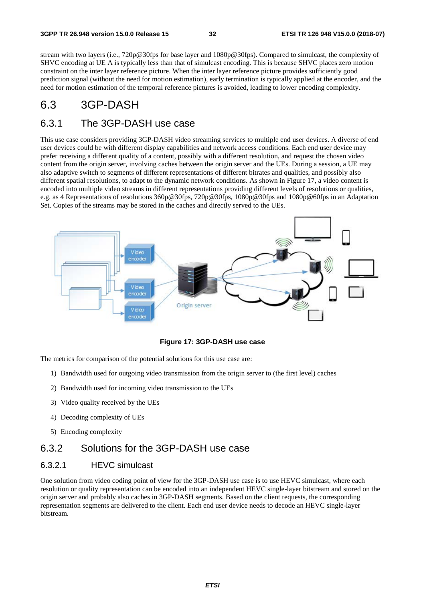stream with two layers (i.e., 720p@30fps for base layer and 1080p@30fps). Compared to simulcast, the complexity of SHVC encoding at UE A is typically less than that of simulcast encoding. This is because SHVC places zero motion constraint on the inter layer reference picture. When the inter layer reference picture provides sufficiently good prediction signal (without the need for motion estimation), early termination is typically applied at the encoder, and the need for motion estimation of the temporal reference pictures is avoided, leading to lower encoding complexity.

## 6.3 3GP-DASH

## 6.3.1 The 3GP-DASH use case

This use case considers providing 3GP-DASH video streaming services to multiple end user devices. A diverse of end user devices could be with different display capabilities and network access conditions. Each end user device may prefer receiving a different quality of a content, possibly with a different resolution, and request the chosen video content from the origin server, involving caches between the origin server and the UEs. During a session, a UE may also adaptive switch to segments of different representations of different bitrates and qualities, and possibly also different spatial resolutions, to adapt to the dynamic network conditions. As shown in Figure 17, a video content is encoded into multiple video streams in different representations providing different levels of resolutions or qualities, e.g. as 4 Representations of resolutions 360p@30fps, 720p@30fps, 1080p@30fps and 1080p@60fps in an Adaptation Set. Copies of the streams may be stored in the caches and directly served to the UEs.



**Figure 17: 3GP-DASH use case** 

The metrics for comparison of the potential solutions for this use case are:

- 1) Bandwidth used for outgoing video transmission from the origin server to (the first level) caches
- 2) Bandwidth used for incoming video transmission to the UEs
- 3) Video quality received by the UEs
- 4) Decoding complexity of UEs
- 5) Encoding complexity

### 6.3.2 Solutions for the 3GP-DASH use case

#### 6.3.2.1 HEVC simulcast

One solution from video coding point of view for the 3GP-DASH use case is to use HEVC simulcast, where each resolution or quality representation can be encoded into an independent HEVC single-layer bitstream and stored on the origin server and probably also caches in 3GP-DASH segments. Based on the client requests, the corresponding representation segments are delivered to the client. Each end user device needs to decode an HEVC single-layer bitstream.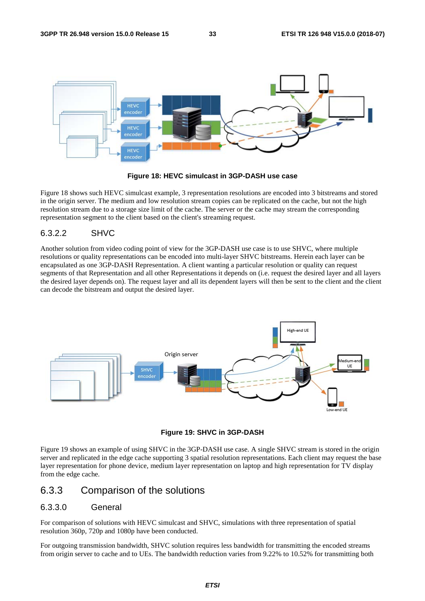

**Figure 18: HEVC simulcast in 3GP-DASH use case** 

Figure 18 shows such HEVC simulcast example, 3 representation resolutions are encoded into 3 bitstreams and stored in the origin server. The medium and low resolution stream copies can be replicated on the cache, but not the high resolution stream due to a storage size limit of the cache. The server or the cache may stream the corresponding representation segment to the client based on the client's streaming request.

#### 6.3.2.2 SHVC

Another solution from video coding point of view for the 3GP-DASH use case is to use SHVC, where multiple resolutions or quality representations can be encoded into multi-layer SHVC bitstreams. Herein each layer can be encapsulated as one 3GP-DASH Representation. A client wanting a particular resolution or quality can request segments of that Representation and all other Representations it depends on (i.e. request the desired layer and all layers the desired layer depends on). The request layer and all its dependent layers will then be sent to the client and the client can decode the bitstream and output the desired layer.



**Figure 19: SHVC in 3GP-DASH** 

Figure 19 shows an example of using SHVC in the 3GP-DASH use case. A single SHVC stream is stored in the origin server and replicated in the edge cache supporting 3 spatial resolution representations. Each client may request the base layer representation for phone device, medium layer representation on laptop and high representation for TV display from the edge cache.

### 6.3.3 Comparison of the solutions

#### 6.3.3.0 General

For comparison of solutions with HEVC simulcast and SHVC, simulations with three representation of spatial resolution 360p, 720p and 1080p have been conducted.

For outgoing transmission bandwidth, SHVC solution requires less bandwidth for transmitting the encoded streams from origin server to cache and to UEs. The bandwidth reduction varies from 9.22% to 10.52% for transmitting both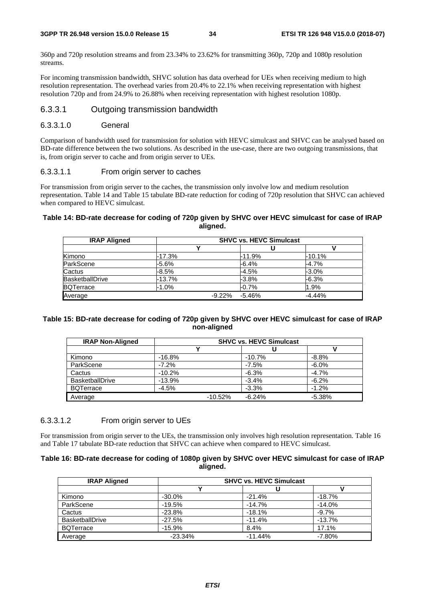360p and 720p resolution streams and from 23.34% to 23.62% for transmitting 360p, 720p and 1080p resolution streams.

For incoming transmission bandwidth, SHVC solution has data overhead for UEs when receiving medium to high resolution representation. The overhead varies from 20.4% to 22.1% when receiving representation with highest resolution 720p and from 24.9% to 26.88% when receiving representation with highest resolution 1080p.

#### 6.3.3.1 Outgoing transmission bandwidth

#### 6.3.3.1.0 General

Comparison of bandwidth used for transmission for solution with HEVC simulcast and SHVC can be analysed based on BD-rate difference between the two solutions. As described in the use-case, there are two outgoing transmissions, that is, from origin server to cache and from origin server to UEs.

#### 6.3.3.1.1 From origin server to caches

For transmission from origin server to the caches, the transmission only involve low and medium resolution representation. Table 14 and Table 15 tabulate BD-rate reduction for coding of 720p resolution that SHVC can achieved when compared to HEVC simulcast.

#### **Table 14: BD-rate decrease for coding of 720p given by SHVC over HEVC simulcast for case of IRAP aligned.**

| <b>IRAP Aligned</b>    | <b>SHVC vs. HEVC Simulcast</b> |                       |          |  |  |
|------------------------|--------------------------------|-----------------------|----------|--|--|
|                        |                                |                       |          |  |  |
| Kimono                 | $-17.3%$                       | -11.9%                | $-10.1%$ |  |  |
| ParkScene              | -5.6%                          | -6.4%                 | -4.7%    |  |  |
| Cactus                 | $-8.5%$                        | $-4.5%$               | $-3.0%$  |  |  |
| <b>BasketballDrive</b> | -13.7%                         | $-3.8%$               | $-6.3%$  |  |  |
| <b>BQTerrace</b>       | $-1.0\%$                       | $-0.7%$               | 1.9%     |  |  |
| Average                |                                | $-5.46%$<br>$-9.22\%$ | $-4.44%$ |  |  |

#### **Table 15: BD-rate decrease for coding of 720p given by SHVC over HEVC simulcast for case of IRAP non-aligned**

| <b>IRAP Non-Aligned</b> | <b>SHVC vs. HEVC Simulcast</b> |          |          |  |  |
|-------------------------|--------------------------------|----------|----------|--|--|
|                         |                                |          |          |  |  |
| Kimono                  | $-16.8%$                       | $-10.7%$ | $-8.8%$  |  |  |
| ParkScene               | $-7.2%$                        | $-7.5%$  | $-6.0%$  |  |  |
| Cactus                  | $-10.2%$                       | $-6.3%$  | $-4.7%$  |  |  |
| <b>BasketballDrive</b>  | $-13.9%$                       | $-3.4%$  | $-6.2%$  |  |  |
| <b>BQTerrace</b>        | $-4.5%$                        | $-3.3%$  | $-1.2%$  |  |  |
| Average                 | $-10.52%$                      | $-6.24%$ | $-5.38%$ |  |  |

#### 6.3.3.1.2 From origin server to UEs

For transmission from origin server to the UEs, the transmission only involves high resolution representation. Table 16 and Table 17 tabulate BD-rate reduction that SHVC can achieve when compared to HEVC simulcast.

#### **Table 16: BD-rate decrease for coding of 1080p given by SHVC over HEVC simulcast for case of IRAP aligned.**

| <b>IRAP Aligned</b>    | <b>SHVC vs. HEVC Simulcast</b> |           |          |  |  |
|------------------------|--------------------------------|-----------|----------|--|--|
|                        |                                |           |          |  |  |
| Kimono                 | $-30.0%$                       | $-21.4%$  | $-18.7%$ |  |  |
| ParkScene              | $-19.5%$                       | $-14.7%$  | $-14.0%$ |  |  |
| Cactus                 | $-23.8%$                       | $-18.1%$  | $-9.7\%$ |  |  |
| <b>BasketballDrive</b> | $-27.5%$                       | $-11.4%$  | $-13.7%$ |  |  |
| <b>BQTerrace</b>       | $-15.9%$                       | 8.4%      | 17.1%    |  |  |
| Average                | $-23.34%$                      | $-11.44%$ | $-7.80%$ |  |  |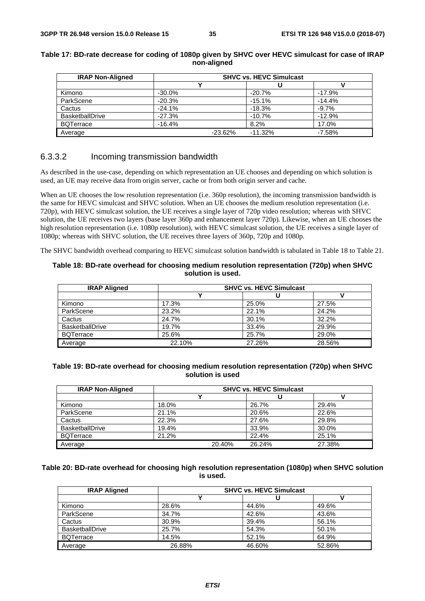| <b>IRAP Non-Aligned</b> | <b>SHVC vs. HEVC Simulcast</b> |           |          |  |
|-------------------------|--------------------------------|-----------|----------|--|
|                         |                                |           |          |  |
| Kimono                  | $-30.0%$                       | $-20.7%$  | $-17.9%$ |  |
| ParkScene               | $-20.3%$                       | $-15.1%$  | $-14.4%$ |  |
| Cactus                  | $-24.1%$                       | $-18.3%$  | $-9.7%$  |  |
| <b>BasketballDrive</b>  | $-27.3%$                       | $-10.7%$  | $-12.9%$ |  |
| <b>BQTerrace</b>        | $-16.4%$                       | 8.2%      | 17.0%    |  |
| Average                 | $-23.62%$                      | $-11.32%$ | $-7.58%$ |  |

#### **Table 17: BD-rate decrease for coding of 1080p given by SHVC over HEVC simulcast for case of IRAP non-aligned**

#### 6.3.3.2 Incoming transmission bandwidth

As described in the use-case, depending on which representation an UE chooses and depending on which solution is used, an UE may receive data from origin server, cache or from both origin server and cache.

When an UE chooses the low resolution representation (i.e. 360p resolution), the incoming transmission bandwidth is the same for HEVC simulcast and SHVC solution. When an UE chooses the medium resolution representation (i.e. 720p), with HEVC simulcast solution, the UE receives a single layer of 720p video resolution; whereas with SHVC solution, the UE receives two layers (base layer 360p and enhancement layer 720p). Likewise, when an UE chooses the high resolution representation (i.e. 1080p resolution), with HEVC simulcast solution, the UE receives a single layer of 1080p; whereas with SHVC solution, the UE receives three layers of 360p, 720p and 1080p.

The SHVC bandwidth overhead comparing to HEVC simulcast solution bandwidth is tabulated in Table 18 to Table 21.

#### **Table 18: BD-rate overhead for choosing medium resolution representation (720p) when SHVC solution is used.**

| <b>IRAP Aligned</b>    | <b>SHVC vs. HEVC Simulcast</b> |        |        |  |
|------------------------|--------------------------------|--------|--------|--|
|                        |                                | u      |        |  |
| Kimono                 | 17.3%                          | 25.0%  | 27.5%  |  |
| ParkScene              | 23.2%                          | 22.1%  | 24.2%  |  |
| Cactus                 | 24.7%                          | 30.1%  | 32.2%  |  |
| <b>BasketballDrive</b> | 19.7%                          | 33.4%  | 29.9%  |  |
| <b>BQTerrace</b>       | 25.6%                          | 25.7%  | 29.0%  |  |
| Average                | 22.10%                         | 27.26% | 28.56% |  |

#### **Table 19: BD-rate overhead for choosing medium resolution representation (720p) when SHVC solution is used**

| <b>IRAP Non-Aligned</b> | <b>SHVC vs. HEVC Simulcast</b> |        |        |        |  |
|-------------------------|--------------------------------|--------|--------|--------|--|
|                         |                                |        |        |        |  |
| Kimono                  | 18.0%                          |        | 26.7%  | 29.4%  |  |
| ParkScene               | 21.1%                          |        | 20.6%  | 22.6%  |  |
| Cactus                  | 22.3%                          |        | 27.6%  | 29.8%  |  |
| <b>BasketballDrive</b>  | 19.4%                          |        | 33.9%  | 30.0%  |  |
| <b>BQTerrace</b>        | 21.2%                          |        | 22.4%  | 25.1%  |  |
| Average                 |                                | 20.40% | 26.24% | 27.38% |  |

#### **Table 20: BD-rate overhead for choosing high resolution representation (1080p) when SHVC solution is used.**

| <b>IRAP Aligned</b>    | <b>SHVC vs. HEVC Simulcast</b> |        |        |  |
|------------------------|--------------------------------|--------|--------|--|
|                        |                                |        |        |  |
| Kimono                 | 28.6%                          | 44.6%  | 49.6%  |  |
| ParkScene              | 34.7%                          | 42.6%  | 43.6%  |  |
| Cactus                 | 30.9%                          | 39.4%  | 56.1%  |  |
| <b>BasketballDrive</b> | 25.7%                          | 54.3%  | 50.1%  |  |
| <b>BQTerrace</b>       | 14.5%                          | 52.1%  | 64.9%  |  |
| Average                | 26.88%                         | 46.60% | 52.86% |  |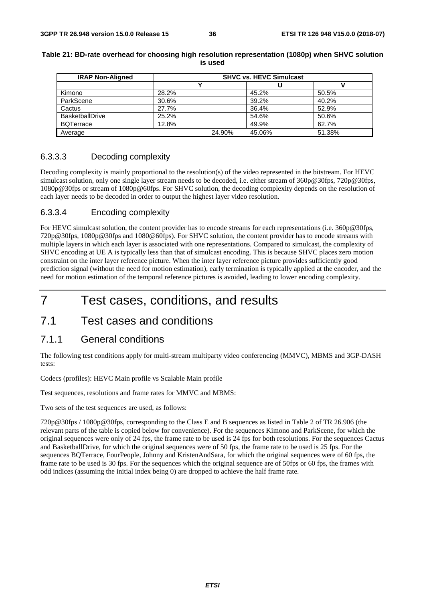| <b>IRAP Non-Aligned</b> | <b>SHVC vs. HEVC Simulcast</b> |        |        |        |  |
|-------------------------|--------------------------------|--------|--------|--------|--|
|                         |                                |        |        |        |  |
| Kimono                  | 28.2%                          |        | 45.2%  | 50.5%  |  |
| ParkScene               | 30.6%                          |        | 39.2%  | 40.2%  |  |
| Cactus                  | 27.7%                          |        | 36.4%  | 52.9%  |  |
| <b>BasketballDrive</b>  | 25.2%                          |        | 54.6%  | 50.6%  |  |
| <b>BQTerrace</b>        | 12.8%                          |        | 49.9%  | 62.7%  |  |
| Average                 |                                | 24.90% | 45.06% | 51.38% |  |

#### **Table 21: BD-rate overhead for choosing high resolution representation (1080p) when SHVC solution is used**

#### 6.3.3.3 Decoding complexity

Decoding complexity is mainly proportional to the resolution(s) of the video represented in the bitstream. For HEVC simulcast solution, only one single layer stream needs to be decoded, i.e. either stream of 360p@30fps, 720p@30fps, 1080p@30fps or stream of 1080p@60fps. For SHVC solution, the decoding complexity depends on the resolution of each layer needs to be decoded in order to output the highest layer video resolution.

#### 6.3.3.4 Encoding complexity

For HEVC simulcast solution, the content provider has to encode streams for each representations (i.e. 360p@30fps, 720p@30fps, 1080p@30fps and 1080@60fps). For SHVC solution, the content provider has to encode streams with multiple layers in which each layer is associated with one representations. Compared to simulcast, the complexity of SHVC encoding at UE A is typically less than that of simulcast encoding. This is because SHVC places zero motion constraint on the inter layer reference picture. When the inter layer reference picture provides sufficiently good prediction signal (without the need for motion estimation), early termination is typically applied at the encoder, and the need for motion estimation of the temporal reference pictures is avoided, leading to lower encoding complexity.

## 7 Test cases, conditions, and results

## 7.1 Test cases and conditions

### 7.1.1 General conditions

The following test conditions apply for multi-stream multiparty video conferencing (MMVC), MBMS and 3GP-DASH tests:

Codecs (profiles): HEVC Main profile vs Scalable Main profile

Test sequences, resolutions and frame rates for MMVC and MBMS:

Two sets of the test sequences are used, as follows:

720p@30fps / 1080p@30fps, corresponding to the Class E and B sequences as listed in Table 2 of TR 26.906 (the relevant parts of the table is copied below for convenience). For the sequences Kimono and ParkScene, for which the original sequences were only of 24 fps, the frame rate to be used is 24 fps for both resolutions. For the sequences Cactus and BasketballDrive, for which the original sequences were of 50 fps, the frame rate to be used is 25 fps. For the sequences BQTerrace, FourPeople, Johnny and KristenAndSara, for which the original sequences were of 60 fps, the frame rate to be used is 30 fps. For the sequences which the original sequence are of 50fps or 60 fps, the frames with odd indices (assuming the initial index being 0) are dropped to achieve the half frame rate.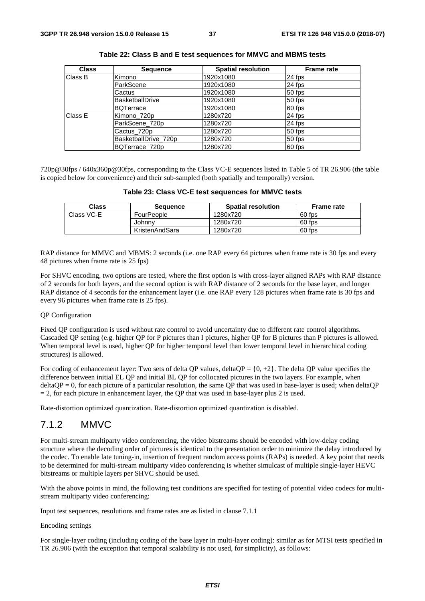| <b>Class</b> | <b>Sequence</b>      | <b>Spatial resolution</b> | <b>Frame rate</b> |
|--------------|----------------------|---------------------------|-------------------|
| Class B      | Kimono               | 1920x1080                 | 24 fps            |
|              | ParkScene            | 1920x1080                 | 24 fps            |
|              | Cactus               | 1920x1080                 | 50 fps            |
|              | BasketballDrive      | 1920x1080                 | 50 fps            |
|              | BQTerrace            | 1920x1080                 | 60 fps            |
| Class E      | Kimono 720p          | 1280x720                  | 24 fps            |
|              | ParkScene_720p       | 1280x720                  | 24 fps            |
|              | Cactus 720p          | 1280x720                  | 50 fps            |
|              | BasketballDrive 720p | 1280x720                  | 50 fps            |
|              | BQTerrace 720p       | 1280x720                  | 60 fps            |

| Table 22: Class B and E test sequences for MMVC and MBMS tests |  |  |  |  |
|----------------------------------------------------------------|--|--|--|--|
|----------------------------------------------------------------|--|--|--|--|

720p@30fps / 640x360p@30fps, corresponding to the Class VC-E sequences listed in Table 5 of TR 26.906 (the table is copied below for convenience) and their sub-sampled (both spatially and temporally) version.

| Table 23: Class VC-E test sequences for MMVC tests |  |
|----------------------------------------------------|--|
|----------------------------------------------------|--|

| Class      | Sequence       | <b>Spatial resolution</b> | <b>Frame rate</b> |
|------------|----------------|---------------------------|-------------------|
| Class VC-E | FourPeople     | 1280x720                  | 60 fps            |
|            | Johnny         | 1280x720                  | 60 fps            |
|            | KristenAndSara | 1280x720                  | 60 fps            |

RAP distance for MMVC and MBMS: 2 seconds (i.e. one RAP every 64 pictures when frame rate is 30 fps and every 48 pictures when frame rate is 25 fps)

For SHVC encoding, two options are tested, where the first option is with cross-layer aligned RAPs with RAP distance of 2 seconds for both layers, and the second option is with RAP distance of 2 seconds for the base layer, and longer RAP distance of 4 seconds for the enhancement layer (i.e. one RAP every 128 pictures when frame rate is 30 fps and every 96 pictures when frame rate is 25 fps).

#### QP Configuration

Fixed QP configuration is used without rate control to avoid uncertainty due to different rate control algorithms. Cascaded QP setting (e.g. higher QP for P pictures than I pictures, higher QP for B pictures than P pictures is allowed. When temporal level is used, higher QP for higher temporal level than lower temporal level in hierarchical coding structures) is allowed.

For coding of enhancement layer: Two sets of delta QP values, delta QP =  $\{0, +2\}$ . The delta QP value specifies the difference between initial EL QP and initial BL QP for collocated pictures in the two layers. For example, when  $deltaQP = 0$ , for each picture of a particular resolution, the same QP that was used in base-layer is used; when deltaQP  $= 2$ , for each picture in enhancement layer, the QP that was used in base-layer plus 2 is used.

Rate-distortion optimized quantization. Rate-distortion optimized quantization is disabled.

### 7.1.2 MMVC

For multi-stream multiparty video conferencing, the video bitstreams should be encoded with low-delay coding structure where the decoding order of pictures is identical to the presentation order to minimize the delay introduced by the codec. To enable late tuning-in, insertion of frequent random access points (RAPs) is needed. A key point that needs to be determined for multi-stream multiparty video conferencing is whether simulcast of multiple single-layer HEVC bitstreams or multiple layers per SHVC should be used.

With the above points in mind, the following test conditions are specified for testing of potential video codecs for multistream multiparty video conferencing:

Input test sequences, resolutions and frame rates are as listed in clause 7.1.1

#### Encoding settings

For single-layer coding (including coding of the base layer in multi-layer coding): similar as for MTSI tests specified in TR 26.906 (with the exception that temporal scalability is not used, for simplicity), as follows: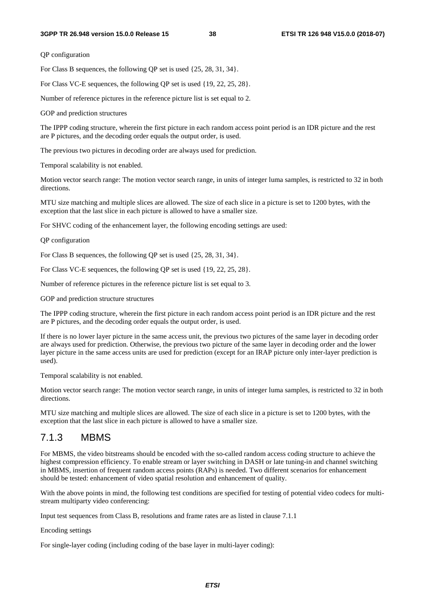QP configuration

For Class B sequences, the following QP set is used {25, 28, 31, 34}.

For Class VC-E sequences, the following QP set is used {19, 22, 25, 28}.

Number of reference pictures in the reference picture list is set equal to 2.

GOP and prediction structures

The IPPP coding structure, wherein the first picture in each random access point period is an IDR picture and the rest are P pictures, and the decoding order equals the output order, is used.

The previous two pictures in decoding order are always used for prediction.

Temporal scalability is not enabled.

Motion vector search range: The motion vector search range, in units of integer luma samples, is restricted to 32 in both directions.

MTU size matching and multiple slices are allowed. The size of each slice in a picture is set to 1200 bytes, with the exception that the last slice in each picture is allowed to have a smaller size.

For SHVC coding of the enhancement layer, the following encoding settings are used:

QP configuration

For Class B sequences, the following QP set is used {25, 28, 31, 34}.

For Class VC-E sequences, the following QP set is used {19, 22, 25, 28}.

Number of reference pictures in the reference picture list is set equal to 3.

GOP and prediction structure structures

The IPPP coding structure, wherein the first picture in each random access point period is an IDR picture and the rest are P pictures, and the decoding order equals the output order, is used.

If there is no lower layer picture in the same access unit, the previous two pictures of the same layer in decoding order are always used for prediction. Otherwise, the previous two picture of the same layer in decoding order and the lower layer picture in the same access units are used for prediction (except for an IRAP picture only inter-layer prediction is used).

Temporal scalability is not enabled.

Motion vector search range: The motion vector search range, in units of integer luma samples, is restricted to 32 in both directions.

MTU size matching and multiple slices are allowed. The size of each slice in a picture is set to 1200 bytes, with the exception that the last slice in each picture is allowed to have a smaller size.

### 7.1.3 MBMS

For MBMS, the video bitstreams should be encoded with the so-called random access coding structure to achieve the highest compression efficiency. To enable stream or layer switching in DASH or late tuning-in and channel switching in MBMS, insertion of frequent random access points (RAPs) is needed. Two different scenarios for enhancement should be tested: enhancement of video spatial resolution and enhancement of quality.

With the above points in mind, the following test conditions are specified for testing of potential video codecs for multistream multiparty video conferencing:

Input test sequences from Class B, resolutions and frame rates are as listed in clause 7.1.1

Encoding settings

For single-layer coding (including coding of the base layer in multi-layer coding):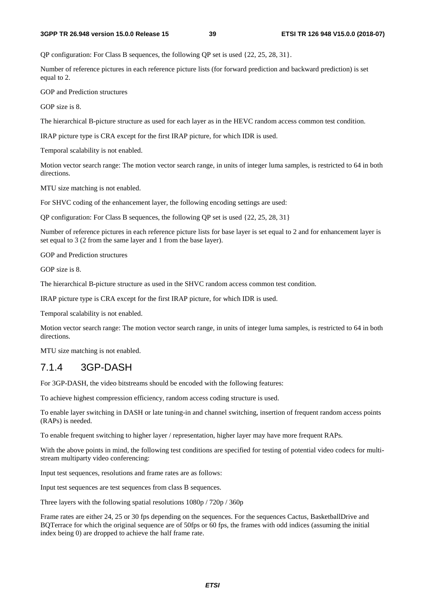#### **3GPP TR 26.948 version 15.0.0 Release 15 39 ETSI TR 126 948 V15.0.0 (2018-07)**

OP configuration: For Class B sequences, the following OP set is used  $\{22, 25, 28, 31\}$ .

Number of reference pictures in each reference picture lists (for forward prediction and backward prediction) is set equal to 2.

GOP and Prediction structures

GOP size is 8.

The hierarchical B-picture structure as used for each layer as in the HEVC random access common test condition.

IRAP picture type is CRA except for the first IRAP picture, for which IDR is used.

Temporal scalability is not enabled.

Motion vector search range: The motion vector search range, in units of integer luma samples, is restricted to 64 in both directions.

MTU size matching is not enabled.

For SHVC coding of the enhancement layer, the following encoding settings are used:

QP configuration: For Class B sequences, the following QP set is used {22, 25, 28, 31}

Number of reference pictures in each reference picture lists for base layer is set equal to 2 and for enhancement layer is set equal to 3 (2 from the same layer and 1 from the base layer).

GOP and Prediction structures

GOP size is 8.

The hierarchical B-picture structure as used in the SHVC random access common test condition.

IRAP picture type is CRA except for the first IRAP picture, for which IDR is used.

Temporal scalability is not enabled.

Motion vector search range: The motion vector search range, in units of integer luma samples, is restricted to 64 in both directions.

MTU size matching is not enabled.

## 7.1.4 3GP-DASH

For 3GP-DASH, the video bitstreams should be encoded with the following features:

To achieve highest compression efficiency, random access coding structure is used.

To enable layer switching in DASH or late tuning-in and channel switching, insertion of frequent random access points (RAPs) is needed.

To enable frequent switching to higher layer / representation, higher layer may have more frequent RAPs.

With the above points in mind, the following test conditions are specified for testing of potential video codecs for multistream multiparty video conferencing:

Input test sequences, resolutions and frame rates are as follows:

Input test sequences are test sequences from class B sequences.

Three layers with the following spatial resolutions 1080p / 720p / 360p

Frame rates are either 24, 25 or 30 fps depending on the sequences. For the sequences Cactus, BasketballDrive and BQTerrace for which the original sequence are of 50fps or 60 fps, the frames with odd indices (assuming the initial index being 0) are dropped to achieve the half frame rate.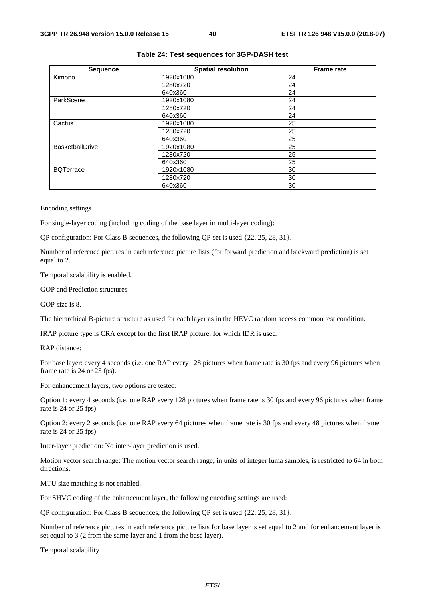| <b>Sequence</b>        | <b>Spatial resolution</b> | <b>Frame rate</b> |
|------------------------|---------------------------|-------------------|
| Kimono                 | 1920x1080                 | 24                |
|                        | 1280x720                  | 24                |
|                        | 640x360                   | 24                |
| ParkScene              | 1920x1080                 | 24                |
|                        | 1280x720                  | 24                |
|                        | 640x360                   | 24                |
| Cactus                 | 1920x1080                 | 25                |
|                        | 1280x720                  | 25                |
|                        | 640x360                   | 25                |
| <b>BasketballDrive</b> | 1920x1080                 | 25                |
|                        | 1280x720                  | 25                |
|                        | 640x360                   | 25                |
| <b>BQTerrace</b>       | 1920x1080                 | 30                |
|                        | 1280x720                  | 30                |
|                        | 640x360                   | 30                |

#### **Table 24: Test sequences for 3GP-DASH test**

Encoding settings

For single-layer coding (including coding of the base layer in multi-layer coding):

QP configuration: For Class B sequences, the following QP set is used {22, 25, 28, 31}.

Number of reference pictures in each reference picture lists (for forward prediction and backward prediction) is set equal to 2.

Temporal scalability is enabled.

GOP and Prediction structures

GOP size is 8.

The hierarchical B-picture structure as used for each layer as in the HEVC random access common test condition.

IRAP picture type is CRA except for the first IRAP picture, for which IDR is used.

RAP distance:

For base layer: every 4 seconds (i.e. one RAP every 128 pictures when frame rate is 30 fps and every 96 pictures when frame rate is 24 or 25 fps).

For enhancement layers, two options are tested:

Option 1: every 4 seconds (i.e. one RAP every 128 pictures when frame rate is 30 fps and every 96 pictures when frame rate is 24 or 25 fps).

Option 2: every 2 seconds (i.e. one RAP every 64 pictures when frame rate is 30 fps and every 48 pictures when frame rate is 24 or 25 fps).

Inter-layer prediction: No inter-layer prediction is used.

Motion vector search range: The motion vector search range, in units of integer luma samples, is restricted to 64 in both directions.

MTU size matching is not enabled.

For SHVC coding of the enhancement layer, the following encoding settings are used:

QP configuration: For Class B sequences, the following QP set is used {22, 25, 28, 31}.

Number of reference pictures in each reference picture lists for base layer is set equal to 2 and for enhancement layer is set equal to 3 (2 from the same layer and 1 from the base layer).

Temporal scalability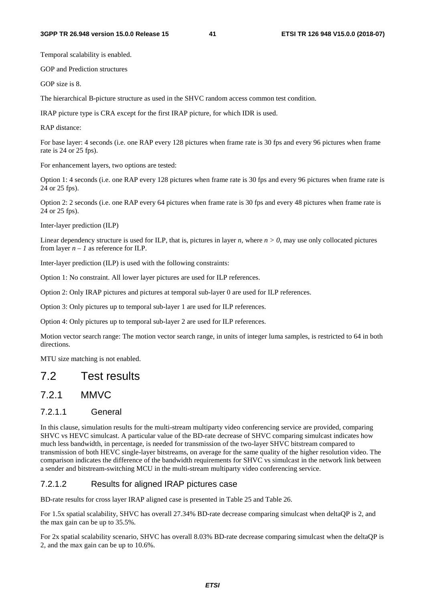Temporal scalability is enabled.

GOP and Prediction structures

GOP size is 8.

The hierarchical B-picture structure as used in the SHVC random access common test condition.

IRAP picture type is CRA except for the first IRAP picture, for which IDR is used.

RAP distance:

For base layer: 4 seconds (i.e. one RAP every 128 pictures when frame rate is 30 fps and every 96 pictures when frame rate is 24 or 25 fps).

For enhancement layers, two options are tested:

Option 1: 4 seconds (i.e. one RAP every 128 pictures when frame rate is 30 fps and every 96 pictures when frame rate is 24 or 25 fps).

Option 2: 2 seconds (i.e. one RAP every 64 pictures when frame rate is 30 fps and every 48 pictures when frame rate is 24 or 25 fps).

Inter-layer prediction (ILP)

Linear dependency structure is used for ILP, that is, pictures in layer *n*, where  $n > 0$ , may use only collocated pictures from layer  $n - 1$  as reference for ILP.

Inter-layer prediction (ILP) is used with the following constraints:

Option 1: No constraint. All lower layer pictures are used for ILP references.

Option 2: Only IRAP pictures and pictures at temporal sub-layer 0 are used for ILP references.

Option 3: Only pictures up to temporal sub-layer 1 are used for ILP references.

Option 4: Only pictures up to temporal sub-layer 2 are used for ILP references.

Motion vector search range: The motion vector search range, in units of integer luma samples, is restricted to 64 in both directions.

MTU size matching is not enabled.

## 7.2 Test results

### 7.2.1 MMVC

#### 7.2.1.1 General

In this clause, simulation results for the multi-stream multiparty video conferencing service are provided, comparing SHVC vs HEVC simulcast. A particular value of the BD-rate decrease of SHVC comparing simulcast indicates how much less bandwidth, in percentage, is needed for transmission of the two-layer SHVC bitstream compared to transmission of both HEVC single-layer bitstreams, on average for the same quality of the higher resolution video. The comparison indicates the difference of the bandwidth requirements for SHVC vs simulcast in the network link between a sender and bitstream-switching MCU in the multi-stream multiparty video conferencing service.

#### 7.2.1.2 Results for aligned IRAP pictures case

BD-rate results for cross layer IRAP aligned case is presented in Table 25 and Table 26.

For 1.5x spatial scalability, SHVC has overall 27.34% BD-rate decrease comparing simulcast when deltaQP is 2, and the max gain can be up to 35.5%.

For 2x spatial scalability scenario, SHVC has overall 8.03% BD-rate decrease comparing simulcast when the deltaQP is 2, and the max gain can be up to 10.6%.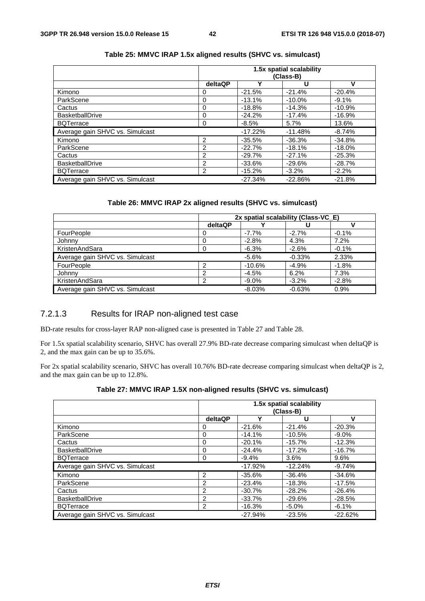|                                 | 1.5x spatial scalability<br>(Class-B) |           |           |          |
|---------------------------------|---------------------------------------|-----------|-----------|----------|
|                                 | deltaQP                               |           | u         | ν        |
| Kimono                          | 0                                     | $-21.5%$  | $-21.4%$  | $-20.4%$ |
| ParkScene                       | 0                                     | $-13.1%$  | $-10.0%$  | $-9.1%$  |
| Cactus                          | 0                                     | $-18.8%$  | $-14.3%$  | $-10.9%$ |
| <b>BasketballDrive</b>          | 0                                     | $-24.2%$  | $-17.4%$  | $-16.9%$ |
| <b>BQTerrace</b>                | 0                                     | $-8.5%$   | 5.7%      | 13.6%    |
| Average gain SHVC vs. Simulcast |                                       | $-17.22%$ | $-11.48%$ | $-8.74%$ |
| Kimono                          | $\overline{2}$                        | $-35.5%$  | $-36.3%$  | $-34.8%$ |
| ParkScene                       | 2                                     | $-22.7%$  | $-18.1%$  | $-18.0%$ |
| Cactus                          | 2                                     | $-29.7%$  | $-27.1%$  | $-25.3%$ |
| <b>BasketballDrive</b>          | $\overline{2}$                        | $-33.6%$  | $-29.6%$  | $-28.7%$ |
| <b>BQTerrace</b>                | 2                                     | $-15.2%$  | $-3.2\%$  | $-2.2%$  |
| Average gain SHVC vs. Simulcast |                                       | $-27.34%$ | $-22.86%$ | $-21.8%$ |

#### **Table 25: MMVC IRAP 1.5x aligned results (SHVC vs. simulcast)**

#### **Table 26: MMVC IRAP 2x aligned results (SHVC vs. simulcast)**

|                                 | 2x spatial scalability (Class-VC E) |          |          |         |
|---------------------------------|-------------------------------------|----------|----------|---------|
|                                 | deltaQP                             |          |          |         |
| FourPeople                      |                                     | $-7.7%$  | $-2.7%$  | $-0.1%$ |
| Johnny                          |                                     | $-2.8%$  | 4.3%     | 7.2%    |
| KristenAndSara                  | 0                                   | $-6.3%$  | $-2.6%$  | $-0.1%$ |
| Average gain SHVC vs. Simulcast |                                     | $-5.6%$  | $-0.33%$ | 2.33%   |
| FourPeople                      | ົ                                   | $-10.6%$ | $-4.9%$  | $-1.8%$ |
| Johnny                          | າ                                   | $-4.5%$  | 6.2%     | 7.3%    |
| KristenAndSara                  | າ                                   | $-9.0\%$ | $-3.2%$  | $-2.8%$ |
| Average gain SHVC vs. Simulcast |                                     | $-8.03%$ | $-0.63%$ | 0.9%    |

#### 7.2.1.3 Results for IRAP non-aligned test case

BD-rate results for cross-layer RAP non-aligned case is presented in Table 27 and Table 28.

For 1.5x spatial scalability scenario, SHVC has overall 27.9% BD-rate decrease comparing simulcast when deltaQP is 2, and the max gain can be up to 35.6%.

For 2x spatial scalability scenario, SHVC has overall 10.76% BD-rate decrease comparing simulcast when deltaQP is 2, and the max gain can be up to 12.8%.

| Table 27: MMVC IRAP 1.5X non-aligned results (SHVC vs. simulcast) |  |
|-------------------------------------------------------------------|--|
|-------------------------------------------------------------------|--|

|                                 | 1.5x spatial scalability<br>(Class-B) |           |           |           |
|---------------------------------|---------------------------------------|-----------|-----------|-----------|
|                                 | deltaQP                               | v         | U         | v         |
| Kimono                          | O                                     | $-21.6%$  | $-21.4%$  | $-20.3%$  |
| ParkScene                       | 0                                     | $-14.1%$  | $-10.5%$  | $-9.0\%$  |
| Cactus                          | 0                                     | $-20.1%$  | $-15.7%$  | $-12.3%$  |
| <b>BasketballDrive</b>          | 0                                     | $-24.4%$  | $-17.2%$  | $-16.7%$  |
| <b>BQTerrace</b>                | 0                                     | $-9.4%$   | 3.6%      | 9.6%      |
| Average gain SHVC vs. Simulcast |                                       | $-17.92%$ | $-12.24%$ | $-9.74%$  |
| Kimono                          | 2                                     | $-35.6%$  | $-36.4%$  | $-34.6%$  |
| ParkScene                       | 2                                     | $-23.4%$  | $-18.3%$  | $-17.5%$  |
| Cactus                          | 2                                     | $-30.7%$  | $-28.2%$  | $-26.4%$  |
| <b>BasketballDrive</b>          | 2                                     | $-33.7%$  | $-29.6%$  | $-28.5%$  |
| <b>BQTerrace</b>                | 2                                     | $-16.3%$  | $-5.0%$   | $-6.1%$   |
| Average gain SHVC vs. Simulcast |                                       | $-27.94%$ | $-23.5%$  | $-22.62%$ |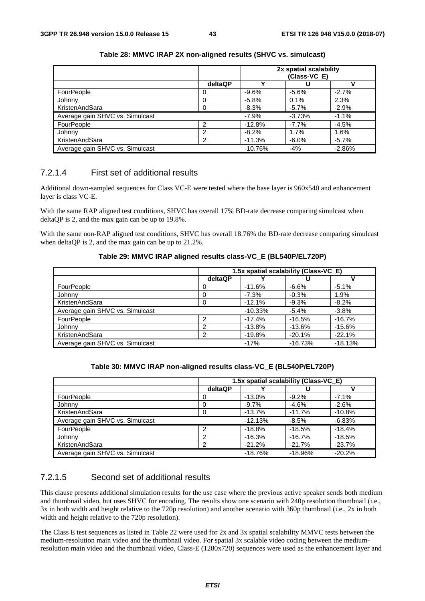|                                 |         |           | 2x spatial scalability<br>(Class-VC_E) |          |
|---------------------------------|---------|-----------|----------------------------------------|----------|
|                                 | deltaQP | v         |                                        |          |
| FourPeople                      |         | $-9.6%$   | $-5.6%$                                | $-2.7%$  |
| Johnny                          |         | $-5.8\%$  | $0.1\%$                                | 2.3%     |
| KristenAndSara                  |         | $-8.3%$   | $-5.7\%$                               | $-2.9%$  |
| Average gain SHVC vs. Simulcast |         | $-7.9%$   | $-3.73%$                               | $-1.1%$  |
| FourPeople                      | ົ       | $-12.8%$  | $-7.7%$                                | $-4.5%$  |
| Johnny                          | າ       | $-8.2%$   | 1.7%                                   | 1.6%     |
| KristenAndSara                  | ົ       | $-11.3%$  | $-6.0\%$                               | $-5.7%$  |
| Average gain SHVC vs. Simulcast |         | $-10.76%$ | $-4%$                                  | $-2.86%$ |

#### **Table 28: MMVC IRAP 2X non-aligned results (SHVC vs. simulcast)**

#### 7.2.1.4 First set of additional results

Additional down-sampled sequences for Class VC-E were tested where the base layer is 960x540 and enhancement layer is class VC-E.

With the same RAP aligned test conditions, SHVC has overall 17% BD-rate decrease comparing simulcast when deltaQP is 2, and the max gain can be up to 19.8%.

With the same non-RAP aligned test conditions, SHVC has overall 18.76% the BD-rate decrease comparing simulcast when deltaQP is 2, and the max gain can be up to 21.2%.

#### **Table 29: MMVC IRAP aligned results class-VC\_E (BL540P/EL720P)**

|                                 | 1.5x spatial scalability (Class-VC_E) |           |           |           |  |
|---------------------------------|---------------------------------------|-----------|-----------|-----------|--|
|                                 | deltaQP                               |           |           |           |  |
| FourPeople                      |                                       | $-11.6%$  | $-6.6\%$  | $-5.1%$   |  |
| Johnny                          |                                       | $-7.3%$   | $-0.3%$   | 1.9%      |  |
| KristenAndSara                  |                                       | $-12.1%$  | $-9.3%$   | $-8.2%$   |  |
| Average gain SHVC vs. Simulcast |                                       | $-10.33%$ | $-5.4%$   | $-3.8%$   |  |
| FourPeople                      | ⌒                                     | $-17.4%$  | $-16.5%$  | $-16.7%$  |  |
| Johnny                          |                                       | $-13.8%$  | $-13.6%$  | $-15.6%$  |  |
| KristenAndSara                  | ົ                                     | $-19.8%$  | $-20.1%$  | $-22.1%$  |  |
| Average gain SHVC vs. Simulcast |                                       | $-17%$    | $-16.73%$ | $-18.13%$ |  |

#### **Table 30: MMVC IRAP non-aligned results class-VC\_E (BL540P/EL720P)**

|                                 | 1.5x spatial scalability (Class-VC_E) |           |           |          |
|---------------------------------|---------------------------------------|-----------|-----------|----------|
|                                 | deltaQP                               |           |           |          |
| FourPeople                      |                                       | $-13.0%$  | $-9.2%$   | $-7.1%$  |
| Johnny                          |                                       | $-9.7\%$  | $-4.6%$   | $-2.6%$  |
| KristenAndSara                  |                                       | $-13.7%$  | $-11.7%$  | $-10.8%$ |
| Average gain SHVC vs. Simulcast |                                       | $-12.13%$ | $-8.5\%$  | $-6.83%$ |
| FourPeople                      | ◠                                     | $-18.8%$  | $-18.5%$  | $-18.4%$ |
| Johnny                          | ີ                                     | $-16.3%$  | $-16.7%$  | $-18.5%$ |
| KristenAndSara                  | ີ                                     | $-21.2%$  | $-21.7%$  | $-23.7%$ |
| Average gain SHVC vs. Simulcast |                                       | $-18.76%$ | $-18.96%$ | $-20.2%$ |

#### 7.2.1.5 Second set of additional results

This clause presents additional simulation results for the use case where the previous active speaker sends both medium and thumbnail video, but uses SHVC for encoding. The results show one scenario with 240p resolution thumbnail (i.e., 3x in both width and height relative to the 720p resolution) and another scenario with 360p thumbnail (i.e., 2x in both width and height relative to the 720p resolution).

The Class E test sequences as listed in Table 22 were used for 2x and 3x spatial scalability MMVC tests between the medium-resolution main video and the thumbnail video. For spatial 3x scalable video coding between the mediumresolution main video and the thumbnail video, Class-E (1280x720) sequences were used as the enhancement layer and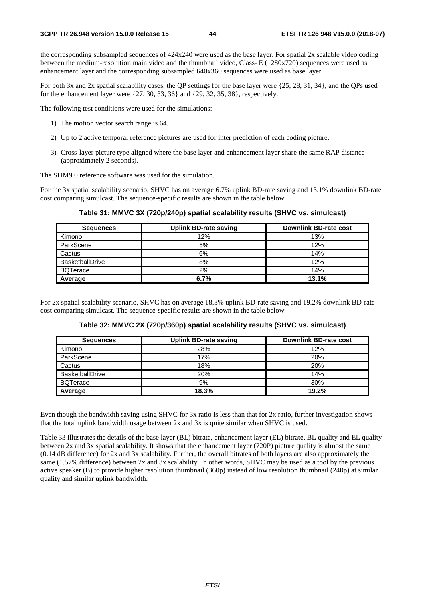the corresponding subsampled sequences of 424x240 were used as the base layer. For spatial 2x scalable video coding between the medium-resolution main video and the thumbnail video, Class- E (1280x720) sequences were used as enhancement layer and the corresponding subsampled 640x360 sequences were used as base layer.

For both 3x and 2x spatial scalability cases, the QP settings for the base layer were {25, 28, 31, 34}, and the QPs used for the enhancement layer were {27, 30, 33, 36} and {29, 32, 35, 38}, respectively.

The following test conditions were used for the simulations:

- 1) The motion vector search range is 64.
- 2) Up to 2 active temporal reference pictures are used for inter prediction of each coding picture.
- 3) Cross-layer picture type aligned where the base layer and enhancement layer share the same RAP distance (approximately 2 seconds).

The SHM9.0 reference software was used for the simulation.

For the 3x spatial scalability scenario, SHVC has on average 6.7% uplink BD-rate saving and 13.1% downlink BD-rate cost comparing simulcast. The sequence-specific results are shown in the table below.

| Table 31: MMVC 3X (720p/240p) spatial scalability results (SHVC vs. simulcast) |  |  |  |  |
|--------------------------------------------------------------------------------|--|--|--|--|
|--------------------------------------------------------------------------------|--|--|--|--|

| <b>Sequences</b>       | <b>Uplink BD-rate saving</b> | Downlink BD-rate cost |
|------------------------|------------------------------|-----------------------|
| Kimono                 | 12%                          | 13%                   |
| ParkScene              | 5%                           | 12%                   |
| Cactus                 | 6%                           | 14%                   |
| <b>BasketballDrive</b> | 8%                           | 12%                   |
| <b>BQTerace</b>        | 2%                           | 14%                   |
| Average                | 6.7%                         | 13.1%                 |

For 2x spatial scalability scenario, SHVC has on average 18.3% uplink BD-rate saving and 19.2% downlink BD-rate cost comparing simulcast. The sequence-specific results are shown in the table below.

| <b>Sequences</b>       | Uplink BD-rate saving | <b>Downlink BD-rate cost</b> |
|------------------------|-----------------------|------------------------------|
| Kimono                 | 28%                   | 12%                          |
| ParkScene              | 17%                   | 20%                          |
| Cactus                 | 18%                   | 20%                          |
| <b>BasketballDrive</b> | 20%                   | 14%                          |
| <b>BQTerace</b>        | 9%                    | 30%                          |
| Average                | 18.3%                 | 19.2%                        |

**Table 32: MMVC 2X (720p/360p) spatial scalability results (SHVC vs. simulcast)** 

Even though the bandwidth saving using SHVC for 3x ratio is less than that for 2x ratio, further investigation shows that the total uplink bandwidth usage between 2x and 3x is quite similar when SHVC is used.

Table 33 illustrates the details of the base layer (BL) bitrate, enhancement layer (EL) bitrate, BL quality and EL quality between 2x and 3x spatial scalability. It shows that the enhancement layer (720P) picture quality is almost the same (0.14 dB difference) for 2x and 3x scalability. Further, the overall bitrates of both layers are also approximately the same (1.57% difference) between 2x and 3x scalability. In other words, SHVC may be used as a tool by the previous active speaker (B) to provide higher resolution thumbnail (360p) instead of low resolution thumbnail (240p) at similar quality and similar uplink bandwidth.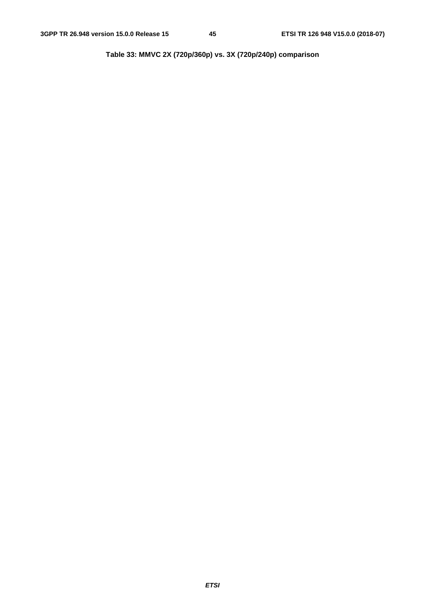**Table 33: MMVC 2X (720p/360p) vs. 3X (720p/240p) comparison**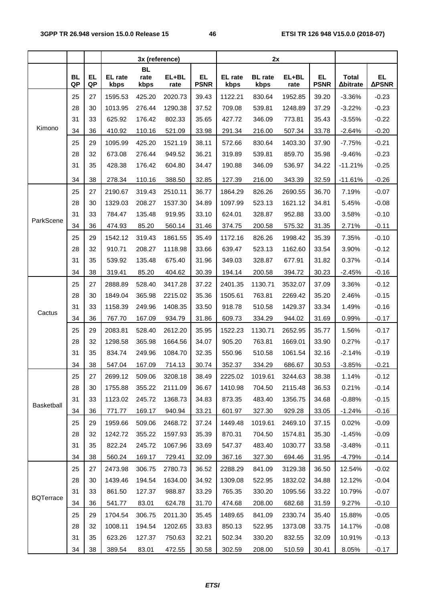|                   |           |     | 3x (reference) |                   |         | 2x          |         |                |         |             |                  |              |
|-------------------|-----------|-----|----------------|-------------------|---------|-------------|---------|----------------|---------|-------------|------------------|--------------|
|                   | <b>BL</b> | EL, | EL rate        | <b>BL</b><br>rate | EL+BL   | EL.         | EL rate | <b>BL</b> rate | EL+BL   | EL.         | <b>Total</b>     | EL.          |
|                   | QP        | QP  | kbps           | kbps              | rate    | <b>PSNR</b> | kbps    | kbps           | rate    | <b>PSNR</b> | $\Delta$ bitrate | <b>APSNR</b> |
|                   | 25        | 27  | 1595.53        | 425.20            | 2020.73 | 39.43       | 1122.21 | 830.64         | 1952.85 | 39.20       | $-3.36%$         | $-0.23$      |
|                   | 28        | 30  | 1013.95        | 276.44            | 1290.38 | 37.52       | 709.08  | 539.81         | 1248.89 | 37.29       | $-3.22%$         | $-0.23$      |
|                   | 31        | 33  | 625.92         | 176.42            | 802.33  | 35.65       | 427.72  | 346.09         | 773.81  | 35.43       | $-3.55%$         | $-0.22$      |
| Kimono            | 34        | 36  | 410.92         | 110.16            | 521.09  | 33.98       | 291.34  | 216.00         | 507.34  | 33.78       | $-2.64%$         | $-0.20$      |
|                   | 25        | 29  | 1095.99        | 425.20            | 1521.19 | 38.11       | 572.66  | 830.64         | 1403.30 | 37.90       | $-7.75%$         | $-0.21$      |
|                   | 28        | 32  | 673.08         | 276.44            | 949.52  | 36.21       | 319.89  | 539.81         | 859.70  | 35.98       | $-9.46%$         | $-0.23$      |
|                   | 31        | 35  | 428.38         | 176.42            | 604.80  | 34.47       | 190.88  | 346.09         | 536.97  | 34.22       | $-11.21%$        | $-0.25$      |
|                   | 34        | 38  | 278.34         | 110.16            | 388.50  | 32.85       | 127.39  | 216.00         | 343.39  | 32.59       | $-11.61%$        | $-0.26$      |
|                   | 25        | 27  | 2190.67        | 319.43            | 2510.11 | 36.77       | 1864.29 | 826.26         | 2690.55 | 36.70       | 7.19%            | $-0.07$      |
|                   | 28        | 30  | 1329.03        | 208.27            | 1537.30 | 34.89       | 1097.99 | 523.13         | 1621.12 | 34.81       | 5.45%            | $-0.08$      |
|                   | 31        | 33  | 784.47         | 135.48            | 919.95  | 33.10       | 624.01  | 328.87         | 952.88  | 33.00       | 3.58%            | $-0.10$      |
| ParkScene         | 34        | 36  | 474.93         | 85.20             | 560.14  | 31.46       | 374.75  | 200.58         | 575.32  | 31.35       | 2.71%            | $-0.11$      |
|                   | 25        | 29  | 1542.12        | 319.43            | 1861.55 | 35.49       | 1172.16 | 826.26         | 1998.42 | 35.39       | 7.35%            | $-0.10$      |
|                   | 28        | 32  | 910.71         | 208.27            | 1118.98 | 33.66       | 639.47  | 523.13         | 1162.60 | 33.54       | 3.90%            | $-0.12$      |
|                   | 31        | 35  | 539.92         | 135.48            | 675.40  | 31.96       | 349.03  | 328.87         | 677.91  | 31.82       | 0.37%            | $-0.14$      |
|                   | 34        | 38  | 319.41         | 85.20             | 404.62  | 30.39       | 194.14  | 200.58         | 394.72  | 30.23       | $-2.45%$         | $-0.16$      |
|                   | 25        | 27  | 2888.89        | 528.40            | 3417.28 | 37.22       | 2401.35 | 1130.71        | 3532.07 | 37.09       | 3.36%            | $-0.12$      |
|                   | 28        | 30  | 1849.04        | 365.98            | 2215.02 | 35.36       | 1505.61 | 763.81         | 2269.42 | 35.20       | 2.46%            | $-0.15$      |
|                   | 31        | 33  | 1158.39        | 249.96            | 1408.35 | 33.50       | 918.78  | 510.58         | 1429.37 | 33.34       | 1.49%            | $-0.16$      |
| Cactus            | 34        | 36  | 767.70         | 167.09            | 934.79  | 31.86       | 609.73  | 334.29         | 944.02  | 31.69       | 0.99%            | $-0.17$      |
|                   | 25        | 29  | 2083.81        | 528.40            | 2612.20 | 35.95       | 1522.23 | 1130.71        | 2652.95 | 35.77       | 1.56%            | $-0.17$      |
|                   | 28        | 32  | 1298.58        | 365.98            | 1664.56 | 34.07       | 905.20  | 763.81         | 1669.01 | 33.90       | 0.27%            | $-0.17$      |
|                   | 31        | 35  | 834.74         | 249.96            | 1084.70 | 32.35       | 550.96  | 510.58         | 1061.54 | 32.16       | $-2.14%$         | $-0.19$      |
|                   | 34        | 38  | 547.04         | 167.09            | 714.13  | 30.74       | 352.37  | 334.29         | 686.67  | 30.53       | $-3.85%$         | $-0.21$      |
|                   | 25        | 27  | 2699.12        | 509.06            | 3208.18 | 38.49       | 2225.02 | 1019.61        | 3244.63 | 38.38       | 1.14%            | $-0.12$      |
|                   | 28        | 30  | 1755.88        | 355.22            | 2111.09 | 36.67       | 1410.98 | 704.50         | 2115.48 | 36.53       | 0.21%            | $-0.14$      |
|                   | 31        | 33  | 1123.02        | 245.72            | 1368.73 | 34.83       | 873.35  | 483.40         | 1356.75 | 34.68       | $-0.88%$         | $-0.15$      |
| <b>Basketball</b> | 34        | 36  | 771.77         | 169.17            | 940.94  | 33.21       | 601.97  | 327.30         | 929.28  | 33.05       | $-1.24%$         | $-0.16$      |
|                   | 25        | 29  | 1959.66        | 509.06            | 2468.72 | 37.24       | 1449.48 | 1019.61        | 2469.10 | 37.15       | 0.02%            | $-0.09$      |
|                   | 28        | 32  | 1242.72        | 355.22            | 1597.93 | 35.39       | 870.31  | 704.50         | 1574.81 | 35.30       | $-1.45%$         | $-0.09$      |
|                   | 31        | 35  | 822.24         | 245.72            | 1067.96 | 33.69       | 547.37  | 483.40         | 1030.77 | 33.58       | $-3.48%$         | $-0.11$      |
|                   | 34        | 38  | 560.24         | 169.17            | 729.41  | 32.09       | 367.16  | 327.30         | 694.46  | 31.95       | $-4.79%$         | $-0.14$      |
|                   | 25        | 27  | 2473.98        | 306.75            | 2780.73 | 36.52       | 2288.29 | 841.09         | 3129.38 | 36.50       | 12.54%           | $-0.02$      |
|                   | 28        | 30  | 1439.46        | 194.54            | 1634.00 | 34.92       | 1309.08 | 522.95         | 1832.02 | 34.88       | 12.12%           | $-0.04$      |
|                   | 31        | 33  | 861.50         | 127.37            | 988.87  | 33.29       | 765.35  | 330.20         | 1095.56 | 33.22       | 10.79%           | $-0.07$      |
| <b>BQTerrace</b>  | 34        | 36  | 541.77         | 83.01             | 624.78  | 31.70       | 474.68  | 208.00         | 682.68  | 31.59       | 9.27%            | $-0.10$      |
|                   | 25        | 29  | 1704.54        | 306.75            | 2011.30 | 35.45       | 1489.65 | 841.09         | 2330.74 | 35.40       | 15.88%           | $-0.05$      |
|                   | 28        | 32  | 1008.11        | 194.54            | 1202.65 | 33.83       | 850.13  | 522.95         | 1373.08 | 33.75       | 14.17%           | $-0.08$      |
|                   | 31        | 35  | 623.26         | 127.37            | 750.63  | 32.21       | 502.34  | 330.20         | 832.55  | 32.09       | 10.91%           | $-0.13$      |
|                   | 34        | 38  | 389.54         | 83.01             | 472.55  | 30.58       | 302.59  | 208.00         | 510.59  | 30.41       | 8.05%            | $-0.17$      |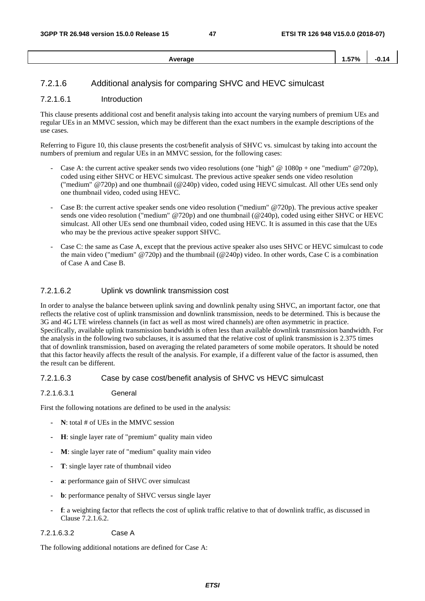| verage<br>. | 1.57% | - 1. |
|-------------|-------|------|
|             |       |      |

### 7.2.1.6 Additional analysis for comparing SHVC and HEVC simulcast

#### 7.2.1.6.1 Introduction

This clause presents additional cost and benefit analysis taking into account the varying numbers of premium UEs and regular UEs in an MMVC session, which may be different than the exact numbers in the example descriptions of the use cases.

Referring to Figure 10, this clause presents the cost/benefit analysis of SHVC vs. simulcast by taking into account the numbers of premium and regular UEs in an MMVC session, for the following cases:

- Case A: the current active speaker sends two video resolutions (one "high"  $\omega$  1080p + one "medium"  $\omega$ 720p), coded using either SHVC or HEVC simulcast. The previous active speaker sends one video resolution ("medium" @720p) and one thumbnail (@240p) video, coded using HEVC simulcast. All other UEs send only one thumbnail video, coded using HEVC.
- Case B: the current active speaker sends one video resolution ("medium" @720p). The previous active speaker sends one video resolution ("medium" @720p) and one thumbnail (@240p), coded using either SHVC or HEVC simulcast. All other UEs send one thumbnail video, coded using HEVC. It is assumed in this case that the UEs who may be the previous active speaker support SHVC.
- Case C: the same as Case A, except that the previous active speaker also uses SHVC or HEVC simulcast to code the main video ("medium" @720p) and the thumbnail (@240p) video. In other words, Case C is a combination of Case A and Case B.

#### 7.2.1.6.2 Uplink vs downlink transmission cost

In order to analyse the balance between uplink saving and downlink penalty using SHVC, an important factor, one that reflects the relative cost of uplink transmission and downlink transmission, needs to be determined. This is because the 3G and 4G LTE wireless channels (in fact as well as most wired channels) are often asymmetric in practice. Specifically, available uplink transmission bandwidth is often less than available downlink transmission bandwidth. For the analysis in the following two subclauses, it is assumed that the relative cost of uplink transmission is 2.375 times that of downlink transmission, based on averaging the related parameters of some mobile operators. It should be noted that this factor heavily affects the result of the analysis. For example, if a different value of the factor is assumed, then the result can be different.

#### 7.2.1.6.3 Case by case cost/benefit analysis of SHVC vs HEVC simulcast

#### 7.2.1.6.3.1 General

First the following notations are defined to be used in the analysis:

- **N**: total # of UEs in the MMVC session
- **H**: single layer rate of "premium" quality main video
- **M**: single layer rate of "medium" quality main video
- **T**: single layer rate of thumbnail video
- **a**: performance gain of SHVC over simulcast
- **b**: performance penalty of SHVC versus single layer
- **f**: a weighting factor that reflects the cost of uplink traffic relative to that of downlink traffic, as discussed in Clause 7.2.1.6.2.

#### 7.2.1.6.3.2 Case A

The following additional notations are defined for Case A: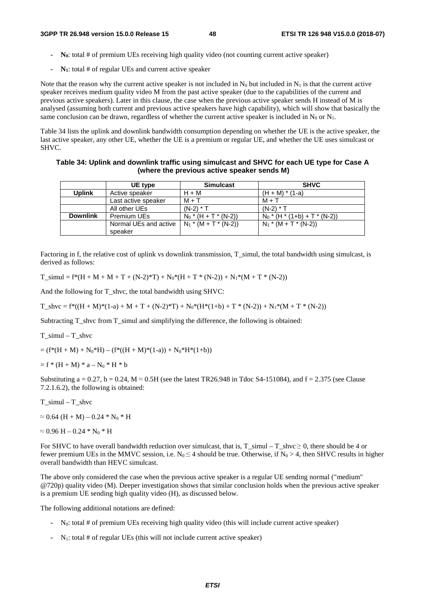- **N0**: total # of premium UEs receiving high quality video (not counting current active speaker)
- **N1**: total # of regular UEs and current active speaker

Note that the reason why the current active speaker is not included in  $N_0$  but included in  $N_1$  is that the current active speaker receives medium quality video M from the past active speaker (due to the capabilities of the current and previous active speakers). Later in this clause, the case when the previous active speaker sends H instead of M is analysed (assuming both current and previous active speakers have high capability), which will show that basically the same conclusion can be drawn, regardless of whether the current active speaker is included in  $N_0$  or  $N_1$ .

Table 34 lists the uplink and downlink bandwidth consumption depending on whether the UE is the active speaker, the last active speaker, any other UE, whether the UE is a premium or regular UE, and whether the UE uses simulcast or SHVC.

#### **Table 34: Uplink and downlink traffic using simulcast and SHVC for each UE type for Case A (where the previous active speaker sends M)**

|                 | UE type<br><b>Simulcast</b>                                          |                         | <b>SHVC</b>                     |
|-----------------|----------------------------------------------------------------------|-------------------------|---------------------------------|
| <b>Uplink</b>   | Active speaker                                                       | $H + M$                 | $(H + M) * (1-a)$               |
|                 | Last active speaker                                                  | $M + T$                 | $M + T$                         |
|                 | All other UEs                                                        | $(N-2) * T$             | $(N-2) * T$                     |
| <b>Downlink</b> | Premium UEs                                                          | $N_0$ * (H + T * (N-2)) | $N_0$ * (H * (1+b) + T * (N-2)) |
|                 | Normal UEs and active $\vert N_1 * (M + T^* (N-2)) \vert$<br>speaker |                         | $N_1$ * (M + T * (N-2))         |

Factoring in f, the relative cost of uplink vs downlink transmission, T\_simul, the total bandwidth using simulcast, is derived as follows:

 $T_s$ simul = f\*(H + M + M + T + (N-2)\*T) + N<sub>0</sub>\*(H + T \* (N-2)) + N<sub>1</sub>\*(M + T \* (N-2))

And the following for T\_shvc, the total bandwidth using SHVC:

 $T_{\rm s}$ hvc = f\*((H + M)\*(1-a) + M + T + (N-2)\*T) + N<sub>0</sub>\*(H\*(1+b) + T \* (N-2)) + N<sub>1</sub>\*(M + T \* (N-2))

Subtracting T\_shvc from T\_simul and simplifying the difference, the following is obtained:

T\_simul – T\_shvc

 $= (f*(H + M) + N_0*H) - (f*((H + M)*(1-a)) + N_0*H*(1+b))$ 

 $= f * (H + M) * a - N_0 * H * b$ 

Substituting a = 0.27, b = 0.24,  $M \approx 0.5H$  (see the latest TR26.948 in Tdoc S4-151084), and  $f = 2.375$  (see Clause 7.2.1.6.2), the following is obtained:

T\_simul – T\_shvc

 $\approx 0.64$  (H + M) – 0.24  $*$  N<sub>0</sub>  $*$  H

 $\approx 0.96$  H –  $0.24$  \* N<sub>0</sub> \* H

For SHVC to have overall bandwidth reduction over simulcast, that is,  $T_s$ simul –  $T_s$ shvc  $\geq 0$ , there should be 4 or fewer premium UEs in the MMVC session, i.e.  $N_0 \le 4$  should be true. Otherwise, if  $N_0 > 4$ , then SHVC results in higher overall bandwidth than HEVC simulcast.

The above only considered the case when the previous active speaker is a regular UE sending normal ("medium" @720p) quality video (M). Deeper investigation shows that similar conclusion holds when the previous active speaker is a premium UE sending high quality video (H), as discussed below.

The following additional notations are defined:

- N0: total # of premium UEs receiving high quality video (this will include current active speaker)
- N1: total # of regular UEs (this will not include current active speaker)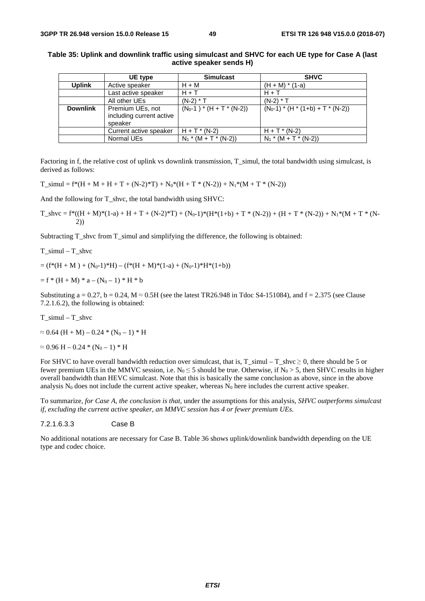|                 | UE type                                                 | <b>Simulcast</b>            | <b>SHVC</b>                 |
|-----------------|---------------------------------------------------------|-----------------------------|-----------------------------|
| <b>Uplink</b>   | Active speaker                                          | $H + M$                     | $(H + M) * (1-a)$           |
|                 | Last active speaker                                     | $H + T$                     | $H + T$                     |
|                 | All other UEs                                           | $(N-2) * T$                 | $(N-2) * T$                 |
| <b>Downlink</b> | Premium UEs, not<br>including current active<br>speaker | $(N_0-1$ $*(H + T * (N-2))$ | $(N_0-1)*(H*(1+b)+T*(N-2))$ |
|                 | Current active speaker                                  | $H + T$ * (N-2)             | $H + T$ * (N-2)             |
|                 | Normal UEs                                              | $N_1$ * (M + T * (N-2))     | $N_1$ * (M + T * (N-2))     |

**Table 35: Uplink and downlink traffic using simulcast and SHVC for each UE type for Case A (last active speaker sends H)** 

Factoring in f, the relative cost of uplink vs downlink transmission, T\_simul, the total bandwidth using simulcast, is derived as follows:

T\_ simul = f\*(H + M + H + T + (N-2)\*T) + N<sub>0</sub>\*(H + T \* (N-2)) + N<sub>1</sub>\*(M + T \* (N-2))

And the following for T\_shvc, the total bandwidth using SHVC:

 $T\_shvc = f^*((H + M)^*(1-a) + H + T + (N-2)*T) + (N_0-1)^*(H^*(1+b) + T^*(N-2)) + (H + T^*(N-2)) + N_1^*(M + T^*(N-2))$ 2))

Subtracting T\_shvc from T\_simul and simplifying the difference, the following is obtained:

T\_simul – T\_shvc

 $= (f*(H + M) + (N_0-1)*H) - (f*(H + M)*(1-a) + (N_0-1)*H*(1+b))$ 

$$
= f * (H + M) * a - (N_0 - 1) * H * b
$$

Substituting a = 0.27, b = 0.24,  $M \approx 0.5H$  (see the latest TR26.948 in Tdoc S4-151084), and f = 2.375 (see Clause 7.2.1.6.2), the following is obtained:

T\_simul – T\_shvc

 $\approx 0.64$  (H + M) – 0.24  $*$  (N<sub>0</sub> – 1)  $*$  H

 $\approx 0.96$  H – 0.24 \* (N<sub>0</sub> – 1) \* H

For SHVC to have overall bandwidth reduction over simulcast, that is, T\_simul – T\_shvc  $\geq 0$ , there should be 5 or fewer premium UEs in the MMVC session, i.e.  $N_0 \le 5$  should be true. Otherwise, if  $N_0 > 5$ , then SHVC results in higher overall bandwidth than HEVC simulcast. Note that this is basically the same conclusion as above, since in the above analysis  $N_0$  does not include the current active speaker, whereas  $N_0$  here includes the current active speaker.

To summarize, *for Case A, the conclusion is that,* under the assumptions for this analysis, *SHVC outperforms simulcast if, excluding the current active speaker, an MMVC session has 4 or fewer premium UEs*.

7.2.1.6.3.3 Case B

No additional notations are necessary for Case B. Table 36 shows uplink/downlink bandwidth depending on the UE type and codec choice.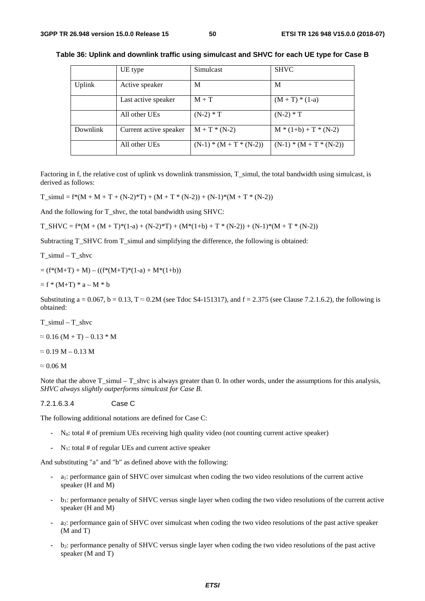|          | UE type                | Simulcast                 | <b>SHVC</b>             |
|----------|------------------------|---------------------------|-------------------------|
| Uplink   | Active speaker         | М                         | M                       |
|          | Last active speaker    | $M + T$                   | $(M + T) * (1-a)$       |
|          | All other UEs          | $(N-2) * T$               | $(N-2) * T$             |
| Downlink | Current active speaker | $M + T * (N-2)$           | $M * (1+b) + T * (N-2)$ |
|          | All other UEs          | $(N-1) * (M + T * (N-2))$ | $(N-1)*(M+T*(N-2))$     |

**Table 36: Uplink and downlink traffic using simulcast and SHVC for each UE type for Case B** 

Factoring in f, the relative cost of uplink vs downlink transmission, T\_simul, the total bandwidth using simulcast, is derived as follows:

 $T_s$ simul = f\*(M + M + T + (N-2)\*T) + (M + T \* (N-2)) + (N-1)\*(M + T \* (N-2))

And the following for T\_shvc, the total bandwidth using SHVC:

 $T\_SHVC = f*(M + (M + T)*(1-a) + (N-2)*T) + (M*(1+b) + T*(N-2)) + (N-1)*(M + T*(N-2))$ 

Subtracting T\_SHVC from T\_simul and simplifying the difference, the following is obtained:

T\_simul – T\_shvc

 $= (f^*(M+T) + M) - ((f^*(M+T)^*(1-a) + M^*(1+b)))$ 

 $= f * (M+T) * a - M * b$ 

Substituting a = 0.067, b = 0.13,  $T \approx 0.2M$  (see Tdoc S4-151317), and f = 2.375 (see Clause 7.2.1.6.2), the following is obtained:

T\_simul – T\_shvc

 $\approx 0.16$  (M + T) – 0.13  $*$  M

 $\approx 0.19$  M – 0.13 M

 $\approx 0.06$  M

Note that the above T\_simul – T\_shvc is always greater than 0. In other words, under the assumptions for this analysis, *SHVC always slightly outperforms simulcast for Case B*.

7.2.1.6.3.4 Case C

The following additional notations are defined for Case C:

- N0: total # of premium UEs receiving high quality video (not counting current active speaker)
- N1: total # of regular UEs and current active speaker

And substituting "a" and "b" as defined above with the following:

- a1: performance gain of SHVC over simulcast when coding the two video resolutions of the current active speaker (H and M)
- b1: performance penalty of SHVC versus single layer when coding the two video resolutions of the current active speaker (H and M)
- a2: performance gain of SHVC over simulcast when coding the two video resolutions of the past active speaker (M and T)
- b2: performance penalty of SHVC versus single layer when coding the two video resolutions of the past active speaker (M and T)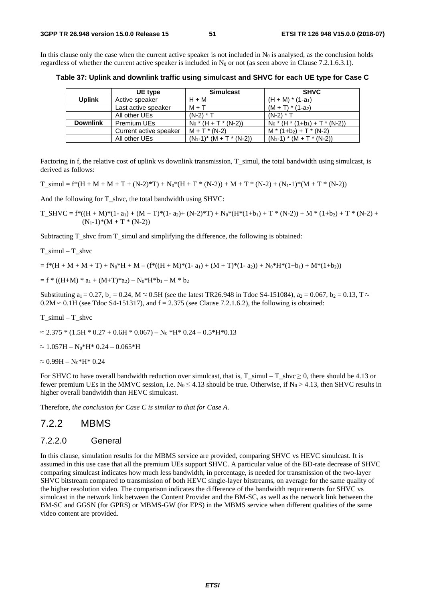In this clause only the case when the current active speaker is not included in  $N_0$  is analysed, as the conclusion holds regardless of whether the current active speaker is included in  $N_0$  or not (as seen above in Clause 7.2.1.6.3.1).

**Table 37: Uplink and downlink traffic using simulcast and SHVC for each UE type for Case C** 

|                 | UE type                | <b>Simulcast</b>              | <b>SHVC</b>                                   |
|-----------------|------------------------|-------------------------------|-----------------------------------------------|
| <b>Uplink</b>   | Active speaker         | $H + M$                       | $(H + M) * (1-a_1)$                           |
|                 | Last active speaker    | $M + T$                       | $(M + T) * (1-a_2)$                           |
|                 | All other UEs          | $(N-2) * T$                   | $(N-2) * T$                                   |
| <b>Downlink</b> | Premium UEs            | $N_0$ * (H + T * (N-2))       | $N_0$ * (H * (1+b <sub>1</sub> ) + T * (N-2)) |
|                 | Current active speaker | $M + T^* (N-2)$               | $M * (1+b_2) + T * (N-2)$                     |
|                 | All other UEs          | $(N_1-1)^*$ $(M + T^* (N-2))$ | $(N_1-1) * (M + T * (N-2))$                   |

Factoring in f, the relative cost of uplink vs downlink transmission, T\_simul, the total bandwidth using simulcast, is derived as follows:

T\_ simul = f\*(H + M + M + T + (N-2)\*T) + N<sub>0</sub>\*(H + T \* (N-2)) + M + T \* (N-2) + (N<sub>1</sub>-1)\*(M + T \* (N-2))

And the following for T\_shvc, the total bandwidth using SHVC:

 $T\_SHVC = f^{*}((H + M)^{*}(1 - a_{1}) + (M + T)^{*}(1 - a_{2}) + (N-2)^{*}T) + N_{0}^{*}(H^{*}(1 + b_{1}) + T^{*}(N-2)) + M^{*}(1 + b_{2}) + T^{*}(N-2) +$  $(N_1-1)*(M+T*(N-2))$ 

Subtracting T\_shvc from T\_simul and simplifying the difference, the following is obtained:

T\_simul – T\_shvc

 $= f*(H + M + M + T) + N_0*H + M - (f*(H + M)*(1-a_1) + (M + T)*(1-a_2)) + N_0*H*(1+b_1) + M*(1+b_2))$ 

 $= f * ((H+M) * a_1 + (M+T) * a_2) - N_0 * H * b_1 - M * b_2$ 

Substituting  $a_1 = 0.27$ ,  $b_1 = 0.24$ ,  $M \approx 0.5H$  (see the latest TR26.948 in Tdoc S4-151084),  $a_2 = 0.067$ ,  $b_2 = 0.13$ , T  $\approx$  $0.2M \approx 0.1H$  (see Tdoc S4-151317), and  $f = 2.375$  (see Clause 7.2.1.6.2), the following is obtained:

T\_simul – T\_shvc

 $\approx 2.375 * (1.5H * 0.27 + 0.6H * 0.067) - N_0 * H * 0.24 - 0.5 * H * 0.13$ 

 $\approx 1.057H - N_0*H^* 0.24 - 0.065*H$ 

 $\approx 0.99H - N_0*H^* 0.24$ 

For SHVC to have overall bandwidth reduction over simulcast, that is,  $T_s$ simul –  $T_s$ shvc  $\geq 0$ , there should be 4.13 or fewer premium UEs in the MMVC session, i.e.  $N_0 \le 4.13$  should be true. Otherwise, if  $N_0 > 4.13$ , then SHVC results in higher overall bandwidth than HEVC simulcast.

Therefore, *the conclusion for Case C is similar to that for Case A*.

#### 7.2.2 MBMS

#### 7.2.2.0 General

In this clause, simulation results for the MBMS service are provided, comparing SHVC vs HEVC simulcast. It is assumed in this use case that all the premium UEs support SHVC. A particular value of the BD-rate decrease of SHVC comparing simulcast indicates how much less bandwidth, in percentage, is needed for transmission of the two-layer SHVC bitstream compared to transmission of both HEVC single-layer bitstreams, on average for the same quality of the higher resolution video. The comparison indicates the difference of the bandwidth requirements for SHVC vs simulcast in the network link between the Content Provider and the BM-SC, as well as the network link between the BM-SC and GGSN (for GPRS) or MBMS-GW (for EPS) in the MBMS service when different qualities of the same video content are provided.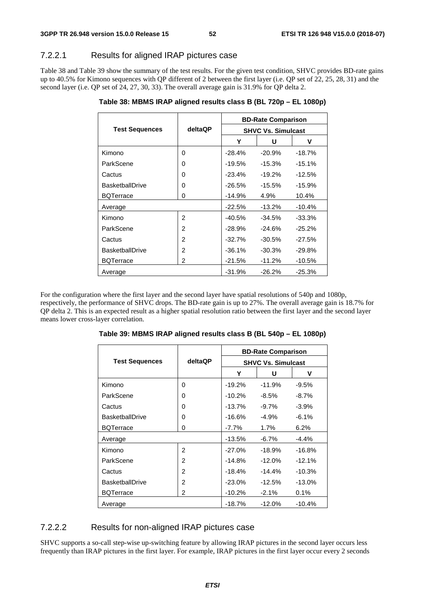### 7.2.2.1 Results for aligned IRAP pictures case

Table 38 and Table 39 show the summary of the test results. For the given test condition, SHVC provides BD-rate gains up to 40.5% for Kimono sequences with QP different of 2 between the first layer (i.e. QP set of 22, 25, 28, 31) and the second layer (i.e. QP set of 24, 27, 30, 33). The overall average gain is 31.9% for QP delta 2.

**Table 38: MBMS IRAP aligned results class B (BL 720p – EL 1080p)** 

|                        |                | <b>BD-Rate Comparison</b> |           |           |  |
|------------------------|----------------|---------------------------|-----------|-----------|--|
| <b>Test Sequences</b>  | deltaQP        | <b>SHVC Vs. Simulcast</b> |           |           |  |
|                        |                | Y                         | U         | v         |  |
| Kimono                 | 0              | $-28.4%$                  | $-20.9%$  | $-18.7%$  |  |
| ParkScene              | 0              | $-19.5%$                  | $-15.3%$  | $-15.1%$  |  |
| Cactus                 | 0              | $-23.4%$                  | $-19.2\%$ | $-12.5%$  |  |
| <b>BasketballDrive</b> | 0              | $-26.5%$                  | $-15.5%$  | $-15.9%$  |  |
| <b>BQTerrace</b>       | 0              | $-14.9%$                  | 4.9%      | 10.4%     |  |
| Average                |                | $-22.5%$                  | $-13.2\%$ | $-10.4%$  |  |
| Kimono                 | 2              | $-40.5%$                  | $-34.5%$  | $-33.3%$  |  |
| ParkScene              | $\mathfrak{p}$ | $-28.9%$                  | $-24.6%$  | $-25.2%$  |  |
| Cactus                 | $\overline{2}$ | $-32.7%$                  | $-30.5%$  | $-27.5%$  |  |
| <b>BasketballDrive</b> | 2              | $-36.1%$                  | $-30.3%$  | $-29.8\%$ |  |
| <b>BQTerrace</b>       | 2              | $-21.5%$                  | $-11.2\%$ | $-10.5%$  |  |
| Average                |                | $-31.9%$                  | $-26.2%$  | $-25.3%$  |  |

For the configuration where the first layer and the second layer have spatial resolutions of 540p and 1080p, respectively, the performance of SHVC drops. The BD-rate gain is up to 27%. The overall average gain is 18.7% for QP delta 2. This is an expected result as a higher spatial resolution ratio between the first layer and the second layer means lower cross-layer correlation.

|                        |                | <b>BD-Rate Comparison</b> |          |          |  |
|------------------------|----------------|---------------------------|----------|----------|--|
| <b>Test Sequences</b>  | <b>deltaQP</b> | <b>SHVC Vs. Simulcast</b> |          |          |  |
|                        |                | Y                         | U        | v        |  |
| Kimono                 | 0              | $-19.2%$                  | $-11.9%$ | $-9.5%$  |  |
| ParkScene              | 0              | $-10.2\%$                 | -8.5%    | $-8.7\%$ |  |
| Cactus                 | 0              | $-13.7%$                  | $-9.7%$  | $-3.9%$  |  |
| <b>BasketballDrive</b> | 0              | $-16.6\%$                 | $-4.9%$  | $-6.1%$  |  |
| <b>BQTerrace</b>       | 0              | -7.7%                     | 1.7%     | 6.2%     |  |
| Average                |                | $-13.5%$                  | $-6.7\%$ | $-4.4%$  |  |
| Kimono                 | 2              | $-27.0%$                  | $-18.9%$ | $-16.8%$ |  |
| ParkScene              | 2              | $-14.8%$                  | $-12.0%$ | $-12.1%$ |  |
| Cactus                 | 2              | $-18.4%$                  | $-14.4%$ | $-10.3%$ |  |
| <b>BasketballDrive</b> | 2              | $-23.0%$                  | $-12.5%$ | $-13.0%$ |  |
| <b>BQTerrace</b>       | 2              | $-10.2%$                  | $-2.1%$  | 0.1%     |  |
| Average                |                | $-18.7%$                  | $-12.0%$ | $-10.4%$ |  |

**Table 39: MBMS IRAP aligned results class B (BL 540p – EL 1080p)** 

## 7.2.2.2 Results for non-aligned IRAP pictures case

SHVC supports a so-call step-wise up-switching feature by allowing IRAP pictures in the second layer occurs less frequently than IRAP pictures in the first layer. For example, IRAP pictures in the first layer occur every 2 seconds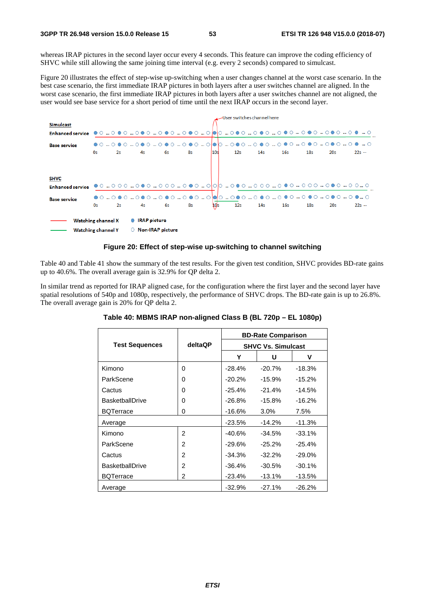whereas IRAP pictures in the second layer occur every 4 seconds. This feature can improve the coding efficiency of SHVC while still allowing the same joining time interval (e.g. every 2 seconds) compared to simulcast.

Figure 20 illustrates the effect of step-wise up-switching when a user changes channel at the worst case scenario. In the best case scenario, the first immediate IRAP pictures in both layers after a user switches channel are aligned. In the worst case scenario, the first immediate IRAP pictures in both layers after a user switches channel are not aligned, the user would see base service for a short period of time until the next IRAP occurs in the second layer.



#### **Figure 20: Effect of step-wise up-switching to channel switching**

Table 40 and Table 41 show the summary of the test results. For the given test condition, SHVC provides BD-rate gains up to 40.6%. The overall average gain is 32.9% for QP delta 2.

In similar trend as reported for IRAP aligned case, for the configuration where the first layer and the second layer have spatial resolutions of 540p and 1080p, respectively, the performance of SHVC drops. The BD-rate gain is up to 26.8%. The overall average gain is 20% for QP delta 2.

|                        |                | <b>BD-Rate Comparison</b> |           |          |  |
|------------------------|----------------|---------------------------|-----------|----------|--|
| <b>Test Sequences</b>  | deltaQP        | <b>SHVC Vs. Simulcast</b> |           |          |  |
|                        |                | Y                         | U         | ۷        |  |
| Kimono                 | 0              | $-28.4%$                  | $-20.7%$  | $-18.3%$ |  |
| ParkScene              | 0              | $-20.2%$                  | $-15.9\%$ | $-15.2%$ |  |
| Cactus                 | 0              | $-25.4%$                  | $-21.4%$  | $-14.5%$ |  |
| <b>BasketballDrive</b> | 0              | $-26.8%$                  | $-15.8%$  | $-16.2%$ |  |
| <b>BQTerrace</b>       | 0              | $-16.6\%$                 | $3.0\%$   | $7.5\%$  |  |
| Average                |                | $-23.5%$                  | $-14.2%$  | $-11.3%$ |  |
| Kimono                 | 2              | $-40.6%$                  | $-34.5%$  | $-33.1%$ |  |
| ParkScene              | $\mathfrak{p}$ | $-29.6\%$                 | $-25.2%$  | $-25.4%$ |  |
| Cactus                 | 2              | $-34.3%$                  | $-32.2%$  | $-29.0%$ |  |
| <b>BasketballDrive</b> | 2              | $-36.4%$                  | $-30.5%$  | $-30.1%$ |  |
| <b>BQTerrace</b>       | 2              | $-23.4%$                  | $-13.1%$  | $-13.5%$ |  |
| Average                |                | $-32.9%$                  | $-27.1%$  | $-26.2%$ |  |

| Table 40: MBMS IRAP non-aligned Class B (BL 720p - EL 1080p) |  |  |  |  |  |
|--------------------------------------------------------------|--|--|--|--|--|
|--------------------------------------------------------------|--|--|--|--|--|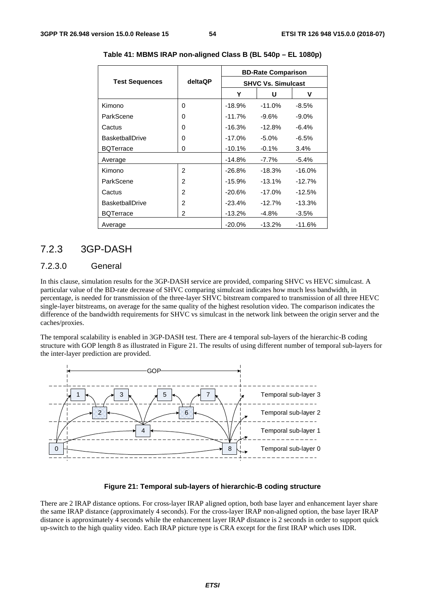|                        |                | <b>BD-Rate Comparison</b> |           |          |  |
|------------------------|----------------|---------------------------|-----------|----------|--|
| <b>Test Sequences</b>  | <b>deltaQP</b> | <b>SHVC Vs. Simulcast</b> |           |          |  |
|                        |                | Y                         | U         | v        |  |
| Kimono                 | 0              | $-18.9%$                  | $-11.0%$  | -8.5%    |  |
| ParkScene              | 0              | $-11.7%$                  | $-9.6\%$  | $-9.0\%$ |  |
| Cactus                 | 0              | $-16.3%$                  | $-12.8%$  | $-6.4%$  |  |
| <b>BasketballDrive</b> | 0              | $-17.0\%$                 | $-5.0%$   | $-6.5%$  |  |
| <b>BQTerrace</b>       | 0              | $-10.1%$                  | $-0.1%$   | $3.4\%$  |  |
| Average                |                | $-14.8%$                  | $-7.7\%$  | $-5.4%$  |  |
| Kimono                 | 2              | $-26.8%$                  | $-18.3%$  | $-16.0%$ |  |
| ParkScene              | 2              | $-15.9%$                  | $-13.1%$  | $-12.7%$ |  |
| Cactus                 | $\overline{2}$ | $-20.6%$                  | $-17.0\%$ | $-12.5%$ |  |
| <b>BasketballDrive</b> | 2              | $-23.4%$                  | $-12.7%$  | $-13.3%$ |  |
| <b>BQTerrace</b>       | 2              | $-13.2%$                  | $-4.8%$   | $-3.5%$  |  |
| Average                |                | $-20.0%$                  | $-13.2%$  | $-11.6%$ |  |

**Table 41: MBMS IRAP non-aligned Class B (BL 540p – EL 1080p)** 

### 7.2.3 3GP-DASH

#### 7.2.3.0 General

In this clause, simulation results for the 3GP-DASH service are provided, comparing SHVC vs HEVC simulcast. A particular value of the BD-rate decrease of SHVC comparing simulcast indicates how much less bandwidth, in percentage, is needed for transmission of the three-layer SHVC bitstream compared to transmission of all three HEVC single-layer bitstreams, on average for the same quality of the highest resolution video. The comparison indicates the difference of the bandwidth requirements for SHVC vs simulcast in the network link between the origin server and the caches/proxies.

The temporal scalability is enabled in 3GP-DASH test. There are 4 temporal sub-layers of the hierarchic-B coding structure with GOP length 8 as illustrated in Figure 21. The results of using different number of temporal sub-layers for the inter-layer prediction are provided.



#### **Figure 21: Temporal sub-layers of hierarchic-B coding structure**

There are 2 IRAP distance options. For cross-layer IRAP aligned option, both base layer and enhancement layer share the same IRAP distance (approximately 4 seconds). For the cross-layer IRAP non-aligned option, the base layer IRAP distance is approximately 4 seconds while the enhancement layer IRAP distance is 2 seconds in order to support quick up-switch to the high quality video. Each IRAP picture type is CRA except for the first IRAP which uses IDR.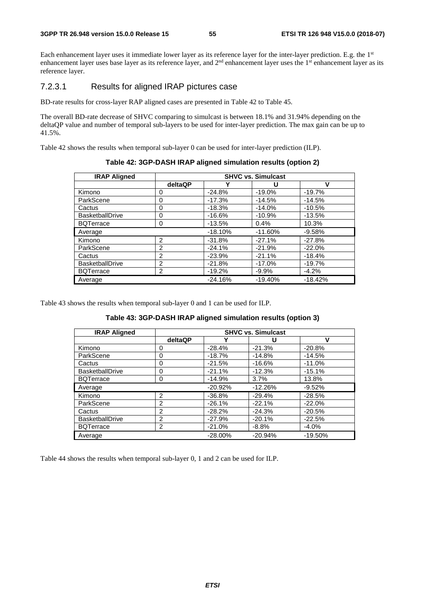Each enhancement layer uses it immediate lower layer as its reference layer for the inter-layer prediction. E.g. the 1st enhancement layer uses base layer as its reference layer, and  $2<sup>nd</sup>$  enhancement layer uses the  $1<sup>st</sup>$  enhancement layer as its reference layer.

#### 7.2.3.1 Results for aligned IRAP pictures case

BD-rate results for cross-layer RAP aligned cases are presented in Table 42 to Table 45.

The overall BD-rate decrease of SHVC comparing to simulcast is between 18.1% and 31.94% depending on the deltaQP value and number of temporal sub-layers to be used for inter-layer prediction. The max gain can be up to 41.5%.

Table 42 shows the results when temporal sub-layer 0 can be used for inter-layer prediction (ILP).

| <b>IRAP Aligned</b>    | <b>SHVC vs. Simulcast</b> |           |           |           |  |
|------------------------|---------------------------|-----------|-----------|-----------|--|
|                        | deltaQP                   |           | U         | v         |  |
| Kimono                 | 0                         | $-24.8%$  | $-19.0%$  | $-19.7%$  |  |
| ParkScene              | 0                         | $-17.3%$  | $-14.5%$  | $-14.5%$  |  |
| Cactus                 | 0                         | $-18.3%$  | $-14.0%$  | $-10.5%$  |  |
| <b>BasketballDrive</b> | 0                         | $-16.6%$  | $-10.9%$  | $-13.5%$  |  |
| <b>BQTerrace</b>       | 0                         | $-13.5%$  | 0.4%      | 10.3%     |  |
| Average                |                           | $-18.10%$ | $-11.60%$ | $-9.58%$  |  |
| Kimono                 | $\mathfrak{p}$            | $-31.8%$  | $-27.1%$  | $-27.8%$  |  |
| ParkScene              | $\overline{2}$            | $-24.1%$  | $-21.9%$  | $-22.0%$  |  |
| Cactus                 | $\overline{2}$            | $-23.9%$  | $-21.1%$  | $-18.4%$  |  |
| <b>BasketballDrive</b> | $\overline{2}$            | $-21.8%$  | $-17.0\%$ | $-19.7%$  |  |
| <b>BQTerrace</b>       | 2                         | $-19.2%$  | $-9.9%$   | $-4.2%$   |  |
| Average                |                           | $-24.16%$ | $-19.40%$ | $-18.42%$ |  |

**Table 42: 3GP-DASH IRAP aligned simulation results (option 2)** 

Table 43 shows the results when temporal sub-layer 0 and 1 can be used for ILP.

| Table 43: 3GP-DASH IRAP aligned simulation results (option 3) |
|---------------------------------------------------------------|
|---------------------------------------------------------------|

| <b>IRAP Aligned</b>    | <b>SHVC vs. Simulcast</b> |           |           |           |  |
|------------------------|---------------------------|-----------|-----------|-----------|--|
|                        | deltaQP                   |           |           |           |  |
| Kimono                 | 0                         | $-28.4%$  | $-21.3%$  | $-20.8%$  |  |
| ParkScene              | 0                         | $-18.7%$  | $-14.8%$  | $-14.5%$  |  |
| Cactus                 | 0                         | $-21.5%$  | $-16.6%$  | $-11.0%$  |  |
| <b>BasketballDrive</b> | 0                         | $-21.1%$  | $-12.3%$  | $-15.1%$  |  |
| <b>BQTerrace</b>       | 0                         | $-14.9%$  | 3.7%      | 13.8%     |  |
| Average                |                           | $-20.92%$ | $-12.26%$ | $-9.52%$  |  |
| Kimono                 | $\overline{2}$            | $-36.8%$  | $-29.4%$  | $-28.5%$  |  |
| ParkScene              | $\mathcal{P}$             | $-26.1%$  | $-22.1%$  | $-22.0%$  |  |
| Cactus                 | 2                         | $-28.2%$  | $-24.3%$  | $-20.5%$  |  |
| <b>BasketballDrive</b> | 2                         | $-27.9%$  | $-20.1%$  | $-22.5%$  |  |
| <b>BQTerrace</b>       | 2                         | $-21.0%$  | $-8.8\%$  | $-4.0%$   |  |
| Average                |                           | $-28.00%$ | $-20.94%$ | $-19.50%$ |  |

Table 44 shows the results when temporal sub-layer 0, 1 and 2 can be used for ILP.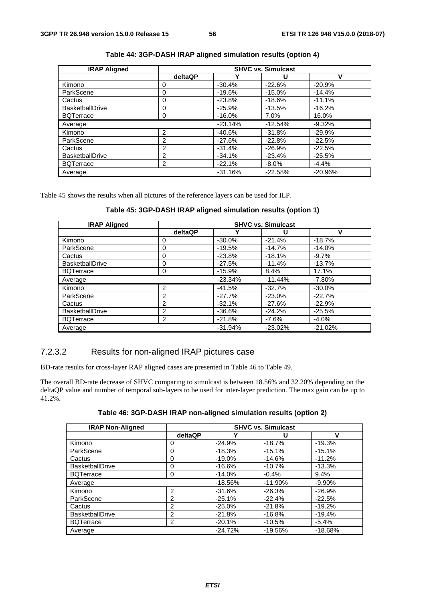| <b>IRAP Aligned</b>    | <b>SHVC vs. Simulcast</b> |           |           |           |
|------------------------|---------------------------|-----------|-----------|-----------|
|                        | deltaQP                   |           | U         | v         |
| Kimono                 | 0                         | $-30.4%$  | $-22.6%$  | $-20.9%$  |
| ParkScene              | 0                         | $-19.6%$  | $-15.0%$  | $-14.4%$  |
| Cactus                 | 0                         | $-23.8%$  | $-18.6%$  | $-11.1%$  |
| BasketballDrive        | 0                         | $-25.9%$  | $-13.5%$  | $-16.2%$  |
| <b>BQTerrace</b>       | 0                         | $-16.0%$  | 7.0%      | 16.0%     |
| Average                |                           | $-23.14%$ | $-12.54%$ | $-9.32%$  |
| Kimono                 | 2                         | $-40.6%$  | $-31.8%$  | $-29.9%$  |
| ParkScene              | 2                         | $-27.6%$  | $-22.8%$  | $-22.5%$  |
| Cactus                 | 2                         | $-31.4%$  | $-26.9%$  | $-22.5%$  |
| <b>BasketballDrive</b> | $\overline{2}$            | $-34.1%$  | $-23.4%$  | $-25.5%$  |
| <b>BQTerrace</b>       | 2                         | $-22.1%$  | $-8.0\%$  | $-4.4%$   |
| Average                |                           | $-31.16%$ | $-22.58%$ | $-20.96%$ |

**Table 44: 3GP-DASH IRAP aligned simulation results (option 4)** 

Table 45 shows the results when all pictures of the reference layers can be used for ILP.

| Table 45: 3GP-DASH IRAP aligned simulation results (option 1) |  |  |  |  |
|---------------------------------------------------------------|--|--|--|--|
|---------------------------------------------------------------|--|--|--|--|

| <b>IRAP Aligned</b>    | <b>SHVC vs. Simulcast</b> |           |           |           |
|------------------------|---------------------------|-----------|-----------|-----------|
|                        | deltaQP                   |           | u         | v         |
| Kimono                 |                           | $-30.0%$  | $-21.4%$  | $-18.7%$  |
| ParkScene              | 0                         | $-19.5%$  | $-14.7%$  | $-14.0%$  |
| Cactus                 | 0                         | $-23.8%$  | $-18.1%$  | $-9.7%$   |
| <b>BasketballDrive</b> | 0                         | $-27.5%$  | $-11.4%$  | $-13.7%$  |
| <b>BQTerrace</b>       | 0                         | $-15.9%$  | 8.4%      | 17.1%     |
| Average                |                           | $-23.34%$ | $-11.44%$ | $-7.80%$  |
| Kimono                 | 2                         | $-41.5%$  | $-32.7%$  | $-30.0%$  |
| ParkScene              | 2                         | $-27.7%$  | $-23.0%$  | $-22.7%$  |
| Cactus                 | $\overline{2}$            | $-32.1%$  | $-27.6%$  | $-22.9%$  |
| <b>BasketballDrive</b> | 2                         | $-36.6%$  | $-24.2%$  | $-25.5%$  |
| <b>BQTerrace</b>       | $\overline{2}$            | $-21.8%$  | $-7.6%$   | $-4.0%$   |
| Average                |                           | $-31.94%$ | $-23.02%$ | $-21.02%$ |

### 7.2.3.2 Results for non-aligned IRAP pictures case

BD-rate results for cross-layer RAP aligned cases are presented in Table 46 to Table 49.

The overall BD-rate decrease of SHVC comparing to simulcast is between 18.56% and 32.20% depending on the deltaQP value and number of temporal sub-layers to be used for inter-layer prediction. The max gain can be up to 41.2%.

| Table 46: 3GP-DASH IRAP non-aligned simulation results (option 2) |  |  |  |
|-------------------------------------------------------------------|--|--|--|
|-------------------------------------------------------------------|--|--|--|

| <b>IRAP Non-Aligned</b> |                |           | <b>SHVC vs. Simulcast</b> |           |
|-------------------------|----------------|-----------|---------------------------|-----------|
|                         | deltaQP        |           | U                         | ν         |
| Kimono                  | 0              | $-24.9%$  | $-18.7%$                  | $-19.3%$  |
| ParkScene               | 0              | $-18.3%$  | $-15.1%$                  | $-15.1%$  |
| Cactus                  | 0              | $-19.0%$  | $-14.6%$                  | $-11.2%$  |
| <b>BasketballDrive</b>  | 0              | $-16.6%$  | $-10.7%$                  | $-13.3%$  |
| <b>BQTerrace</b>        | 0              | $-14.0%$  | $-0.4%$                   | 9.4%      |
| Average                 |                | $-18.56%$ | $-11.90%$                 | $-9.90%$  |
| Kimono                  | 2              | $-31.6%$  | $-26.3%$                  | $-26.9%$  |
| ParkScene               | 2              | $-25.1%$  | $-22.4%$                  | $-22.5%$  |
| Cactus                  | $\mathfrak{p}$ | $-25.0%$  | $-21.8%$                  | $-19.2%$  |
| <b>BasketballDrive</b>  | 2              | $-21.8%$  | $-16.8%$                  | $-19.4%$  |
| <b>BQTerrace</b>        | 2              | $-20.1%$  | $-10.5%$                  | $-5.4%$   |
| Average                 |                | $-24.72%$ | $-19.56%$                 | $-18.68%$ |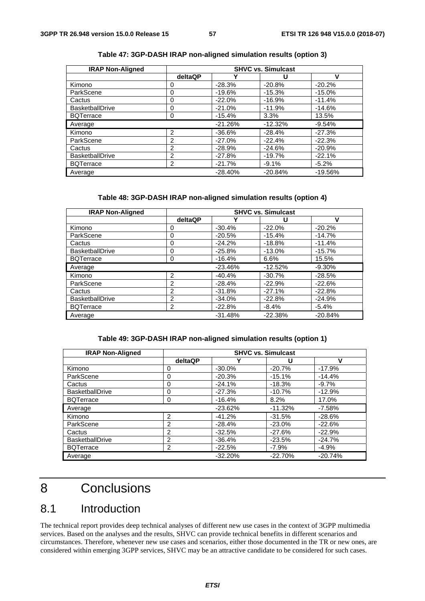| <b>IRAP Non-Aligned</b> |                |           | <b>SHVC vs. Simulcast</b> |           |
|-------------------------|----------------|-----------|---------------------------|-----------|
|                         | deltaQP        | ν         | U                         | V         |
| Kimono                  | 0              | $-28.3%$  | $-20.8%$                  | $-20.2%$  |
| ParkScene               | 0              | $-19.6%$  | $-15.3%$                  | $-15.0%$  |
| Cactus                  | 0              | $-22.0%$  | $-16.9%$                  | $-11.4%$  |
| <b>BasketballDrive</b>  | 0              | $-21.0%$  | $-11.9%$                  | $-14.6%$  |
| <b>BQTerrace</b>        | 0              | $-15.4%$  | 3.3%                      | 13.5%     |
| Average                 |                | $-21.26%$ | $-12.32%$                 | $-9.54%$  |
| Kimono                  | $\overline{2}$ | $-36.6\%$ | $-28.4%$                  | $-27.3%$  |
| ParkScene               | 2              | $-27.0%$  | $-22.4%$                  | $-22.3%$  |
| Cactus                  | 2              | $-28.9%$  | $-24.6%$                  | $-20.9%$  |
| <b>BasketballDrive</b>  | 2              | $-27.8%$  | $-19.7%$                  | $-22.1%$  |
| <b>BQTerrace</b>        | 2              | $-21.7%$  | $-9.1%$                   | $-5.2%$   |
| Average                 |                | $-28.40%$ | $-20.84%$                 | $-19.56%$ |

**Table 47: 3GP-DASH IRAP non-aligned simulation results (option 3)** 

#### **Table 48: 3GP-DASH IRAP non-aligned simulation results (option 4)**

| <b>IRAP Non-Aligned</b> |                |           | <b>SHVC vs. Simulcast</b> |           |
|-------------------------|----------------|-----------|---------------------------|-----------|
|                         | deltaQP        | Υ         | U                         | v         |
| Kimono                  | 0              | $-30.4%$  | $-22.0%$                  | $-20.2%$  |
| ParkScene               | $\Omega$       | $-20.5%$  | $-15.4%$                  | $-14.7%$  |
| Cactus                  | 0              | $-24.2%$  | $-18.8%$                  | $-11.4%$  |
| <b>BasketballDrive</b>  | 0              | $-25.8%$  | $-13.0%$                  | $-15.7%$  |
| <b>BQTerrace</b>        | 0              | $-16.4%$  | 6.6%                      | 15.5%     |
| Average                 |                | $-23.46%$ | $-12.52%$                 | $-9.30%$  |
| Kimono                  | 2              | $-40.4%$  | $-30.7%$                  | $-28.5%$  |
| ParkScene               | 2              | $-28.4%$  | $-22.9%$                  | $-22.6%$  |
| Cactus                  | 2              | $-31.8%$  | $-27.1%$                  | $-22.8%$  |
| <b>BasketballDrive</b>  | $\overline{2}$ | $-34.0%$  | $-22.8%$                  | $-24.9%$  |
| <b>BQTerrace</b>        | 2              | $-22.8%$  | $-8.4%$                   | $-5.4%$   |
| Average                 |                | $-31.48%$ | $-22.38%$                 | $-20.84%$ |

#### **Table 49: 3GP-DASH IRAP non-aligned simulation results (option 1)**

| <b>IRAP Non-Aligned</b> |                | <b>SHVC vs. Simulcast</b> |           |           |
|-------------------------|----------------|---------------------------|-----------|-----------|
|                         | deltaQP        |                           | U         | ν         |
| Kimono                  | 0              | $-30.0\%$                 | $-20.7%$  | $-17.9%$  |
| ParkScene               | 0              | $-20.3%$                  | $-15.1%$  | $-14.4%$  |
| Cactus                  | 0              | $-24.1%$                  | $-18.3%$  | $-9.7%$   |
| <b>BasketballDrive</b>  | 0              | $-27.3%$                  | $-10.7%$  | $-12.9%$  |
| <b>BQTerrace</b>        | 0              | $-16.4%$                  | 8.2%      | 17.0%     |
| Average                 |                | $-23.62%$                 | $-11.32%$ | $-7.58%$  |
| Kimono                  | $\overline{2}$ | $-41.2%$                  | $-31.5%$  | $-28.6%$  |
| ParkScene               | $\overline{c}$ | $-28.4%$                  | $-23.0%$  | $-22.6%$  |
| Cactus                  | 2              | $-32.5%$                  | $-27.6%$  | $-22.9%$  |
| <b>BasketballDrive</b>  | 2              | $-36.4%$                  | $-23.5%$  | $-24.7%$  |
| <b>BQTerrace</b>        | 2              | $-22.5%$                  | $-7.9\%$  | $-4.9%$   |
| Average                 |                | $-32.20%$                 | $-22.70%$ | $-20.74%$ |

## 8 Conclusions

## 8.1 Introduction

The technical report provides deep technical analyses of different new use cases in the context of 3GPP multimedia services. Based on the analyses and the results, SHVC can provide technical benefits in different scenarios and circumstances. Therefore, whenever new use cases and scenarios, either those documented in the TR or new ones, are considered within emerging 3GPP services, SHVC may be an attractive candidate to be considered for such cases.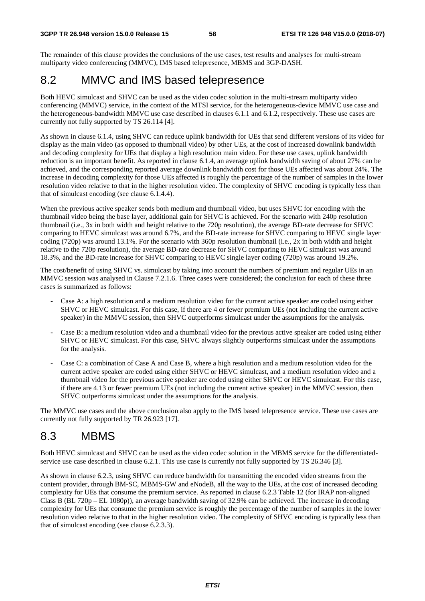The remainder of this clause provides the conclusions of the use cases, test results and analyses for multi-stream multiparty video conferencing (MMVC), IMS based telepresence, MBMS and 3GP-DASH.

## 8.2 MMVC and IMS based telepresence

Both HEVC simulcast and SHVC can be used as the video codec solution in the multi-stream multiparty video conferencing (MMVC) service, in the context of the MTSI service, for the heterogeneous-device MMVC use case and the heterogeneous-bandwidth MMVC use case described in clauses 6.1.1 and 6.1.2, respectively. These use cases are currently not fully supported by TS 26.114 [4].

As shown in clause 6.1.4, using SHVC can reduce uplink bandwidth for UEs that send different versions of its video for display as the main video (as opposed to thumbnail video) by other UEs, at the cost of increased downlink bandwidth and decoding complexity for UEs that display a high resolution main video. For these use cases, uplink bandwidth reduction is an important benefit. As reported in clause 6.1.4, an average uplink bandwidth saving of about 27% can be achieved, and the corresponding reported average downlink bandwidth cost for those UEs affected was about 24%. The increase in decoding complexity for those UEs affected is roughly the percentage of the number of samples in the lower resolution video relative to that in the higher resolution video. The complexity of SHVC encoding is typically less than that of simulcast encoding (see clause 6.1.4.4).

When the previous active speaker sends both medium and thumbnail video, but uses SHVC for encoding with the thumbnail video being the base layer, additional gain for SHVC is achieved. For the scenario with 240p resolution thumbnail (i.e., 3x in both width and height relative to the 720p resolution), the average BD-rate decrease for SHVC comparing to HEVC simulcast was around 6.7%, and the BD-rate increase for SHVC comparing to HEVC single layer coding (720p) was around 13.1%. For the scenario with 360p resolution thumbnail (i.e., 2x in both width and height relative to the 720p resolution), the average BD-rate decrease for SHVC comparing to HEVC simulcast was around 18.3%, and the BD-rate increase for SHVC comparing to HEVC single layer coding (720p) was around 19.2%.

The cost/benefit of using SHVC vs. simulcast by taking into account the numbers of premium and regular UEs in an MMVC session was analysed in Clause 7.2.1.6. Three cases were considered; the conclusion for each of these three cases is summarized as follows:

- Case A: a high resolution and a medium resolution video for the current active speaker are coded using either SHVC or HEVC simulcast. For this case, if there are 4 or fewer premium UEs (not including the current active speaker) in the MMVC session, then SHVC outperforms simulcast under the assumptions for the analysis.
- Case B: a medium resolution video and a thumbnail video for the previous active speaker are coded using either SHVC or HEVC simulcast. For this case, SHVC always slightly outperforms simulcast under the assumptions for the analysis.
- Case C: a combination of Case A and Case B, where a high resolution and a medium resolution video for the current active speaker are coded using either SHVC or HEVC simulcast, and a medium resolution video and a thumbnail video for the previous active speaker are coded using either SHVC or HEVC simulcast. For this case, if there are 4.13 or fewer premium UEs (not including the current active speaker) in the MMVC session, then SHVC outperforms simulcast under the assumptions for the analysis.

The MMVC use cases and the above conclusion also apply to the IMS based telepresence service. These use cases are currently not fully supported by TR 26.923 [17].

## 8.3 MBMS

Both HEVC simulcast and SHVC can be used as the video codec solution in the MBMS service for the differentiatedservice use case described in clause 6.2.1. This use case is currently not fully supported by TS 26.346 [3].

As shown in clause 6.2.3, using SHVC can reduce bandwidth for transmitting the encoded video streams from the content provider, through BM-SC, MBMS-GW and eNodeB, all the way to the UEs, at the cost of increased decoding complexity for UEs that consume the premium service. As reported in clause 6.2.3 Table 12 (for IRAP non-aligned Class B (BL 720p – EL 1080p)), an average bandwidth saving of 32.9% can be achieved. The increase in decoding complexity for UEs that consume the premium service is roughly the percentage of the number of samples in the lower resolution video relative to that in the higher resolution video. The complexity of SHVC encoding is typically less than that of simulcast encoding (see clause 6.2.3.3).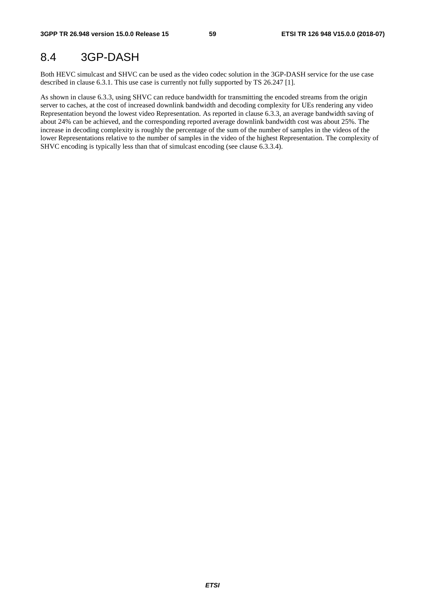## 8.4 3GP-DASH

Both HEVC simulcast and SHVC can be used as the video codec solution in the 3GP-DASH service for the use case described in clause 6.3.1. This use case is currently not fully supported by TS 26.247 [1].

As shown in clause 6.3.3, using SHVC can reduce bandwidth for transmitting the encoded streams from the origin server to caches, at the cost of increased downlink bandwidth and decoding complexity for UEs rendering any video Representation beyond the lowest video Representation. As reported in clause 6.3.3, an average bandwidth saving of about 24% can be achieved, and the corresponding reported average downlink bandwidth cost was about 25%. The increase in decoding complexity is roughly the percentage of the sum of the number of samples in the videos of the lower Representations relative to the number of samples in the video of the highest Representation. The complexity of SHVC encoding is typically less than that of simulcast encoding (see clause 6.3.3.4).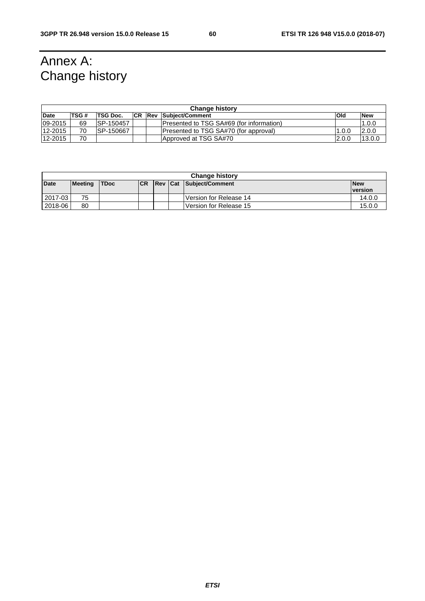## Annex A: Change history

| <b>Change history</b> |      |                 |            |  |                                                  |        |            |  |  |
|-----------------------|------|-----------------|------------|--|--------------------------------------------------|--------|------------|--|--|
| Date                  | TSG# | <b>TSG Doc.</b> | <b>ICR</b> |  | <b>Rev Subiect/Comment</b>                       | lOld   | <b>New</b> |  |  |
| 09-2015               | 69   | ISP-150457      |            |  | <b>IPresented to TSG SA#69 (for information)</b> |        | 1.0.0      |  |  |
| 12-2015               | 70   | ISP-150667      |            |  | Presented to TSG SA#70 (for approval)            | 1.0.0  | 12.0.0     |  |  |
| 12-2015               | 70   |                 |            |  | Approved at TSG SA#70                            | 12.0.0 | 13.0.0     |  |  |

|             | <b>Change history</b> |             |           |                |  |                          |                |  |
|-------------|-----------------------|-------------|-----------|----------------|--|--------------------------|----------------|--|
| <b>Date</b> | <b>Meeting</b>        | <b>TDoc</b> | <b>CR</b> | <b>Rev Cat</b> |  | Subject/Comment          | <b>New</b>     |  |
|             |                       |             |           |                |  |                          | <b>version</b> |  |
| $2017 - 03$ | 75                    |             |           |                |  | l Version for Release 14 | 14.0.0         |  |
| 2018-06     | 80                    |             |           |                |  | l Version for Release 15 | 15.0.0         |  |